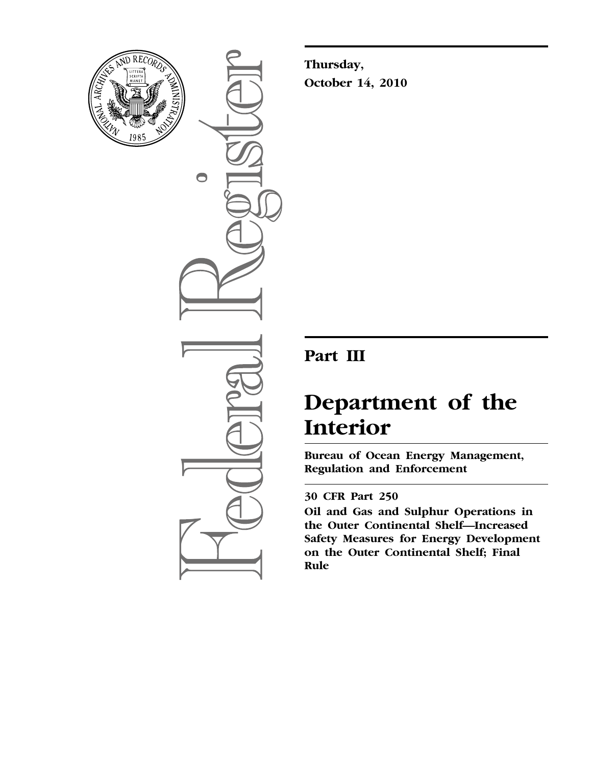

 $\bigcirc$ 

**Thursday, October 14, 2010** 

# **Part III**

# **Department of the Interior**

**Bureau of Ocean Energy Management, Regulation and Enforcement** 

# **30 CFR Part 250**

**Oil and Gas and Sulphur Operations in the Outer Continental Shelf—Increased Safety Measures for Energy Development on the Outer Continental Shelf; Final Rule**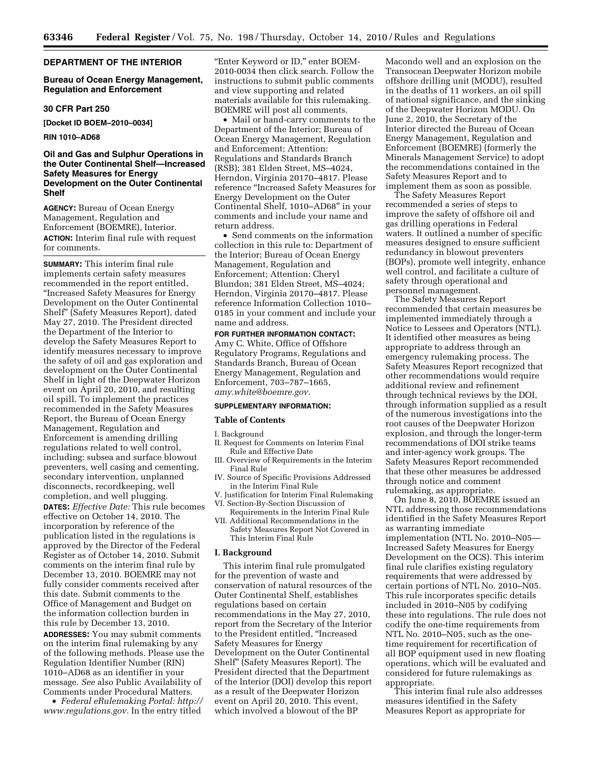#### **DEPARTMENT OF THE INTERIOR**

#### **Bureau of Ocean Energy Management, Regulation and Enforcement**

#### **30 CFR Part 250**

**[Docket ID BOEM–2010–0034]** 

#### **RIN 1010–AD68**

#### **Oil and Gas and Sulphur Operations in the Outer Continental Shelf—Increased Safety Measures for Energy Development on the Outer Continental Shelf**

**AGENCY:** Bureau of Ocean Energy Management, Regulation and Enforcement (BOEMRE), Interior. **ACTION:** Interim final rule with request for comments.

**SUMMARY:** This interim final rule implements certain safety measures recommended in the report entitled, ''Increased Safety Measures for Energy Development on the Outer Continental Shelf'' (Safety Measures Report), dated May 27, 2010. The President directed the Department of the Interior to develop the Safety Measures Report to identify measures necessary to improve the safety of oil and gas exploration and development on the Outer Continental Shelf in light of the Deepwater Horizon event on April 20, 2010, and resulting oil spill. To implement the practices recommended in the Safety Measures Report, the Bureau of Ocean Energy Management, Regulation and Enforcement is amending drilling regulations related to well control, including: subsea and surface blowout preventers, well casing and cementing, secondary intervention, unplanned disconnects, recordkeeping, well completion, and well plugging.

**DATES:** *Effective Date:* This rule becomes effective on October 14, 2010. The incorporation by reference of the publication listed in the regulations is approved by the Director of the Federal Register as of October 14, 2010. Submit comments on the interim final rule by December 13, 2010. BOEMRE may not fully consider comments received after this date. Submit comments to the Office of Management and Budget on the information collection burden in this rule by December 13, 2010.

**ADDRESSES:** You may submit comments on the interim final rulemaking by any of the following methods. Please use the Regulation Identifier Number (RIN) 1010–AD68 as an identifier in your message. *See* also Public Availability of Comments under Procedural Matters.

• *Federal eRulemaking Portal: [http://](http://www.regulations.gov)  [www.regulations.gov.](http://www.regulations.gov)* In the entry titled

''Enter Keyword or ID,'' enter BOEM-2010-0034 then click search. Follow the instructions to submit public comments and view supporting and related materials available for this rulemaking. BOEMRE will post all comments.

• Mail or hand-carry comments to the Department of the Interior; Bureau of Ocean Energy Management, Regulation and Enforcement; Attention: Regulations and Standards Branch (RSB); 381 Elden Street, MS–4024, Herndon, Virginia 20170–4817. Please reference ''Increased Safety Measures for Energy Development on the Outer Continental Shelf, 1010–AD68'' in your comments and include your name and return address.

• Send comments on the information collection in this rule to: Department of the Interior; Bureau of Ocean Energy Management, Regulation and Enforcement; Attention: Cheryl Blundon; 381 Elden Street, MS–4024; Herndon, Virginia 20170–4817. Please reference Information Collection 1010– 0185 in your comment and include your name and address.

# **FOR FURTHER INFORMATION CONTACT:**

Amy C. White, Office of Offshore Regulatory Programs, Regulations and Standards Branch, Bureau of Ocean Energy Management, Regulation and Enforcement, 703–787–1665, *[amy.white@boemre.gov.](mailto:amy.white@boemre.gov)* 

#### **SUPPLEMENTARY INFORMATION:**

#### **Table of Contents**

I. Background

- II. Request for Comments on Interim Final Rule and Effective Date
- III. Overview of Requirements in the Interim Final Rule
- IV. Source of Specific Provisions Addressed in the Interim Final Rule
- V. Justification for Interim Final Rulemaking
- VI. Section-By-Section Discussion of Requirements in the Interim Final Rule
- VII. Additional Recommendations in the Safety Measures Report Not Covered in This Interim Final Rule

#### **I. Background**

This interim final rule promulgated for the prevention of waste and conservation of natural resources of the Outer Continental Shelf, establishes regulations based on certain recommendations in the May 27, 2010, report from the Secretary of the Interior to the President entitled, ''Increased Safety Measures for Energy Development on the Outer Continental Shelf'' (Safety Measures Report). The President directed that the Department of the Interior (DOI) develop this report as a result of the Deepwater Horizon event on April 20, 2010. This event, which involved a blowout of the BP

Macondo well and an explosion on the Transocean Deepwater Horizon mobile offshore drilling unit (MODU), resulted in the deaths of 11 workers, an oil spill of national significance, and the sinking of the Deepwater Horizon MODU. On June 2, 2010, the Secretary of the Interior directed the Bureau of Ocean Energy Management, Regulation and Enforcement (BOEMRE) (formerly the Minerals Management Service) to adopt the recommendations contained in the Safety Measures Report and to implement them as soon as possible.

The Safety Measures Report recommended a series of steps to improve the safety of offshore oil and gas drilling operations in Federal waters. It outlined a number of specific measures designed to ensure sufficient redundancy in blowout preventers (BOPs), promote well integrity, enhance well control, and facilitate a culture of safety through operational and personnel management.

The Safety Measures Report recommended that certain measures be implemented immediately through a Notice to Lessees and Operators (NTL). It identified other measures as being appropriate to address through an emergency rulemaking process. The Safety Measures Report recognized that other recommendations would require additional review and refinement through technical reviews by the DOI, through information supplied as a result of the numerous investigations into the root causes of the Deepwater Horizon explosion, and through the longer-term recommendations of DOI strike teams and inter-agency work groups. The Safety Measures Report recommended that these other measures be addressed through notice and comment rulemaking, as appropriate.

On June 8, 2010, BOEMRE issued an NTL addressing those recommendations identified in the Safety Measures Report as warranting immediate implementation (NTL No. 2010–N05— Increased Safety Measures for Energy Development on the OCS). This interim final rule clarifies existing regulatory requirements that were addressed by certain portions of NTL No. 2010–N05. This rule incorporates specific details included in 2010–N05 by codifying these into regulations. The rule does not codify the one-time requirements from NTL No. 2010–N05, such as the onetime requirement for recertification of all BOP equipment used in new floating operations, which will be evaluated and considered for future rulemakings as appropriate.

This interim final rule also addresses measures identified in the Safety Measures Report as appropriate for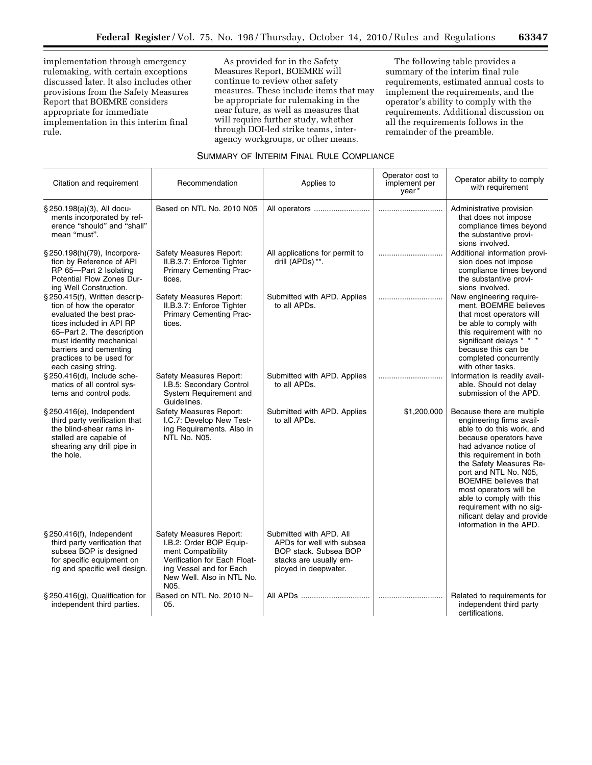implementation through emergency rulemaking, with certain exceptions discussed later. It also includes other provisions from the Safety Measures Report that BOEMRE considers appropriate for immediate implementation in this interim final rule.

As provided for in the Safety Measures Report, BOEMRE will continue to review other safety measures. These include items that may be appropriate for rulemaking in the near future, as well as measures that will require further study, whether through DOI-led strike teams, interagency workgroups, or other means.

The following table provides a summary of the interim final rule requirements, estimated annual costs to implement the requirements, and the operator's ability to comply with the requirements. Additional discussion on all the requirements follows in the remainder of the preamble.

#### SUMMARY OF INTERIM FINAL RULE COMPLIANCE

| Citation and requirement                                                                                                                                                                                                                                  | Recommendation                                                                                                                                                           | Applies to                                                                                                                      | Operator cost to<br>implement per<br>year* | Operator ability to comply<br>with requirement                                                                                                                                                                                                                                                                                                                                                   |
|-----------------------------------------------------------------------------------------------------------------------------------------------------------------------------------------------------------------------------------------------------------|--------------------------------------------------------------------------------------------------------------------------------------------------------------------------|---------------------------------------------------------------------------------------------------------------------------------|--------------------------------------------|--------------------------------------------------------------------------------------------------------------------------------------------------------------------------------------------------------------------------------------------------------------------------------------------------------------------------------------------------------------------------------------------------|
| § 250.198(a)(3), All docu-<br>ments incorporated by ref-<br>erence "should" and "shall"<br>mean "must".                                                                                                                                                   | Based on NTL No. 2010 N05                                                                                                                                                | All operators                                                                                                                   |                                            | Administrative provision<br>that does not impose<br>compliance times beyond<br>the substantive provi-<br>sions involved.                                                                                                                                                                                                                                                                         |
| § 250.198(h)(79), Incorpora-<br>tion by Reference of API<br>RP 65-Part 2 Isolating<br>Potential Flow Zones Dur-<br>ing Well Construction.                                                                                                                 | Safety Measures Report:<br>II.B.3.7: Enforce Tighter<br>Primary Cementing Prac-<br>tices.                                                                                | All applications for permit to<br>drill (APDs) **.                                                                              |                                            | Additional information provi-<br>sion does not impose<br>compliance times beyond<br>the substantive provi-<br>sions involved.                                                                                                                                                                                                                                                                    |
| § 250.415(f), Written descrip-<br>tion of how the operator<br>evaluated the best prac-<br>tices included in API RP<br>65-Part 2. The description<br>must identify mechanical<br>barriers and cementing<br>practices to be used for<br>each casing string. | Safety Measures Report:<br>II.B.3.7: Enforce Tighter<br>Primary Cementing Prac-<br>tices.                                                                                | Submitted with APD. Applies<br>to all APDs.                                                                                     |                                            | New engineering require-<br>ment. BOEMRE believes<br>that most operators will<br>be able to comply with<br>this requirement with no<br>significant delays * * *<br>because this can be<br>completed concurrently<br>with other tasks.                                                                                                                                                            |
| § 250.416(d), Include sche-<br>matics of all control sys-<br>tems and control pods.                                                                                                                                                                       | Safety Measures Report:<br>I.B.5: Secondary Control<br>System Requirement and<br>Guidelines.                                                                             | Submitted with APD. Applies<br>to all APDs.                                                                                     |                                            | Information is readily avail-<br>able. Should not delay<br>submission of the APD.                                                                                                                                                                                                                                                                                                                |
| § 250.416(e), Independent<br>third party verification that<br>the blind-shear rams in-<br>stalled are capable of<br>shearing any drill pipe in<br>the hole.                                                                                               | Safety Measures Report:<br>I.C.7: Develop New Test-<br>ing Requirements. Also in<br>NTL No. N05.                                                                         | Submitted with APD. Applies<br>to all APDs.                                                                                     | \$1,200,000                                | Because there are multiple<br>engineering firms avail-<br>able to do this work, and<br>because operators have<br>had advance notice of<br>this requirement in both<br>the Safety Measures Re-<br>port and NTL No. N05,<br><b>BOEMRE</b> believes that<br>most operators will be<br>able to comply with this<br>requirement with no sig-<br>nificant delay and provide<br>information in the APD. |
| $\S 250.416(f)$ , Independent<br>third party verification that<br>subsea BOP is designed<br>for specific equipment on<br>rig and specific well design.                                                                                                    | Safety Measures Report:<br>I.B.2: Order BOP Equip-<br>ment Compatibility<br>Verification for Each Float-<br>ing Vessel and for Each<br>New Well. Also in NTL No.<br>N05. | Submitted with APD, All<br>APDs for well with subsea<br>BOP stack. Subsea BOP<br>stacks are usually em-<br>ployed in deepwater. |                                            |                                                                                                                                                                                                                                                                                                                                                                                                  |
| $\S 250.416(g)$ , Qualification for<br>independent third parties.                                                                                                                                                                                         | Based on NTL No. 2010 N-<br>05.                                                                                                                                          | All APDs                                                                                                                        |                                            | Related to requirements for<br>independent third party<br>certifications.                                                                                                                                                                                                                                                                                                                        |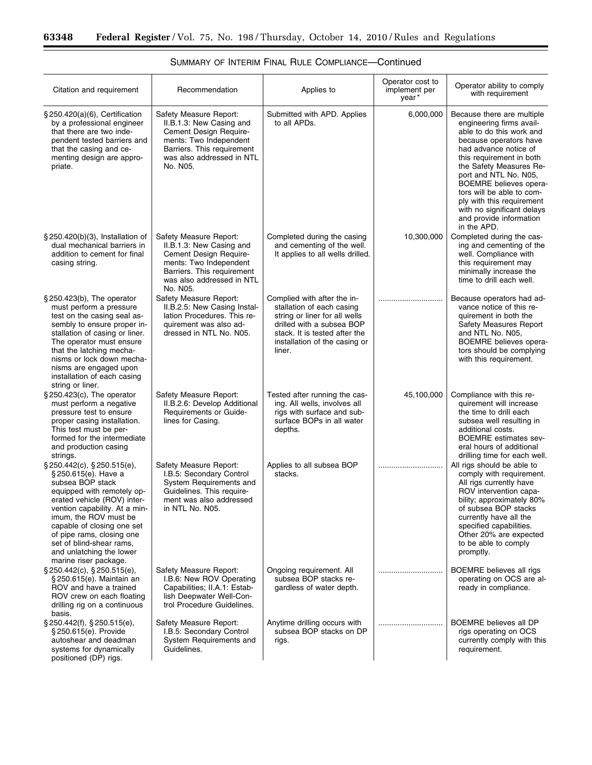$\equiv$ 

| Citation and requirement                                                                                                                                                                                                                                                                                                                        | Recommendation                                                                                                                                                                | Applies to                                                                                                                                                                                         | Operator cost to<br>implement per<br>year* | Operator ability to comply<br>with requirement                                                                                                                                                                                                                                                                                                                                           |
|-------------------------------------------------------------------------------------------------------------------------------------------------------------------------------------------------------------------------------------------------------------------------------------------------------------------------------------------------|-------------------------------------------------------------------------------------------------------------------------------------------------------------------------------|----------------------------------------------------------------------------------------------------------------------------------------------------------------------------------------------------|--------------------------------------------|------------------------------------------------------------------------------------------------------------------------------------------------------------------------------------------------------------------------------------------------------------------------------------------------------------------------------------------------------------------------------------------|
| § 250.420(a)(6), Certification<br>by a professional engineer<br>that there are two inde-<br>pendent tested barriers and<br>that the casing and ce-<br>menting design are appro-<br>priate.                                                                                                                                                      | Safety Measure Report:<br>II.B.1.3: New Casing and<br>Cement Design Require-<br>ments: Two Independent<br>Barriers. This requirement<br>was also addressed in NTL<br>No. N05. | Submitted with APD. Applies<br>to all APDs.                                                                                                                                                        | 6,000,000                                  | Because there are multiple<br>engineering firms avail-<br>able to do this work and<br>because operators have<br>had advance notice of<br>this requirement in both<br>the Safety Measures Re-<br>port and NTL No. N05,<br><b>BOEMRE</b> believes opera-<br>tors will be able to com-<br>ply with this requirement<br>with no significant delays<br>and provide information<br>in the APD. |
| $\S 250.420(b)(3)$ , Installation of<br>dual mechanical barriers in<br>addition to cement for final<br>casing string.                                                                                                                                                                                                                           | Safety Measure Report:<br>II.B.1.3: New Casing and<br>Cement Design Require-<br>ments: Two Independent<br>Barriers. This requirement<br>was also addressed in NTL<br>No. N05. | Completed during the casing<br>and cementing of the well.<br>It applies to all wells drilled.                                                                                                      | 10,300,000                                 | Completed during the cas-<br>ing and cementing of the<br>well. Compliance with<br>this requirement may<br>minimally increase the<br>time to drill each well.                                                                                                                                                                                                                             |
| $\S$ 250.423(b), The operator<br>must perform a pressure<br>test on the casing seal as-<br>sembly to ensure proper in-<br>stallation of casing or liner.<br>The operator must ensure<br>that the latching mecha-<br>nisms or lock down mecha-<br>nisms are engaged upon<br>installation of each casing<br>string or liner.                      | Safety Measure Report:<br>II.B.2.5: New Casing Instal-<br>lation Procedures. This re-<br>quirement was also ad-<br>dressed in NTL No. N05.                                    | Complied with after the in-<br>stallation of each casing<br>string or liner for all wells<br>drilled with a subsea BOP<br>stack. It is tested after the<br>installation of the casing or<br>liner. |                                            | Because operators had ad-<br>vance notice of this re-<br>quirement in both the<br>Safety Measures Report<br>and NTL No. N05,<br>BOEMRE believes opera-<br>tors should be complying<br>with this requirement.                                                                                                                                                                             |
| $\S$ 250.423(c), The operator<br>must perform a negative<br>pressure test to ensure<br>proper casing installation.<br>This test must be per-<br>formed for the intermediate<br>and production casing<br>strings.                                                                                                                                | Safety Measure Report:<br>II.B.2.6: Develop Additional<br>Requirements or Guide-<br>lines for Casing.                                                                         | Tested after running the cas-<br>ing. All wells, involves all<br>rigs with surface and sub-<br>surface BOPs in all water<br>depths.                                                                | 45,100,000                                 | Compliance with this re-<br>quirement will increase<br>the time to drill each<br>subsea well resulting in<br>additional costs.<br><b>BOEMRE</b> estimates sev-<br>eral hours of additional<br>drilling time for each well.                                                                                                                                                               |
| $\S$ 250.442(c), $\S$ 250.515(e),<br>§250.615(e). Have a<br>subsea BOP stack<br>equipped with remotely op-<br>erated vehicle (ROV) inter-<br>vention capability. At a min-<br>imum, the ROV must be<br>capable of closing one set<br>of pipe rams, closing one<br>set of blind-shear rams,<br>and unlatching the lower<br>marine riser package. | Safety Measure Report:<br>I.B.5: Secondary Control<br>System Requirements and<br>Guidelines. This require-<br>ment was also addressed<br>in NTL No. N05.                      | Applies to all subsea BOP<br>stacks.                                                                                                                                                               |                                            | All rigs should be able to<br>comply with requirement.<br>All rigs currently have<br>ROV intervention capa-<br>bility; approximately 80%<br>of subsea BOP stacks<br>currently have all the<br>specified capabilities.<br>Other 20% are expected<br>to be able to comply<br>promptly.                                                                                                     |
| $\S 250.442(c)$ , $\S 250.515(e)$ ,<br>§ 250.615(e). Maintain an<br>ROV and have a trained<br>ROV crew on each floating<br>drilling rig on a continuous<br>basis.                                                                                                                                                                               | Safety Measure Report:<br>I.B.6: New ROV Operating<br>Capabilities; II.A.1: Estab-<br>lish Deepwater Well-Con-<br>trol Procedure Guidelines.                                  | Ongoing requirement. All<br>subsea BOP stacks re-<br>gardless of water depth.                                                                                                                      |                                            | BOEMRE believes all rigs<br>operating on OCS are al-<br>ready in compliance.                                                                                                                                                                                                                                                                                                             |
| $\S 250.442(f)$ , $\S 250.515(e)$ ,<br>§ 250.615(e). Provide<br>autoshear and deadman<br>systems for dynamically<br>positioned (DP) rigs.                                                                                                                                                                                                       | Safety Measure Report:<br>I.B.5: Secondary Control<br>System Requirements and<br>Guidelines.                                                                                  | Anytime drilling occurs with<br>subsea BOP stacks on DP<br>rigs.                                                                                                                                   |                                            | <b>BOEMRE</b> believes all DP<br>rigs operating on OCS<br>currently comply with this<br>requirement.                                                                                                                                                                                                                                                                                     |

# SUMMARY OF INTERIM FINAL RULE COMPLIANCE—Continued

۲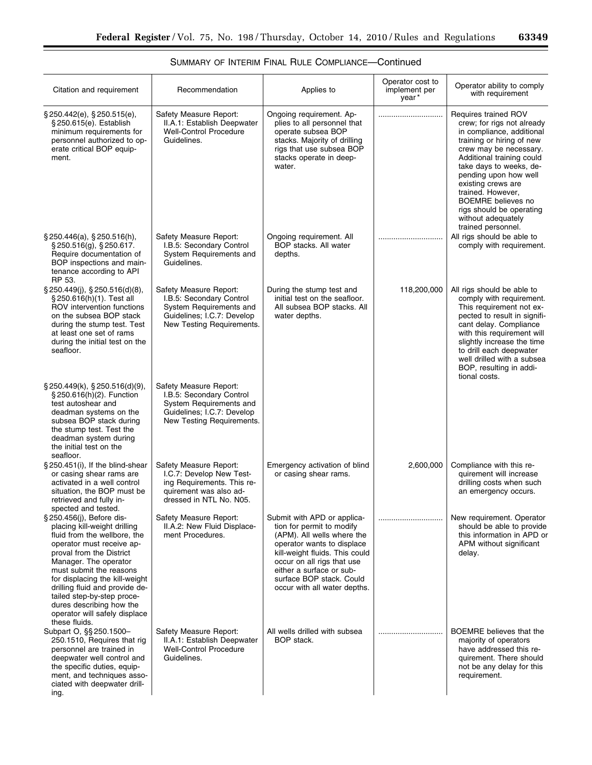۰

| Citation and requirement                                                                                                                                                                                                                                                                                                                                                               | Recommendation                                                                                                                           | Applies to                                                                                                                                                                                                                                                                   | Operator cost to<br>implement per<br>year* | Operator ability to comply<br>with requirement                                                                                                                                                                                                                                                                                                                          |
|----------------------------------------------------------------------------------------------------------------------------------------------------------------------------------------------------------------------------------------------------------------------------------------------------------------------------------------------------------------------------------------|------------------------------------------------------------------------------------------------------------------------------------------|------------------------------------------------------------------------------------------------------------------------------------------------------------------------------------------------------------------------------------------------------------------------------|--------------------------------------------|-------------------------------------------------------------------------------------------------------------------------------------------------------------------------------------------------------------------------------------------------------------------------------------------------------------------------------------------------------------------------|
| $\S 250.442(e)$ , $\S 250.515(e)$ ,<br>§ 250.615(e). Establish<br>minimum requirements for<br>personnel authorized to op-<br>erate critical BOP equip-<br>ment.                                                                                                                                                                                                                        | Safety Measure Report:<br>II.A.1: Establish Deepwater<br><b>Well-Control Procedure</b><br>Guidelines.                                    | Ongoing requirement. Ap-<br>plies to all personnel that<br>operate subsea BOP<br>stacks. Majority of drilling<br>rigs that use subsea BOP<br>stacks operate in deep-<br>water.                                                                                               |                                            | Requires trained ROV<br>crew; for rigs not already<br>in compliance, additional<br>training or hiring of new<br>crew may be necessary.<br>Additional training could<br>take days to weeks, de-<br>pending upon how well<br>existing crews are<br>trained. However,<br><b>BOEMRE</b> believes no<br>rigs should be operating<br>without adequately<br>trained personnel. |
| $\S$ 250.446(a), $\S$ 250.516(h),<br>$\S$ 250.516(g), $\S$ 250.617.<br>Require documentation of<br>BOP inspections and main-<br>tenance according to API<br>RP 53.                                                                                                                                                                                                                     | Safety Measure Report:<br>I.B.5: Secondary Control<br>System Requirements and<br>Guidelines.                                             | Ongoing requirement. All<br>BOP stacks. All water<br>depths.                                                                                                                                                                                                                 |                                            | All rigs should be able to<br>comply with requirement.                                                                                                                                                                                                                                                                                                                  |
| $\S$ 250.449(i), $\S$ 250.516(d)(8),<br>§ 250.616(h)(1). Test all<br>ROV intervention functions<br>on the subsea BOP stack<br>during the stump test. Test<br>at least one set of rams<br>during the initial test on the<br>seafloor.                                                                                                                                                   | Safety Measure Report:<br>I.B.5: Secondary Control<br>System Requirements and<br>Guidelines; I.C.7: Develop<br>New Testing Requirements. | During the stump test and<br>initial test on the seafloor.<br>All subsea BOP stacks. All<br>water depths.                                                                                                                                                                    | 118,200,000                                | All rigs should be able to<br>comply with requirement.<br>This requirement not ex-<br>pected to result in signifi-<br>cant delay. Compliance<br>with this requirement will<br>slightly increase the time<br>to drill each deepwater<br>well drilled with a subsea<br>BOP, resulting in addi-<br>tional costs.                                                           |
| $\S 250.449(k), \S 250.516(d)(9),$<br>§ 250.616(h)(2). Function<br>test autoshear and<br>deadman systems on the<br>subsea BOP stack during<br>the stump test. Test the<br>deadman system during<br>the initial test on the<br>seafloor.                                                                                                                                                | Safety Measure Report:<br>I.B.5: Secondary Control<br>System Requirements and<br>Guidelines; I.C.7: Develop<br>New Testing Requirements. |                                                                                                                                                                                                                                                                              |                                            |                                                                                                                                                                                                                                                                                                                                                                         |
| §250.451(i), If the blind-shear<br>or casing shear rams are<br>activated in a well control<br>situation, the BOP must be<br>retrieved and fully in-<br>spected and tested.                                                                                                                                                                                                             | Safety Measure Report:<br>I.C.7: Develop New Test-<br>ing Requirements. This re-<br>quirement was also ad-<br>dressed in NTL No. N05.    | Emergency activation of blind<br>or casing shear rams.                                                                                                                                                                                                                       | 2,600,000                                  | Compliance with this re-<br>quirement will increase<br>drilling costs when such<br>an emergency occurs.                                                                                                                                                                                                                                                                 |
| § 250.456(j), Before dis-<br>placing kill-weight drilling<br>fluid from the wellbore, the<br>operator must receive ap-<br>proval from the District<br>Manager. The operator<br>must submit the reasons<br>for displacing the kill-weight<br>drilling fluid and provide de-<br>tailed step-by-step proce-<br>dures describing how the<br>operator will safely displace<br>these fluids. | Safety Measure Report:<br>II.A.2: New Fluid Displace-<br>ment Procedures.                                                                | Submit with APD or applica-<br>tion for permit to modify<br>(APM). All wells where the<br>operator wants to displace<br>kill-weight fluids. This could<br>occur on all rigs that use<br>either a surface or sub-<br>surface BOP stack, Could<br>occur with all water depths. |                                            | New requirement. Operator<br>should be able to provide<br>this information in APD or<br>APM without significant<br>delay.                                                                                                                                                                                                                                               |
| Subpart O, §§ 250.1500-<br>250.1510, Requires that rig<br>personnel are trained in<br>deepwater well control and<br>the specific duties, equip-<br>ment, and techniques asso-<br>ciated with deepwater drill-<br>ing.                                                                                                                                                                  | Safety Measure Report:<br>II.A.1: Establish Deepwater<br><b>Well-Control Procedure</b><br>Guidelines.                                    | All wells drilled with subsea<br>BOP stack.                                                                                                                                                                                                                                  |                                            | <b>BOEMRE</b> believes that the<br>majority of operators<br>have addressed this re-<br>quirement. There should<br>not be any delay for this<br>requirement.                                                                                                                                                                                                             |

# SUMMARY OF INTERIM FINAL RULE COMPLIANCE—Continued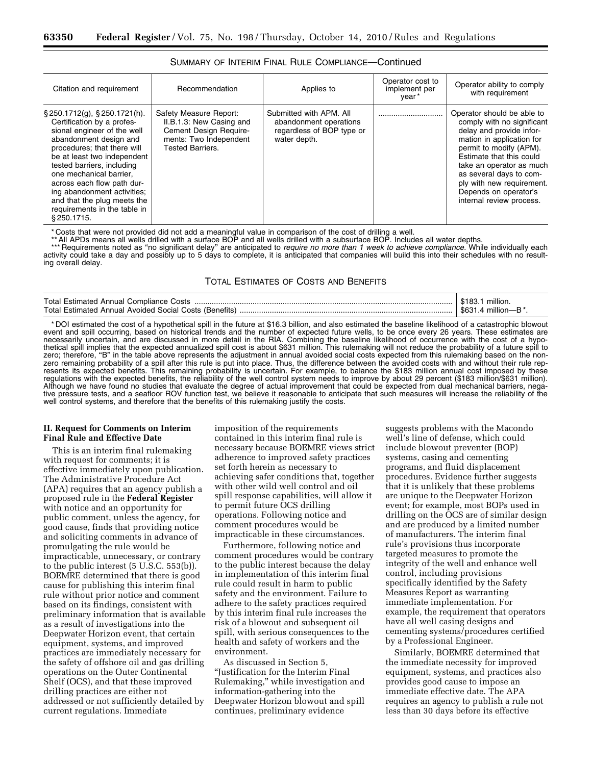| Citation and requirement                                                                                                                                                                                                                                                                                                                                                                       | Recommendation                                                                                                                    | Applies to                                                                                     | Operator cost to<br>implement per<br>vear* | Operator ability to comply<br>with requirement                                                                                                                                                                                                                                                                    |
|------------------------------------------------------------------------------------------------------------------------------------------------------------------------------------------------------------------------------------------------------------------------------------------------------------------------------------------------------------------------------------------------|-----------------------------------------------------------------------------------------------------------------------------------|------------------------------------------------------------------------------------------------|--------------------------------------------|-------------------------------------------------------------------------------------------------------------------------------------------------------------------------------------------------------------------------------------------------------------------------------------------------------------------|
| $\S 250.1712(g)$ , $\S 250.1721(h)$ .<br>Certification by a profes-<br>sional engineer of the well<br>abandonment design and<br>procedures; that there will<br>be at least two independent<br>tested barriers, including<br>one mechanical barrier.<br>across each flow path dur-<br>ing abandonment activities;<br>and that the plug meets the<br>requirements in the table in<br>\$250.1715. | Safety Measure Report:<br>II.B.1.3: New Casing and<br>Cement Design Require-<br>ments: Two Independent<br><b>Tested Barriers.</b> | Submitted with APM, All<br>abandonment operations<br>regardless of BOP type or<br>water depth. |                                            | Operator should be able to<br>comply with no significant<br>delay and provide infor-<br>mation in application for<br>permit to modify (APM).<br>Estimate that this could<br>take an operator as much<br>as several days to com-<br>ply with new requirement.<br>Depends on operator's<br>internal review process. |

#### SUMMARY OF INTERIM FINAL RULE COMPLIANCE—Continued

\* Costs that were not provided did not add a meaningful value in comparison of the cost of drilling a well.

\*\* All APDs means all wells drilled with a surface BOP and all wells drilled with a subsurface BOP. Includes all water depths.<br>\*\*\* Requirements noted as "no significant delay" are anticipated to *require no more than 1 wee* activity could take a day and possibly up to 5 days to complete, it is anticipated that companies will build this into their schedules with no resulting overall delay.

#### TOTAL ESTIMATES OF COSTS AND BENEFITS

| Total Estin.<br>Annual<br>זפר                 | າຟເດເ |
|-----------------------------------------------|-------|
| Total Estimateo<br>Social<br>. nete '<br>nems |       |

\* DOI estimated the cost of a hypothetical spill in the future at \$16.3 billion, and also estimated the baseline likelihood of a catastrophic blowout event and spill occurring, based on historical trends and the number of expected future wells, to be once every 26 years. These estimates are necessarily uncertain, and are discussed in more detail in the RIA. Combining the baseline likelihood of occurrence with the cost of a hypothetical spill implies that the expected annualized spill cost is about \$631 million. This rulemaking will not reduce the probability of a future spill to<br>zero; therefore, "B" in the table above represents the adjustment i zero remaining probability of a spill after this rule is put into place. Thus, the difference between the avoided costs with and without their rule represents its expected benefits. This remaining probability is uncertain. For example, to balance the \$183 million annual cost imposed by these regulations with the expected benefits, the reliability of the well control system needs to improve by about 29 percent (\$183 million/\$631 million). Although we have found no studies that evaluate the degree of actual improvement that could be expected from dual mechanical barriers, negative pressure tests, and a seafloor ROV function test, we believe it reasonable to anticipate that such measures will increase the reliability of the well control systems, and therefore that the benefits of this rulemaking justify the costs.

#### **II. Request for Comments on Interim Final Rule and Effective Date**

This is an interim final rulemaking with request for comments; it is effective immediately upon publication. The Administrative Procedure Act (APA) requires that an agency publish a proposed rule in the **Federal Register**  with notice and an opportunity for public comment, unless the agency, for good cause, finds that providing notice and soliciting comments in advance of promulgating the rule would be impracticable, unnecessary, or contrary to the public interest (5 U.S.C. 553(b)). BOEMRE determined that there is good cause for publishing this interim final rule without prior notice and comment based on its findings, consistent with preliminary information that is available as a result of investigations into the Deepwater Horizon event, that certain equipment, systems, and improved practices are immediately necessary for the safety of offshore oil and gas drilling operations on the Outer Continental Shelf (OCS), and that these improved drilling practices are either not addressed or not sufficiently detailed by current regulations. Immediate

imposition of the requirements contained in this interim final rule is necessary because BOEMRE views strict adherence to improved safety practices set forth herein as necessary to achieving safer conditions that, together with other wild well control and oil spill response capabilities, will allow it to permit future OCS drilling operations. Following notice and comment procedures would be impracticable in these circumstances.

Furthermore, following notice and comment procedures would be contrary to the public interest because the delay in implementation of this interim final rule could result in harm to public safety and the environment. Failure to adhere to the safety practices required by this interim final rule increases the risk of a blowout and subsequent oil spill, with serious consequences to the health and safety of workers and the environment.

As discussed in Section 5, ''Justification for the Interim Final Rulemaking,'' while investigation and information-gathering into the Deepwater Horizon blowout and spill continues, preliminary evidence

suggests problems with the Macondo well's line of defense, which could include blowout preventer (BOP) systems, casing and cementing programs, and fluid displacement procedures. Evidence further suggests that it is unlikely that these problems are unique to the Deepwater Horizon event; for example, most BOPs used in drilling on the OCS are of similar design and are produced by a limited number of manufacturers. The interim final rule's provisions thus incorporate targeted measures to promote the integrity of the well and enhance well control, including provisions specifically identified by the Safety Measures Report as warranting immediate implementation. For example, the requirement that operators have all well casing designs and cementing systems/procedures certified by a Professional Engineer.

Similarly, BOEMRE determined that the immediate necessity for improved equipment, systems, and practices also provides good cause to impose an immediate effective date. The APA requires an agency to publish a rule not less than 30 days before its effective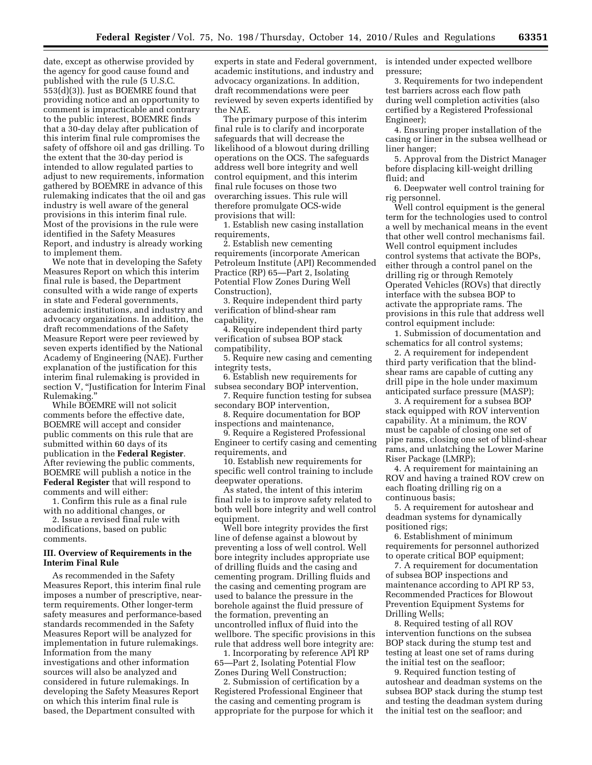date, except as otherwise provided by the agency for good cause found and published with the rule (5 U.S.C. 553(d)(3)). Just as BOEMRE found that providing notice and an opportunity to comment is impracticable and contrary to the public interest, BOEMRE finds that a 30-day delay after publication of this interim final rule compromises the safety of offshore oil and gas drilling. To the extent that the 30-day period is intended to allow regulated parties to adjust to new requirements, information gathered by BOEMRE in advance of this rulemaking indicates that the oil and gas industry is well aware of the general provisions in this interim final rule. Most of the provisions in the rule were identified in the Safety Measures Report, and industry is already working to implement them.

We note that in developing the Safety Measures Report on which this interim final rule is based, the Department consulted with a wide range of experts in state and Federal governments, academic institutions, and industry and advocacy organizations. In addition, the draft recommendations of the Safety Measure Report were peer reviewed by seven experts identified by the National Academy of Engineering (NAE). Further explanation of the justification for this interim final rulemaking is provided in section V, "Justification for Interim Final Rulemaking.''

While BOEMRE will not solicit comments before the effective date, BOEMRE will accept and consider public comments on this rule that are submitted within 60 days of its publication in the **Federal Register**. After reviewing the public comments, BOEMRE will publish a notice in the **Federal Register** that will respond to comments and will either:

1. Confirm this rule as a final rule with no additional changes, or

2. Issue a revised final rule with modifications, based on public comments.

#### **III. Overview of Requirements in the Interim Final Rule**

As recommended in the Safety Measures Report, this interim final rule imposes a number of prescriptive, nearterm requirements. Other longer-term safety measures and performance-based standards recommended in the Safety Measures Report will be analyzed for implementation in future rulemakings. Information from the many investigations and other information sources will also be analyzed and considered in future rulemakings. In developing the Safety Measures Report on which this interim final rule is based, the Department consulted with

experts in state and Federal government, academic institutions, and industry and advocacy organizations. In addition, draft recommendations were peer reviewed by seven experts identified by the NAE.

The primary purpose of this interim final rule is to clarify and incorporate safeguards that will decrease the likelihood of a blowout during drilling operations on the OCS. The safeguards address well bore integrity and well control equipment, and this interim final rule focuses on those two overarching issues. This rule will therefore promulgate OCS-wide provisions that will:

1. Establish new casing installation requirements,

2. Establish new cementing requirements (incorporate American Petroleum Institute (API) Recommended Practice (RP) 65—Part 2, Isolating Potential Flow Zones During Well Construction),

3. Require independent third party verification of blind-shear ram capability,

4. Require independent third party verification of subsea BOP stack compatibility,

5. Require new casing and cementing integrity tests,

6. Establish new requirements for subsea secondary BOP intervention,

7. Require function testing for subsea secondary BOP intervention,

8. Require documentation for BOP inspections and maintenance,

9. Require a Registered Professional Engineer to certify casing and cementing requirements, and

10. Establish new requirements for specific well control training to include deepwater operations.

As stated, the intent of this interim final rule is to improve safety related to both well bore integrity and well control equipment.

Well bore integrity provides the first line of defense against a blowout by preventing a loss of well control. Well bore integrity includes appropriate use of drilling fluids and the casing and cementing program. Drilling fluids and the casing and cementing program are used to balance the pressure in the borehole against the fluid pressure of the formation, preventing an uncontrolled influx of fluid into the wellbore. The specific provisions in this rule that address well bore integrity are:

1. Incorporating by reference API RP 65—Part 2, Isolating Potential Flow Zones During Well Construction;

2. Submission of certification by a Registered Professional Engineer that the casing and cementing program is appropriate for the purpose for which it is intended under expected wellbore pressure;

3. Requirements for two independent test barriers across each flow path during well completion activities (also certified by a Registered Professional Engineer);

4. Ensuring proper installation of the casing or liner in the subsea wellhead or liner hanger;

5. Approval from the District Manager before displacing kill-weight drilling fluid; and

6. Deepwater well control training for rig personnel.

Well control equipment is the general term for the technologies used to control a well by mechanical means in the event that other well control mechanisms fail. Well control equipment includes control systems that activate the BOPs, either through a control panel on the drilling rig or through Remotely Operated Vehicles (ROVs) that directly interface with the subsea BOP to activate the appropriate rams. The provisions in this rule that address well control equipment include:

1. Submission of documentation and schematics for all control systems;

2. A requirement for independent third party verification that the blindshear rams are capable of cutting any drill pipe in the hole under maximum anticipated surface pressure (MASP);

3. A requirement for a subsea BOP stack equipped with ROV intervention capability. At a minimum, the ROV must be capable of closing one set of pipe rams, closing one set of blind-shear rams, and unlatching the Lower Marine Riser Package (LMRP);

4. A requirement for maintaining an ROV and having a trained ROV crew on each floating drilling rig on a continuous basis;

5. A requirement for autoshear and deadman systems for dynamically positioned rigs;

6. Establishment of minimum requirements for personnel authorized to operate critical BOP equipment;

7. A requirement for documentation of subsea BOP inspections and maintenance according to API RP 53, Recommended Practices for Blowout Prevention Equipment Systems for Drilling Wells;

8. Required testing of all ROV intervention functions on the subsea BOP stack during the stump test and testing at least one set of rams during the initial test on the seafloor;

9. Required function testing of autoshear and deadman systems on the subsea BOP stack during the stump test and testing the deadman system during the initial test on the seafloor; and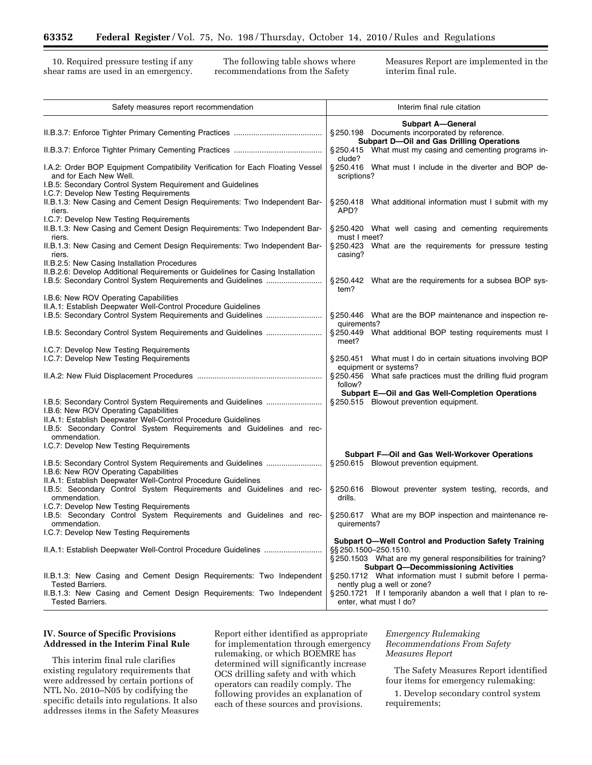shear rams are used in an emergency.

10. Required pressure testing if any The following table shows where Measures Report are implemented in the ear rams are used in an emergency. The following table shows where Measures Report are implemented in the ear rams

| Safety measures report recommendation                                                                    | Interim final rule citation                                                                                                                           |  |  |
|----------------------------------------------------------------------------------------------------------|-------------------------------------------------------------------------------------------------------------------------------------------------------|--|--|
|                                                                                                          | <b>Subpart A-General</b><br>§250.198 Documents incorporated by reference.<br><b>Subpart D-Oil and Gas Drilling Operations</b>                         |  |  |
|                                                                                                          | §250.415 What must my casing and cementing programs in-<br>clude?                                                                                     |  |  |
| I.A.2: Order BOP Equipment Compatibility Verification for Each Floating Vessel<br>and for Each New Well. | §250.416 What must I include in the diverter and BOP de-<br>scriptions?                                                                               |  |  |
| I.B.5: Secondary Control System Requirement and Guidelines<br>I.C.7: Develop New Testing Requirements    |                                                                                                                                                       |  |  |
| II.B.1.3: New Casing and Cement Design Requirements: Two Independent Bar-<br>riers.                      | §250.418 What additional information must I submit with my<br>APD?                                                                                    |  |  |
| I.C.7: Develop New Testing Requirements                                                                  |                                                                                                                                                       |  |  |
| II.B.1.3: New Casing and Cement Design Requirements: Two Independent Bar-<br>riers.                      | §250.420 What well casing and cementing requirements<br>must I meet?                                                                                  |  |  |
| II.B.1.3: New Casing and Cement Design Requirements: Two Independent Bar-<br>riers.                      | §250.423 What are the requirements for pressure testing<br>casing?                                                                                    |  |  |
| II.B.2.5: New Casing Installation Procedures                                                             |                                                                                                                                                       |  |  |
| II.B.2.6: Develop Additional Requirements or Guidelines for Casing Installation                          | §250.442 What are the requirements for a subsea BOP sys-                                                                                              |  |  |
|                                                                                                          | tem?                                                                                                                                                  |  |  |
| I.B.6: New ROV Operating Capabilities<br>II.A.1: Establish Deepwater Well-Control Procedure Guidelines   |                                                                                                                                                       |  |  |
| I.B.5: Secondary Control System Requirements and Guidelines                                              | §250.446 What are the BOP maintenance and inspection re-                                                                                              |  |  |
|                                                                                                          | quirements?                                                                                                                                           |  |  |
|                                                                                                          | § 250.449 What additional BOP testing requirements must I<br>meet?                                                                                    |  |  |
| I.C.7: Develop New Testing Requirements                                                                  |                                                                                                                                                       |  |  |
| I.C.7: Develop New Testing Requirements                                                                  | §250.451 What must I do in certain situations involving BOP                                                                                           |  |  |
|                                                                                                          | equipment or systems?<br>§250.456 What safe practices must the drilling fluid program                                                                 |  |  |
|                                                                                                          | follow?<br>Subpart E-Oil and Gas Well-Completion Operations                                                                                           |  |  |
|                                                                                                          | § 250.515 Blowout prevention equipment.                                                                                                               |  |  |
| I.B.6: New ROV Operating Capabilities                                                                    |                                                                                                                                                       |  |  |
| II.A.1: Establish Deepwater Well-Control Procedure Guidelines                                            |                                                                                                                                                       |  |  |
| I.B.5: Secondary Control System Requirements and Guidelines and rec-<br>ommendation.                     |                                                                                                                                                       |  |  |
| I.C.7: Develop New Testing Requirements                                                                  |                                                                                                                                                       |  |  |
|                                                                                                          | Subpart F-Oil and Gas Well-Workover Operations                                                                                                        |  |  |
| I.B.5: Secondary Control System Requirements and Guidelines<br>I.B.6: New ROV Operating Capabilities     | §250.615 Blowout prevention equipment.                                                                                                                |  |  |
| II.A.1: Establish Deepwater Well-Control Procedure Guidelines                                            |                                                                                                                                                       |  |  |
| I.B.5: Secondary Control System Requirements and Guidelines and rec-<br>ommendation.                     | §250.616 Blowout preventer system testing, records, and<br>drills.                                                                                    |  |  |
| I.C.7: Develop New Testing Requirements                                                                  |                                                                                                                                                       |  |  |
| I.B.5: Secondary Control System Requirements and Guidelines and rec-<br>ommendation.                     | §250.617 What are my BOP inspection and maintenance re-<br>quirements?                                                                                |  |  |
| I.C.7: Develop New Testing Requirements                                                                  |                                                                                                                                                       |  |  |
|                                                                                                          | <b>Subpart O-Well Control and Production Safety Training</b><br>§§ 250.1500–250.1510.<br>§250.1503 What are my general responsibilities for training? |  |  |
| II.B.1.3: New Casing and Cement Design Requirements: Two Independent                                     | <b>Subpart Q-Decommissioning Activities</b><br>§250.1712 What information must I submit before I perma-                                               |  |  |
| <b>Tested Barriers.</b>                                                                                  | nently plug a well or zone?                                                                                                                           |  |  |
| II.B.1.3: New Casing and Cement Design Requirements: Two Independent<br><b>Tested Barriers.</b>          | §250.1721 If I temporarily abandon a well that I plan to re-<br>enter, what must I do?                                                                |  |  |
|                                                                                                          |                                                                                                                                                       |  |  |

### **IV. Source of Specific Provisions Addressed in the Interim Final Rule**

This interim final rule clarifies existing regulatory requirements that were addressed by certain portions of NTL No. 2010–N05 by codifying the specific details into regulations. It also addresses items in the Safety Measures Report either identified as appropriate for implementation through emergency rulemaking, or which BOEMRE has determined will significantly increase OCS drilling safety and with which operators can readily comply. The following provides an explanation of each of these sources and provisions.

*Emergency Rulemaking Recommendations From Safety Measures Report* 

The Safety Measures Report identified four items for emergency rulemaking:

1. Develop secondary control system requirements;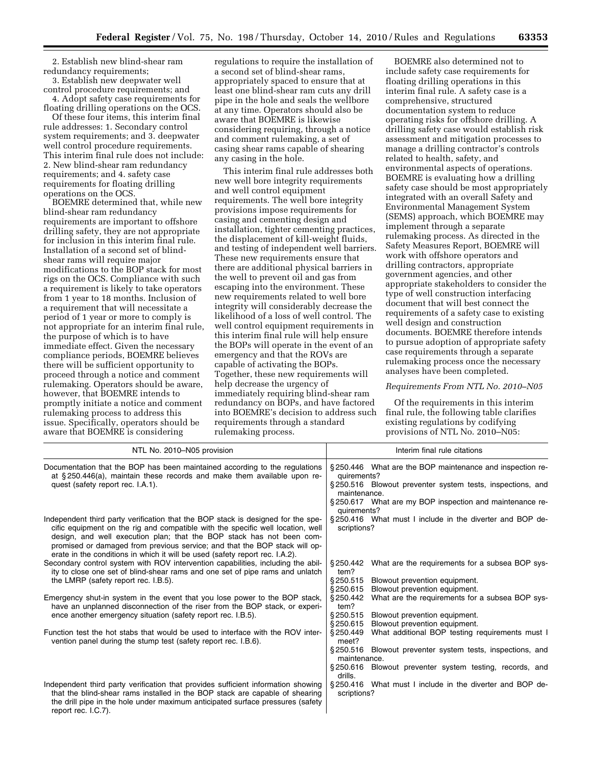2. Establish new blind-shear ram redundancy requirements;

3. Establish new deepwater well control procedure requirements; and 4. Adopt safety case requirements for

floating drilling operations on the OCS. Of these four items, this interim final

rule addresses: 1. Secondary control system requirements; and 3. deepwater well control procedure requirements. This interim final rule does not include: 2. New blind-shear ram redundancy requirements; and 4. safety case requirements for floating drilling operations on the OCS.

BOEMRE determined that, while new blind-shear ram redundancy requirements are important to offshore drilling safety, they are not appropriate for inclusion in this interim final rule. Installation of a second set of blindshear rams will require major modifications to the BOP stack for most rigs on the OCS. Compliance with such a requirement is likely to take operators from 1 year to 18 months. Inclusion of a requirement that will necessitate a period of 1 year or more to comply is not appropriate for an interim final rule, the purpose of which is to have immediate effect. Given the necessary compliance periods, BOEMRE believes there will be sufficient opportunity to proceed through a notice and comment rulemaking. Operators should be aware, however, that BOEMRE intends to promptly initiate a notice and comment rulemaking process to address this issue. Specifically, operators should be aware that BOEMRE is considering

regulations to require the installation of a second set of blind-shear rams, appropriately spaced to ensure that at least one blind-shear ram cuts any drill pipe in the hole and seals the wellbore at any time. Operators should also be aware that BOEMRE is likewise considering requiring, through a notice and comment rulemaking, a set of casing shear rams capable of shearing any casing in the hole.

This interim final rule addresses both new well bore integrity requirements and well control equipment requirements. The well bore integrity provisions impose requirements for casing and cementing design and installation, tighter cementing practices, the displacement of kill-weight fluids, and testing of independent well barriers. These new requirements ensure that there are additional physical barriers in the well to prevent oil and gas from escaping into the environment. These new requirements related to well bore integrity will considerably decrease the likelihood of a loss of well control. The well control equipment requirements in this interim final rule will help ensure the BOPs will operate in the event of an emergency and that the ROVs are capable of activating the BOPs. Together, these new requirements will help decrease the urgency of immediately requiring blind-shear ram redundancy on BOPs, and have factored into BOEMRE's decision to address such requirements through a standard rulemaking process.

BOEMRE also determined not to include safety case requirements for floating drilling operations in this interim final rule. A safety case is a comprehensive, structured documentation system to reduce operating risks for offshore drilling. A drilling safety case would establish risk assessment and mitigation processes to manage a drilling contractor's controls related to health, safety, and environmental aspects of operations. BOEMRE is evaluating how a drilling safety case should be most appropriately integrated with an overall Safety and Environmental Management System (SEMS) approach, which BOEMRE may implement through a separate rulemaking process. As directed in the Safety Measures Report, BOEMRE will work with offshore operators and drilling contractors, appropriate government agencies, and other appropriate stakeholders to consider the type of well construction interfacing document that will best connect the requirements of a safety case to existing well design and construction documents. BOEMRE therefore intends to pursue adoption of appropriate safety case requirements through a separate rulemaking process once the necessary analyses have been completed.

#### *Requirements From NTL No. 2010–N05*

Of the requirements in this interim final rule, the following table clarifies existing regulations by codifying provisions of NTL No. 2010–N05:

| NTL No. 2010-N05 provision                                                                                                                                                                                                                                                                                                                                                                                 | Interim final rule citations                                                                                                                                                                                         |
|------------------------------------------------------------------------------------------------------------------------------------------------------------------------------------------------------------------------------------------------------------------------------------------------------------------------------------------------------------------------------------------------------------|----------------------------------------------------------------------------------------------------------------------------------------------------------------------------------------------------------------------|
| Documentation that the BOP has been maintained according to the regulations<br>at §250.446(a), maintain these records and make them available upon re-<br>quest (safety report rec. I.A.1).                                                                                                                                                                                                                | §250.446 What are the BOP maintenance and inspection re-<br>quirements?<br>§250.516 Blowout preventer system tests, inspections, and<br>maintenance.<br>§250.617 What are my BOP inspection and maintenance re-      |
| Independent third party verification that the BOP stack is designed for the spe-<br>cific equipment on the rig and compatible with the specific well location, well<br>design, and well execution plan; that the BOP stack has not been com-<br>promised or damaged from previous service; and that the BOP stack will op-<br>erate in the conditions in which it will be used (safety report rec. I.A.2). | quirements?<br>§250.416 What must I include in the diverter and BOP de-<br>scriptions?                                                                                                                               |
| Secondary control system with ROV intervention capabilities, including the abil-<br>ity to close one set of blind-shear rams and one set of pipe rams and unlatch<br>the LMRP (safety report rec. I.B.5).                                                                                                                                                                                                  | What are the requirements for a subsea BOP sys-<br>§ 250.442<br>tem?<br>\$250.515<br>Blowout prevention equipment.<br>\$250.615<br>Blowout prevention equipment.                                                     |
| Emergency shut-in system in the event that you lose power to the BOP stack,<br>have an unplanned disconnection of the riser from the BOP stack, or experi-<br>ence another emergency situation (safety report rec. I.B.5).                                                                                                                                                                                 | \$250.442<br>What are the requirements for a subsea BOP sys-<br>tem?<br>\$250.515<br>Blowout prevention equipment.<br>\$250.615<br>Blowout prevention equipment.                                                     |
| Function test the hot stabs that would be used to interface with the ROV inter-<br>vention panel during the stump test (safety report rec. I.B.6).                                                                                                                                                                                                                                                         | §250.449<br>What additional BOP testing requirements must I<br>meet?<br>§ 250.516<br>Blowout preventer system tests, inspections, and<br>maintenance.<br>\$250.616<br>Blowout preventer system testing, records, and |
| Independent third party verification that provides sufficient information showing<br>that the blind-shear rams installed in the BOP stack are capable of shearing<br>the drill pipe in the hole under maximum anticipated surface pressures (safety<br>report rec. I.C.7).                                                                                                                                 | drills.<br>§250.416 What must I include in the diverter and BOP de-<br>scriptions?                                                                                                                                   |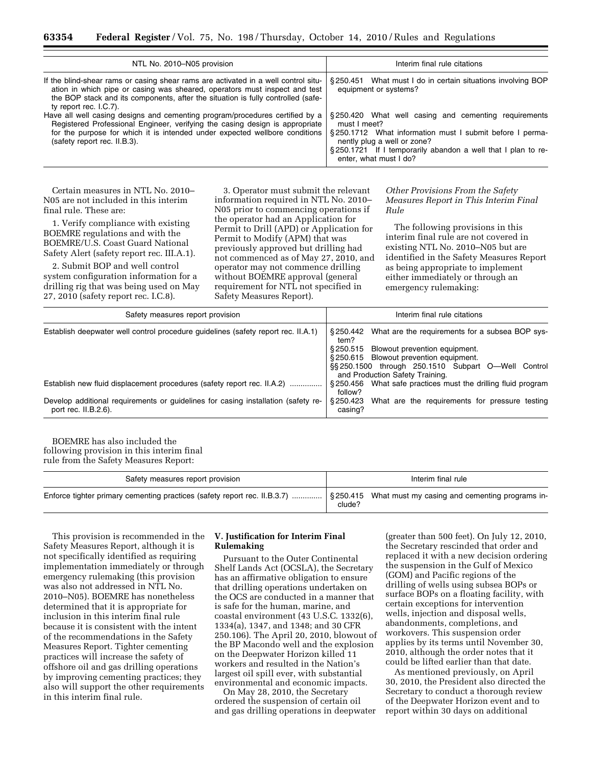| NTL No. 2010-N05 provision                                                                                                                                                                                                                                                     | Interim final rule citations                                                                                                                                                                                                                              |
|--------------------------------------------------------------------------------------------------------------------------------------------------------------------------------------------------------------------------------------------------------------------------------|-----------------------------------------------------------------------------------------------------------------------------------------------------------------------------------------------------------------------------------------------------------|
| If the blind-shear rams or casing shear rams are activated in a well control situ-<br>ation in which pipe or casing was sheared, operators must inspect and test<br>the BOP stack and its components, after the situation is fully controlled (safe-<br>ty report rec. I.C.7). | §250.451 What must I do in certain situations involving BOP<br>equipment or systems?                                                                                                                                                                      |
| Have all well casing designs and cementing program/procedures certified by a<br>Registered Professional Engineer, verifying the casing design is appropriate<br>for the purpose for which it is intended under expected wellbore conditions<br>(safety report rec. II.B.3).    | §250.420 What well casing and cementing requirements<br>must I meet?<br>§250.1712 What information must I submit before I perma-<br>nently plug a well or zone?<br>§250.1721 If I temporarily abandon a well that I plan to re-<br>enter, what must I do? |

Certain measures in NTL No. 2010– N05 are not included in this interim final rule. These are:

1. Verify compliance with existing BOEMRE regulations and with the BOEMRE/U.S. Coast Guard National Safety Alert (safety report rec. III.A.1).

2. Submit BOP and well control system configuration information for a drilling rig that was being used on May 27, 2010 (safety report rec. I.C.8).

3. Operator must submit the relevant information required in NTL No. 2010– N05 prior to commencing operations if the operator had an Application for Permit to Drill (APD) or Application for Permit to Modify (APM) that was previously approved but drilling had not commenced as of May 27, 2010, and operator may not commence drilling without BOEMRE approval (general requirement for NTL not specified in Safety Measures Report).

#### *Other Provisions From the Safety Measures Report in This Interim Final Rule*

The following provisions in this interim final rule are not covered in existing NTL No. 2010–N05 but are identified in the Safety Measures Report as being appropriate to implement either immediately or through an emergency rulemaking:

| Safety measures report provision                                                                             | Interim final rule citations                                                                                                                                              |  |  |
|--------------------------------------------------------------------------------------------------------------|---------------------------------------------------------------------------------------------------------------------------------------------------------------------------|--|--|
| Establish deepwater well control procedure quidelines (safety report rec. II.A.1)                            | §250.442 What are the requirements for a subsea BOP sys-<br>tem?                                                                                                          |  |  |
|                                                                                                              | §250.515 Blowout prevention equipment.<br>§250.615 Blowout prevention equipment.<br>§§250.1500 through 250.1510 Subpart O—Well Control<br>and Production Safety Training. |  |  |
| Establish new fluid displacement procedures (safety report rec. II.A.2)                                      | §250.456 What safe practices must the drilling fluid program<br>follow?                                                                                                   |  |  |
| Develop additional requirements or guidelines for casing installation (safety re-<br>port rec. $II.B.2.6$ ). | What are the requirements for pressure testing<br>§ 250.423<br>casing?                                                                                                    |  |  |

BOEMRE has also included the following provision in this interim final rule from the Safety Measures Report:

| Safety measures report provision                                                                                                    | Interim final rule |
|-------------------------------------------------------------------------------------------------------------------------------------|--------------------|
|                                                                                                                                     |                    |
| Enforce tighter primary cementing practices (safety report rec. II.B.3.7)  \$250.415 What must my casing and cementing programs in- | clude?             |

This provision is recommended in the Safety Measures Report, although it is not specifically identified as requiring implementation immediately or through emergency rulemaking (this provision was also not addressed in NTL No. 2010–N05). BOEMRE has nonetheless determined that it is appropriate for inclusion in this interim final rule because it is consistent with the intent of the recommendations in the Safety Measures Report. Tighter cementing practices will increase the safety of offshore oil and gas drilling operations by improving cementing practices; they also will support the other requirements in this interim final rule.

# **V. Justification for Interim Final Rulemaking**

Pursuant to the Outer Continental Shelf Lands Act (OCSLA), the Secretary has an affirmative obligation to ensure that drilling operations undertaken on the OCS are conducted in a manner that is safe for the human, marine, and coastal environment (43 U.S.C. 1332(6), 1334(a), 1347, and 1348; and 30 CFR 250.106). The April 20, 2010, blowout of the BP Macondo well and the explosion on the Deepwater Horizon killed 11 workers and resulted in the Nation's largest oil spill ever, with substantial environmental and economic impacts.

On May 28, 2010, the Secretary ordered the suspension of certain oil and gas drilling operations in deepwater

(greater than 500 feet). On July 12, 2010, the Secretary rescinded that order and replaced it with a new decision ordering the suspension in the Gulf of Mexico (GOM) and Pacific regions of the drilling of wells using subsea BOPs or surface BOPs on a floating facility, with certain exceptions for intervention wells, injection and disposal wells, abandonments, completions, and workovers. This suspension order applies by its terms until November 30, 2010, although the order notes that it could be lifted earlier than that date.

As mentioned previously, on April 30, 2010, the President also directed the Secretary to conduct a thorough review of the Deepwater Horizon event and to report within 30 days on additional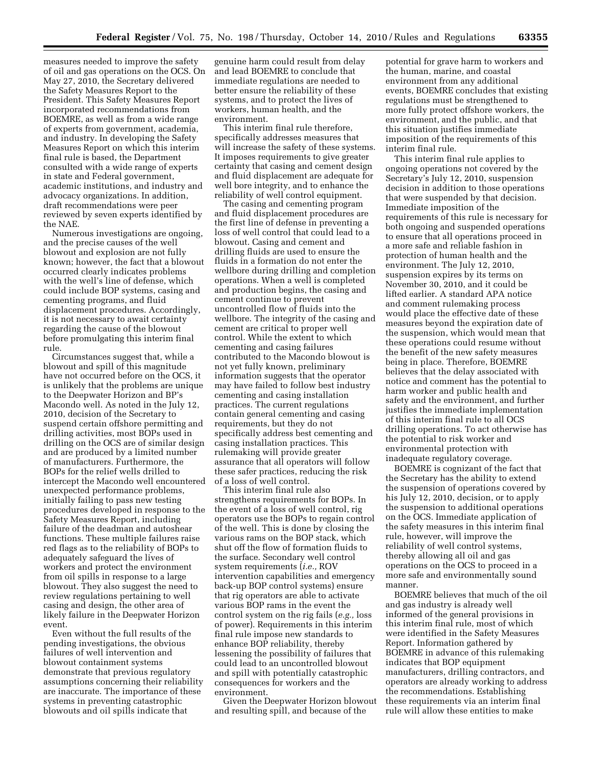measures needed to improve the safety of oil and gas operations on the OCS. On May 27, 2010, the Secretary delivered the Safety Measures Report to the President. This Safety Measures Report incorporated recommendations from BOEMRE, as well as from a wide range of experts from government, academia, and industry. In developing the Safety Measures Report on which this interim final rule is based, the Department consulted with a wide range of experts in state and Federal government, academic institutions, and industry and advocacy organizations. In addition, draft recommendations were peer reviewed by seven experts identified by the NAE.

Numerous investigations are ongoing, and the precise causes of the well blowout and explosion are not fully known; however, the fact that a blowout occurred clearly indicates problems with the well's line of defense, which could include BOP systems, casing and cementing programs, and fluid displacement procedures. Accordingly, it is not necessary to await certainty regarding the cause of the blowout before promulgating this interim final rule.

Circumstances suggest that, while a blowout and spill of this magnitude have not occurred before on the OCS, it is unlikely that the problems are unique to the Deepwater Horizon and BP's Macondo well. As noted in the July 12, 2010, decision of the Secretary to suspend certain offshore permitting and drilling activities, most BOPs used in drilling on the OCS are of similar design and are produced by a limited number of manufacturers. Furthermore, the BOPs for the relief wells drilled to intercept the Macondo well encountered unexpected performance problems, initially failing to pass new testing procedures developed in response to the Safety Measures Report, including failure of the deadman and autoshear functions. These multiple failures raise red flags as to the reliability of BOPs to adequately safeguard the lives of workers and protect the environment from oil spills in response to a large blowout. They also suggest the need to review regulations pertaining to well casing and design, the other area of likely failure in the Deepwater Horizon event.

Even without the full results of the pending investigations, the obvious failures of well intervention and blowout containment systems demonstrate that previous regulatory assumptions concerning their reliability are inaccurate. The importance of these systems in preventing catastrophic blowouts and oil spills indicate that

genuine harm could result from delay and lead BOEMRE to conclude that immediate regulations are needed to better ensure the reliability of these systems, and to protect the lives of workers, human health, and the environment.

This interim final rule therefore, specifically addresses measures that will increase the safety of these systems. It imposes requirements to give greater certainty that casing and cement design and fluid displacement are adequate for well bore integrity, and to enhance the reliability of well control equipment.

The casing and cementing program and fluid displacement procedures are the first line of defense in preventing a loss of well control that could lead to a blowout. Casing and cement and drilling fluids are used to ensure the fluids in a formation do not enter the wellbore during drilling and completion operations. When a well is completed and production begins, the casing and cement continue to prevent uncontrolled flow of fluids into the wellbore. The integrity of the casing and cement are critical to proper well control. While the extent to which cementing and casing failures contributed to the Macondo blowout is not yet fully known, preliminary information suggests that the operator may have failed to follow best industry cementing and casing installation practices. The current regulations contain general cementing and casing requirements, but they do not specifically address best cementing and casing installation practices. This rulemaking will provide greater assurance that all operators will follow these safer practices, reducing the risk of a loss of well control.

This interim final rule also strengthens requirements for BOPs. In the event of a loss of well control, rig operators use the BOPs to regain control of the well. This is done by closing the various rams on the BOP stack, which shut off the flow of formation fluids to the surface. Secondary well control system requirements (*i.e.,* ROV intervention capabilities and emergency back-up BOP control systems) ensure that rig operators are able to activate various BOP rams in the event the control system on the rig fails (*e.g.,* loss of power). Requirements in this interim final rule impose new standards to enhance BOP reliability, thereby lessening the possibility of failures that could lead to an uncontrolled blowout and spill with potentially catastrophic consequences for workers and the environment.

Given the Deepwater Horizon blowout and resulting spill, and because of the

potential for grave harm to workers and the human, marine, and coastal environment from any additional events, BOEMRE concludes that existing regulations must be strengthened to more fully protect offshore workers, the environment, and the public, and that this situation justifies immediate imposition of the requirements of this interim final rule.

This interim final rule applies to ongoing operations not covered by the Secretary's July 12, 2010, suspension decision in addition to those operations that were suspended by that decision. Immediate imposition of the requirements of this rule is necessary for both ongoing and suspended operations to ensure that all operations proceed in a more safe and reliable fashion in protection of human health and the environment. The July 12, 2010, suspension expires by its terms on November 30, 2010, and it could be lifted earlier. A standard APA notice and comment rulemaking process would place the effective date of these measures beyond the expiration date of the suspension, which would mean that these operations could resume without the benefit of the new safety measures being in place. Therefore, BOEMRE believes that the delay associated with notice and comment has the potential to harm worker and public health and safety and the environment, and further justifies the immediate implementation of this interim final rule to all OCS drilling operations. To act otherwise has the potential to risk worker and environmental protection with inadequate regulatory coverage.

BOEMRE is cognizant of the fact that the Secretary has the ability to extend the suspension of operations covered by his July 12, 2010, decision, or to apply the suspension to additional operations on the OCS. Immediate application of the safety measures in this interim final rule, however, will improve the reliability of well control systems, thereby allowing all oil and gas operations on the OCS to proceed in a more safe and environmentally sound manner.

BOEMRE believes that much of the oil and gas industry is already well informed of the general provisions in this interim final rule, most of which were identified in the Safety Measures Report. Information gathered by BOEMRE in advance of this rulemaking indicates that BOP equipment manufacturers, drilling contractors, and operators are already working to address the recommendations. Establishing these requirements via an interim final rule will allow these entities to make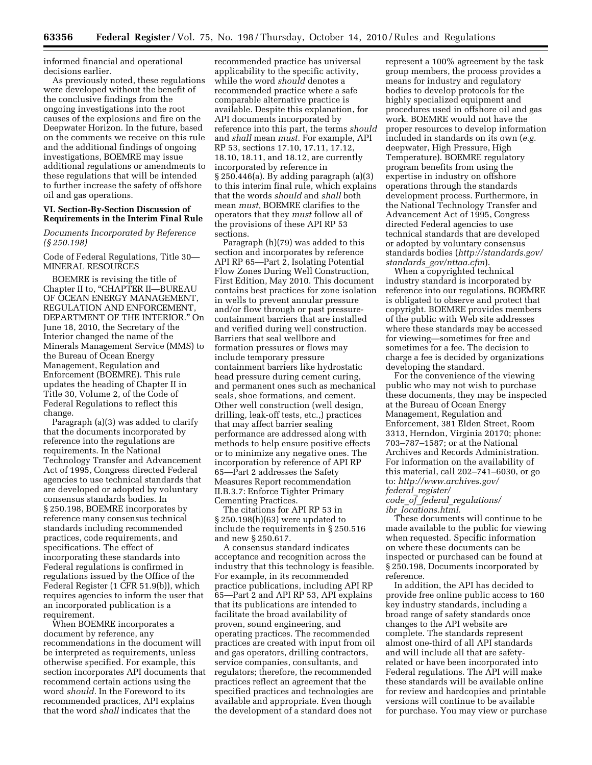informed financial and operational decisions earlier.

As previously noted, these regulations were developed without the benefit of the conclusive findings from the ongoing investigations into the root causes of the explosions and fire on the Deepwater Horizon. In the future, based on the comments we receive on this rule and the additional findings of ongoing investigations, BOEMRE may issue additional regulations or amendments to these regulations that will be intended to further increase the safety of offshore oil and gas operations.

#### **VI. Section-By-Section Discussion of Requirements in the Interim Final Rule**

*Documents Incorporated by Reference (§ 250.198)* 

Code of Federal Regulations, Title 30— MINERAL RESOURCES

BOEMRE is revising the title of Chapter II to, "CHAPTER II-BUREAU OF OCEAN ENERGY MANAGEMENT, REGULATION AND ENFORCEMENT, DEPARTMENT OF THE INTERIOR.'' On June 18, 2010, the Secretary of the Interior changed the name of the Minerals Management Service (MMS) to the Bureau of Ocean Energy Management, Regulation and Enforcement (BOEMRE). This rule updates the heading of Chapter II in Title 30, Volume 2, of the Code of Federal Regulations to reflect this change.

Paragraph (a)(3) was added to clarify that the documents incorporated by reference into the regulations are requirements. In the National Technology Transfer and Advancement Act of 1995, Congress directed Federal agencies to use technical standards that are developed or adopted by voluntary consensus standards bodies. In § 250.198, BOEMRE incorporates by reference many consensus technical standards including recommended practices, code requirements, and specifications. The effect of incorporating these standards into Federal regulations is confirmed in regulations issued by the Office of the Federal Register (1 CFR 51.9(b)), which requires agencies to inform the user that an incorporated publication is a requirement.

When BOEMRE incorporates a document by reference, any recommendations in the document will be interpreted as requirements, unless otherwise specified. For example, this section incorporates API documents that recommend certain actions using the word *should.* In the Foreword to its recommended practices, API explains that the word *shall* indicates that the

recommended practice has universal applicability to the specific activity, while the word *should* denotes a recommended practice where a safe comparable alternative practice is available. Despite this explanation, for API documents incorporated by reference into this part, the terms *should*  and *shall* mean *must.* For example, API RP 53, sections 17.10, 17.11, 17.12, 18.10, 18.11, and 18.12, are currently incorporated by reference in § 250.446(a). By adding paragraph (a)(3) to this interim final rule, which explains that the words *should* and *shall* both mean *must,* BOEMRE clarifies to the operators that they *must* follow all of the provisions of these API RP 53 sections.

Paragraph (h)(79) was added to this section and incorporates by reference API RP 65—Part 2, Isolating Potential Flow Zones During Well Construction, First Edition, May 2010. This document contains best practices for zone isolation in wells to prevent annular pressure and/or flow through or past pressurecontainment barriers that are installed and verified during well construction. Barriers that seal wellbore and formation pressures or flows may include temporary pressure containment barriers like hydrostatic head pressure during cement curing, and permanent ones such as mechanical seals, shoe formations, and cement. Other well construction (well design, drilling, leak-off tests, etc.,) practices that may affect barrier sealing performance are addressed along with methods to help ensure positive effects or to minimize any negative ones. The incorporation by reference of API RP 65—Part 2 addresses the Safety Measures Report recommendation II.B.3.7: Enforce Tighter Primary Cementing Practices.

The citations for API RP 53 in § 250.198(h)(63) were updated to include the requirements in § 250.516 and new § 250.617.

A consensus standard indicates acceptance and recognition across the industry that this technology is feasible. For example, in its recommended practice publications, including API RP 65—Part 2 and API RP 53, API explains that its publications are intended to facilitate the broad availability of proven, sound engineering, and operating practices. The recommended practices are created with input from oil and gas operators, drilling contractors, service companies, consultants, and regulators; therefore, the recommended practices reflect an agreement that the specified practices and technologies are available and appropriate. Even though the development of a standard does not

represent a 100% agreement by the task group members, the process provides a means for industry and regulatory bodies to develop protocols for the highly specialized equipment and procedures used in offshore oil and gas work. BOEMRE would not have the proper resources to develop information included in standards on its own (*e.g.*  deepwater, High Pressure, High Temperature). BOEMRE regulatory program benefits from using the expertise in industry on offshore operations through the standards development process. Furthermore, in the National Technology Transfer and Advancement Act of 1995, Congress directed Federal agencies to use technical standards that are developed or adopted by voluntary consensus standards bodies (*[http://standards.gov/](http://standards.gov/standards_gov/nttaa.cfm)  standards*\_*[gov/nttaa.cfm](http://standards.gov/standards_gov/nttaa.cfm)*).

When a copyrighted technical industry standard is incorporated by reference into our regulations, BOEMRE is obligated to observe and protect that copyright. BOEMRE provides members of the public with Web site addresses where these standards may be accessed for viewing—sometimes for free and sometimes for a fee. The decision to charge a fee is decided by organizations developing the standard.

For the convenience of the viewing public who may not wish to purchase these documents, they may be inspected at the Bureau of Ocean Energy Management, Regulation and Enforcement, 381 Elden Street, Room 3313, Herndon, Virginia 20170; phone: 703–787–1587; or at the National Archives and Records Administration. For information on the availability of this material, call 202–741–6030, or go to: *[http://www.archives.gov/](http://www.archives.gov/federal_register/code_of_federal_regulations/ibr_locations.html) federal*\_*[register/](http://www.archives.gov/federal_register/code_of_federal_regulations/ibr_locations.html)* 

*code*\_*of*\_*federal*\_*[regulations/](http://www.archives.gov/federal_register/code_of_federal_regulations/ibr_locations.html)  ibr*\_*[locations.html](http://www.archives.gov/federal_register/code_of_federal_regulations/ibr_locations.html)*.

These documents will continue to be made available to the public for viewing when requested. Specific information on where these documents can be inspected or purchased can be found at § 250.198, Documents incorporated by reference.

In addition, the API has decided to provide free online public access to 160 key industry standards, including a broad range of safety standards once changes to the API website are complete. The standards represent almost one-third of all API standards and will include all that are safetyrelated or have been incorporated into Federal regulations. The API will make these standards will be available online for review and hardcopies and printable versions will continue to be available for purchase. You may view or purchase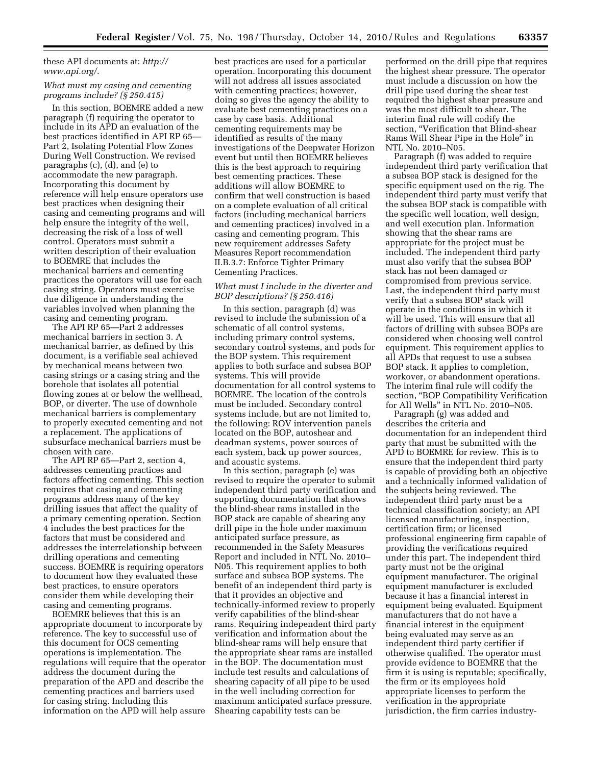#### [these API documents at:](http://www.api.org/) *http:// www.api.org/*.

#### *What must my casing and cementing programs include? (§ 250.415)*

In this section, BOEMRE added a new paragraph (f) requiring the operator to include in its APD an evaluation of the best practices identified in API RP 65— Part 2, Isolating Potential Flow Zones During Well Construction. We revised paragraphs (c), (d), and (e) to accommodate the new paragraph. Incorporating this document by reference will help ensure operators use best practices when designing their casing and cementing programs and will help ensure the integrity of the well, decreasing the risk of a loss of well control. Operators must submit a written description of their evaluation to BOEMRE that includes the mechanical barriers and cementing practices the operators will use for each casing string. Operators must exercise due diligence in understanding the variables involved when planning the casing and cementing program.

The API RP 65—Part 2 addresses mechanical barriers in section 3. A mechanical barrier, as defined by this document, is a verifiable seal achieved by mechanical means between two casing strings or a casing string and the borehole that isolates all potential flowing zones at or below the wellhead, BOP, or diverter. The use of downhole mechanical barriers is complementary to properly executed cementing and not a replacement. The applications of subsurface mechanical barriers must be chosen with care.

The API RP 65—Part 2, section 4, addresses cementing practices and factors affecting cementing. This section requires that casing and cementing programs address many of the key drilling issues that affect the quality of a primary cementing operation. Section 4 includes the best practices for the factors that must be considered and addresses the interrelationship between drilling operations and cementing success. BOEMRE is requiring operators to document how they evaluated these best practices, to ensure operators consider them while developing their casing and cementing programs.

BOEMRE believes that this is an appropriate document to incorporate by reference. The key to successful use of this document for OCS cementing operations is implementation. The regulations will require that the operator address the document during the preparation of the APD and describe the cementing practices and barriers used for casing string. Including this information on the APD will help assure

best practices are used for a particular operation. Incorporating this document will not address all issues associated with cementing practices; however, doing so gives the agency the ability to evaluate best cementing practices on a case by case basis. Additional cementing requirements may be identified as results of the many investigations of the Deepwater Horizon event but until then BOEMRE believes this is the best approach to requiring best cementing practices. These additions will allow BOEMRE to confirm that well construction is based on a complete evaluation of all critical factors (including mechanical barriers and cementing practices) involved in a casing and cementing program. This new requirement addresses Safety Measures Report recommendation II.B.3.7: Enforce Tighter Primary Cementing Practices.

#### *What must I include in the diverter and BOP descriptions? (§ 250.416)*

In this section, paragraph (d) was revised to include the submission of a schematic of all control systems, including primary control systems, secondary control systems, and pods for the BOP system. This requirement applies to both surface and subsea BOP systems. This will provide documentation for all control systems to BOEMRE. The location of the controls must be included. Secondary control systems include, but are not limited to, the following: ROV intervention panels located on the BOP, autoshear and deadman systems, power sources of each system, back up power sources, and acoustic systems.

In this section, paragraph (e) was revised to require the operator to submit independent third party verification and supporting documentation that shows the blind-shear rams installed in the BOP stack are capable of shearing any drill pipe in the hole under maximum anticipated surface pressure, as recommended in the Safety Measures Report and included in NTL No. 2010– N05. This requirement applies to both surface and subsea BOP systems. The benefit of an independent third party is that it provides an objective and technically-informed review to properly verify capabilities of the blind-shear rams. Requiring independent third party verification and information about the blind-shear rams will help ensure that the appropriate shear rams are installed in the BOP. The documentation must include test results and calculations of shearing capacity of all pipe to be used in the well including correction for maximum anticipated surface pressure. Shearing capability tests can be

performed on the drill pipe that requires the highest shear pressure. The operator must include a discussion on how the drill pipe used during the shear test required the highest shear pressure and was the most difficult to shear. The interim final rule will codify the section, ''Verification that Blind-shear Rams Will Shear Pipe in the Hole'' in NTL No. 2010–N05.

Paragraph (f) was added to require independent third party verification that a subsea BOP stack is designed for the specific equipment used on the rig. The independent third party must verify that the subsea BOP stack is compatible with the specific well location, well design, and well execution plan. Information showing that the shear rams are appropriate for the project must be included. The independent third party must also verify that the subsea BOP stack has not been damaged or compromised from previous service. Last, the independent third party must verify that a subsea BOP stack will operate in the conditions in which it will be used. This will ensure that all factors of drilling with subsea BOPs are considered when choosing well control equipment. This requirement applies to all APDs that request to use a subsea BOP stack. It applies to completion, workover, or abandonment operations. The interim final rule will codify the section, ''BOP Compatibility Verification for All Wells'' in NTL No. 2010–N05.

Paragraph (g) was added and describes the criteria and documentation for an independent third party that must be submitted with the APD to BOEMRE for review. This is to ensure that the independent third party is capable of providing both an objective and a technically informed validation of the subjects being reviewed. The independent third party must be a technical classification society; an API licensed manufacturing, inspection, certification firm; or licensed professional engineering firm capable of providing the verifications required under this part. The independent third party must not be the original equipment manufacturer. The original equipment manufacturer is excluded because it has a financial interest in equipment being evaluated. Equipment manufacturers that do not have a financial interest in the equipment being evaluated may serve as an independent third party certifier if otherwise qualified. The operator must provide evidence to BOEMRE that the firm it is using is reputable; specifically, the firm or its employees hold appropriate licenses to perform the verification in the appropriate jurisdiction, the firm carries industry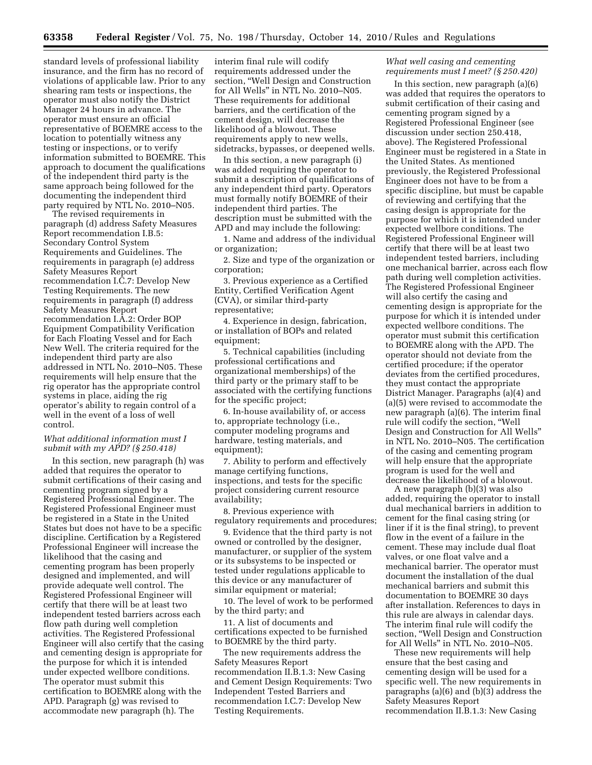standard levels of professional liability insurance, and the firm has no record of violations of applicable law. Prior to any shearing ram tests or inspections, the operator must also notify the District Manager 24 hours in advance. The operator must ensure an official representative of BOEMRE access to the location to potentially witness any testing or inspections, or to verify information submitted to BOEMRE. This approach to document the qualifications of the independent third party is the same approach being followed for the documenting the independent third party required by NTL No. 2010–N05.

The revised requirements in paragraph (d) address Safety Measures Report recommendation I.B.5: Secondary Control System Requirements and Guidelines. The requirements in paragraph (e) address Safety Measures Report recommendation I.C.7: Develop New Testing Requirements. The new requirements in paragraph (f) address Safety Measures Report recommendation I.A.2: Order BOP Equipment Compatibility Verification for Each Floating Vessel and for Each New Well. The criteria required for the independent third party are also addressed in NTL No. 2010–N05. These requirements will help ensure that the rig operator has the appropriate control systems in place, aiding the rig operator's ability to regain control of a well in the event of a loss of well control.

#### *What additional information must I submit with my APD? (§ 250.418)*

In this section, new paragraph (h) was added that requires the operator to submit certifications of their casing and cementing program signed by a Registered Professional Engineer. The Registered Professional Engineer must be registered in a State in the United States but does not have to be a specific discipline. Certification by a Registered Professional Engineer will increase the likelihood that the casing and cementing program has been properly designed and implemented, and will provide adequate well control. The Registered Professional Engineer will certify that there will be at least two independent tested barriers across each flow path during well completion activities. The Registered Professional Engineer will also certify that the casing and cementing design is appropriate for the purpose for which it is intended under expected wellbore conditions. The operator must submit this certification to BOEMRE along with the APD. Paragraph (g) was revised to accommodate new paragraph (h). The

interim final rule will codify requirements addressed under the section, ''Well Design and Construction for All Wells'' in NTL No. 2010–N05. These requirements for additional barriers, and the certification of the cement design, will decrease the likelihood of a blowout. These requirements apply to new wells, sidetracks, bypasses, or deepened wells.

In this section, a new paragraph (i) was added requiring the operator to submit a description of qualifications of any independent third party. Operators must formally notify BOEMRE of their independent third parties. The description must be submitted with the APD and may include the following:

1. Name and address of the individual or organization;

2. Size and type of the organization or corporation;

3. Previous experience as a Certified Entity, Certified Verification Agent (CVA), or similar third-party representative;

4. Experience in design, fabrication, or installation of BOPs and related equipment;

5. Technical capabilities (including professional certifications and organizational memberships) of the third party or the primary staff to be associated with the certifying functions for the specific project;

6. In-house availability of, or access to, appropriate technology (i.e., computer modeling programs and hardware, testing materials, and equipment);

7. Ability to perform and effectively manage certifying functions, inspections, and tests for the specific project considering current resource availability;

8. Previous experience with regulatory requirements and procedures;

9. Evidence that the third party is not owned or controlled by the designer, manufacturer, or supplier of the system or its subsystems to be inspected or tested under regulations applicable to this device or any manufacturer of similar equipment or material;

10. The level of work to be performed by the third party; and

11. A list of documents and certifications expected to be furnished to BOEMRE by the third party.

The new requirements address the Safety Measures Report recommendation II.B.1.3: New Casing and Cement Design Requirements: Two Independent Tested Barriers and recommendation I.C.7: Develop New Testing Requirements.

#### *What well casing and cementing requirements must I meet? (§ 250.420)*

In this section, new paragraph (a)(6) was added that requires the operators to submit certification of their casing and cementing program signed by a Registered Professional Engineer (see discussion under section 250.418, above). The Registered Professional Engineer must be registered in a State in the United States. As mentioned previously, the Registered Professional Engineer does not have to be from a specific discipline, but must be capable of reviewing and certifying that the casing design is appropriate for the purpose for which it is intended under expected wellbore conditions. The Registered Professional Engineer will certify that there will be at least two independent tested barriers, including one mechanical barrier, across each flow path during well completion activities. The Registered Professional Engineer will also certify the casing and cementing design is appropriate for the purpose for which it is intended under expected wellbore conditions. The operator must submit this certification to BOEMRE along with the APD. The operator should not deviate from the certified procedure; if the operator deviates from the certified procedures, they must contact the appropriate District Manager. Paragraphs (a)(4) and (a)(5) were revised to accommodate the new paragraph (a)(6). The interim final rule will codify the section, ''Well Design and Construction for All Wells'' in NTL No. 2010–N05. The certification of the casing and cementing program will help ensure that the appropriate program is used for the well and decrease the likelihood of a blowout.

A new paragraph (b)(3) was also added, requiring the operator to install dual mechanical barriers in addition to cement for the final casing string (or liner if it is the final string), to prevent flow in the event of a failure in the cement. These may include dual float valves, or one float valve and a mechanical barrier. The operator must document the installation of the dual mechanical barriers and submit this documentation to BOEMRE 30 days after installation. References to days in this rule are always in calendar days. The interim final rule will codify the section, ''Well Design and Construction for All Wells'' in NTL No. 2010–N05.

These new requirements will help ensure that the best casing and cementing design will be used for a specific well. The new requirements in paragraphs (a)(6) and (b)(3) address the Safety Measures Report recommendation II.B.1.3: New Casing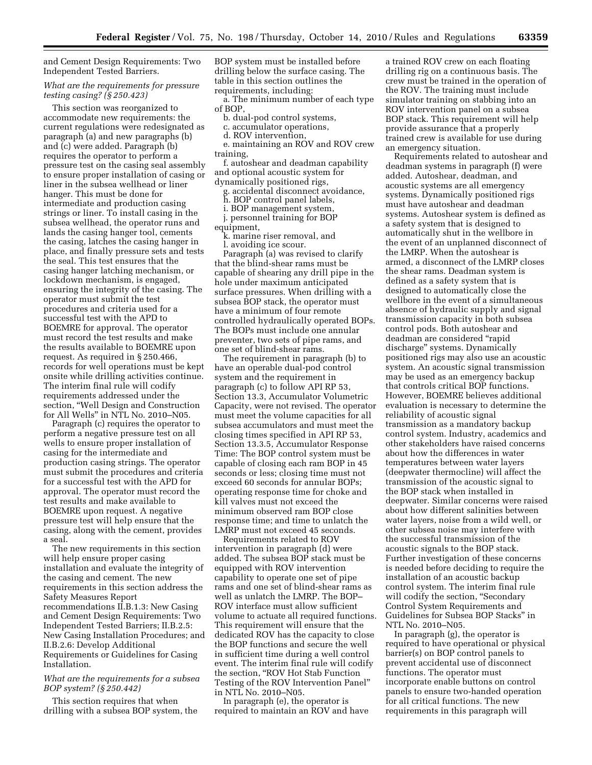and Cement Design Requirements: Two Independent Tested Barriers.

#### *What are the requirements for pressure testing casing? (§ 250.423)*

This section was reorganized to accommodate new requirements: the current regulations were redesignated as paragraph (a) and new paragraphs (b) and (c) were added. Paragraph (b) requires the operator to perform a pressure test on the casing seal assembly to ensure proper installation of casing or liner in the subsea wellhead or liner hanger. This must be done for intermediate and production casing strings or liner. To install casing in the subsea wellhead, the operator runs and lands the casing hanger tool, cements the casing, latches the casing hanger in place, and finally pressure sets and tests the seal. This test ensures that the casing hanger latching mechanism, or lockdown mechanism, is engaged, ensuring the integrity of the casing. The operator must submit the test procedures and criteria used for a successful test with the APD to BOEMRE for approval. The operator must record the test results and make the results available to BOEMRE upon request. As required in § 250.466, records for well operations must be kept onsite while drilling activities continue. The interim final rule will codify requirements addressed under the section, ''Well Design and Construction for All Wells'' in NTL No. 2010–N05.

Paragraph (c) requires the operator to perform a negative pressure test on all wells to ensure proper installation of casing for the intermediate and production casing strings. The operator must submit the procedures and criteria for a successful test with the APD for approval. The operator must record the test results and make available to BOEMRE upon request. A negative pressure test will help ensure that the casing, along with the cement, provides a seal.

The new requirements in this section will help ensure proper casing installation and evaluate the integrity of the casing and cement. The new requirements in this section address the Safety Measures Report recommendations II.B.1.3: New Casing and Cement Design Requirements: Two Independent Tested Barriers; II.B.2.5: New Casing Installation Procedures; and II.B.2.6: Develop Additional Requirements or Guidelines for Casing Installation.

#### *What are the requirements for a subsea BOP system? (§ 250.442)*

This section requires that when drilling with a subsea BOP system, the

BOP system must be installed before drilling below the surface casing. The table in this section outlines the requirements, including:

a. The minimum number of each type of BOP,

- b. dual-pod control systems,
- c. accumulator operations,
- d. ROV intervention, e. maintaining an ROV and ROV crew
- training,
- f. autoshear and deadman capability and optional acoustic system for dynamically positioned rigs,
- g. accidental disconnect avoidance,
- h. BOP control panel labels,
- i. BOP management system,
- j. personnel training for BOP
- equipment,
	- k. marine riser removal, and l. avoiding ice scour.

Paragraph (a) was revised to clarify that the blind-shear rams must be capable of shearing any drill pipe in the hole under maximum anticipated surface pressures. When drilling with a subsea BOP stack, the operator must have a minimum of four remote controlled hydraulically operated BOPs. The BOPs must include one annular preventer, two sets of pipe rams, and one set of blind-shear rams.

The requirement in paragraph (b) to have an operable dual-pod control system and the requirement in paragraph (c) to follow API RP 53, Section 13.3, Accumulator Volumetric Capacity, were not revised. The operator must meet the volume capacities for all subsea accumulators and must meet the closing times specified in API RP 53, Section 13.3.5, Accumulator Response Time: The BOP control system must be capable of closing each ram BOP in 45 seconds or less; closing time must not exceed 60 seconds for annular BOPs; operating response time for choke and kill valves must not exceed the minimum observed ram BOP close response time; and time to unlatch the LMRP must not exceed 45 seconds.

Requirements related to ROV intervention in paragraph (d) were added. The subsea BOP stack must be equipped with ROV intervention capability to operate one set of pipe rams and one set of blind-shear rams as well as unlatch the LMRP. The BOP– ROV interface must allow sufficient volume to actuate all required functions. This requirement will ensure that the dedicated ROV has the capacity to close the BOP functions and secure the well in sufficient time during a well control event. The interim final rule will codify the section, ''ROV Hot Stab Function Testing of the ROV Intervention Panel'' in NTL No. 2010–N05.

In paragraph (e), the operator is required to maintain an ROV and have a trained ROV crew on each floating drilling rig on a continuous basis. The crew must be trained in the operation of the ROV. The training must include simulator training on stabbing into an ROV intervention panel on a subsea BOP stack. This requirement will help provide assurance that a properly trained crew is available for use during an emergency situation.

Requirements related to autoshear and deadman systems in paragraph (f) were added. Autoshear, deadman, and acoustic systems are all emergency systems. Dynamically positioned rigs must have autoshear and deadman systems. Autoshear system is defined as a safety system that is designed to automatically shut in the wellbore in the event of an unplanned disconnect of the LMRP. When the autoshear is armed, a disconnect of the LMRP closes the shear rams. Deadman system is defined as a safety system that is designed to automatically close the wellbore in the event of a simultaneous absence of hydraulic supply and signal transmission capacity in both subsea control pods. Both autoshear and deadman are considered "rapid discharge'' systems. Dynamically positioned rigs may also use an acoustic system. An acoustic signal transmission may be used as an emergency backup that controls critical BOP functions. However, BOEMRE believes additional evaluation is necessary to determine the reliability of acoustic signal transmission as a mandatory backup control system. Industry, academics and other stakeholders have raised concerns about how the differences in water temperatures between water layers (deepwater thermocline) will affect the transmission of the acoustic signal to the BOP stack when installed in deepwater. Similar concerns were raised about how different salinities between water layers, noise from a wild well, or other subsea noise may interfere with the successful transmission of the acoustic signals to the BOP stack. Further investigation of these concerns is needed before deciding to require the installation of an acoustic backup control system. The interim final rule will codify the section, "Secondary Control System Requirements and Guidelines for Subsea BOP Stacks'' in NTL No. 2010–N05.

In paragraph (g), the operator is required to have operational or physical barrier(s) on BOP control panels to prevent accidental use of disconnect functions. The operator must incorporate enable buttons on control panels to ensure two-handed operation for all critical functions. The new requirements in this paragraph will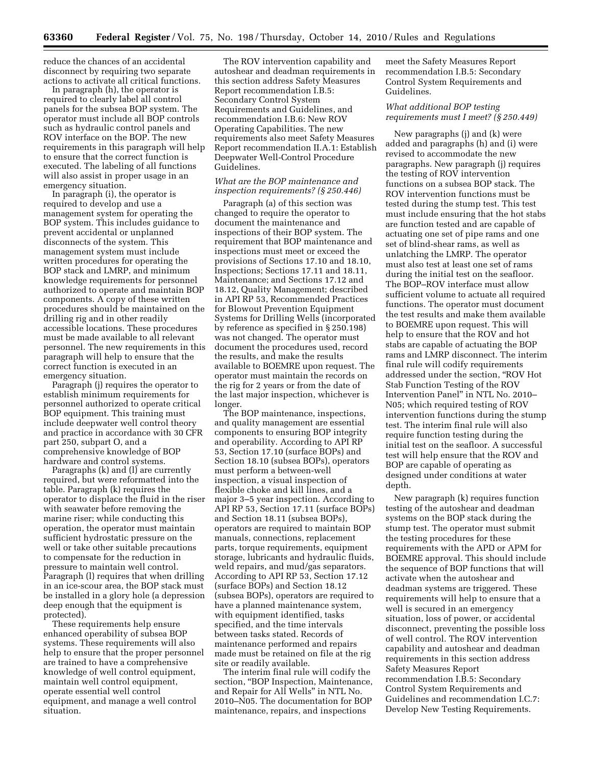reduce the chances of an accidental disconnect by requiring two separate actions to activate all critical functions.

In paragraph (h), the operator is required to clearly label all control panels for the subsea BOP system. The operator must include all BOP controls such as hydraulic control panels and ROV interface on the BOP. The new requirements in this paragraph will help to ensure that the correct function is executed. The labeling of all functions will also assist in proper usage in an emergency situation.

In paragraph (i), the operator is required to develop and use a management system for operating the BOP system. This includes guidance to prevent accidental or unplanned disconnects of the system. This management system must include written procedures for operating the BOP stack and LMRP, and minimum knowledge requirements for personnel authorized to operate and maintain BOP components. A copy of these written procedures should be maintained on the drilling rig and in other readily accessible locations. These procedures must be made available to all relevant personnel. The new requirements in this paragraph will help to ensure that the correct function is executed in an emergency situation.

Paragraph (j) requires the operator to establish minimum requirements for personnel authorized to operate critical BOP equipment. This training must include deepwater well control theory and practice in accordance with 30 CFR part 250, subpart O, and a comprehensive knowledge of BOP hardware and control systems.

Paragraphs (k) and (l) are currently required, but were reformatted into the table. Paragraph (k) requires the operator to displace the fluid in the riser with seawater before removing the marine riser; while conducting this operation, the operator must maintain sufficient hydrostatic pressure on the well or take other suitable precautions to compensate for the reduction in pressure to maintain well control. Paragraph (l) requires that when drilling in an ice-scour area, the BOP stack must be installed in a glory hole (a depression deep enough that the equipment is protected).

These requirements help ensure enhanced operability of subsea BOP systems. These requirements will also help to ensure that the proper personnel are trained to have a comprehensive knowledge of well control equipment, maintain well control equipment, operate essential well control equipment, and manage a well control situation.

The ROV intervention capability and autoshear and deadman requirements in this section address Safety Measures Report recommendation I.B.5: Secondary Control System Requirements and Guidelines, and recommendation I.B.6: New ROV Operating Capabilities. The new requirements also meet Safety Measures Report recommendation II.A.1: Establish Deepwater Well-Control Procedure Guidelines.

#### *What are the BOP maintenance and inspection requirements? (§ 250.446)*

Paragraph (a) of this section was changed to require the operator to document the maintenance and inspections of their BOP system. The requirement that BOP maintenance and inspections must meet or exceed the provisions of Sections 17.10 and 18.10, Inspections; Sections 17.11 and 18.11, Maintenance; and Sections 17.12 and 18.12, Quality Management; described in API RP 53, Recommended Practices for Blowout Prevention Equipment Systems for Drilling Wells (incorporated by reference as specified in § 250.198) was not changed. The operator must document the procedures used, record the results, and make the results available to BOEMRE upon request. The operator must maintain the records on the rig for 2 years or from the date of the last major inspection, whichever is longer.

The BOP maintenance, inspections, and quality management are essential components to ensuring BOP integrity and operability. According to API RP 53, Section 17.10 (surface BOPs) and Section 18.10 (subsea BOPs), operators must perform a between-well inspection, a visual inspection of flexible choke and kill lines, and a major 3–5 year inspection. According to API RP 53, Section 17.11 (surface BOPs) and Section 18.11 (subsea BOPs), operators are required to maintain BOP manuals, connections, replacement parts, torque requirements, equipment storage, lubricants and hydraulic fluids, weld repairs, and mud/gas separators. According to API RP 53, Section 17.12 (surface BOPs) and Section 18.12 (subsea BOPs), operators are required to have a planned maintenance system, with equipment identified, tasks specified, and the time intervals between tasks stated. Records of maintenance performed and repairs made must be retained on file at the rig site or readily available.

The interim final rule will codify the section, "BOP Inspection, Maintenance, and Repair for All Wells'' in NTL No. 2010–N05. The documentation for BOP maintenance, repairs, and inspections

meet the Safety Measures Report recommendation I.B.5: Secondary Control System Requirements and Guidelines.

#### *What additional BOP testing requirements must I meet? (§ 250.449)*

New paragraphs (j) and (k) were added and paragraphs (h) and (i) were revised to accommodate the new paragraphs. New paragraph (j) requires the testing of ROV intervention functions on a subsea BOP stack. The ROV intervention functions must be tested during the stump test. This test must include ensuring that the hot stabs are function tested and are capable of actuating one set of pipe rams and one set of blind-shear rams, as well as unlatching the LMRP. The operator must also test at least one set of rams during the initial test on the seafloor. The BOP–ROV interface must allow sufficient volume to actuate all required functions. The operator must document the test results and make them available to BOEMRE upon request. This will help to ensure that the ROV and hot stabs are capable of actuating the BOP rams and LMRP disconnect. The interim final rule will codify requirements addressed under the section, ''ROV Hot Stab Function Testing of the ROV Intervention Panel'' in NTL No. 2010– N05; which required testing of ROV intervention functions during the stump test. The interim final rule will also require function testing during the initial test on the seafloor. A successful test will help ensure that the ROV and BOP are capable of operating as designed under conditions at water depth.

New paragraph (k) requires function testing of the autoshear and deadman systems on the BOP stack during the stump test. The operator must submit the testing procedures for these requirements with the APD or APM for BOEMRE approval. This should include the sequence of BOP functions that will activate when the autoshear and deadman systems are triggered. These requirements will help to ensure that a well is secured in an emergency situation, loss of power, or accidental disconnect, preventing the possible loss of well control. The ROV intervention capability and autoshear and deadman requirements in this section address Safety Measures Report recommendation I.B.5: Secondary Control System Requirements and Guidelines and recommendation I.C.7: Develop New Testing Requirements.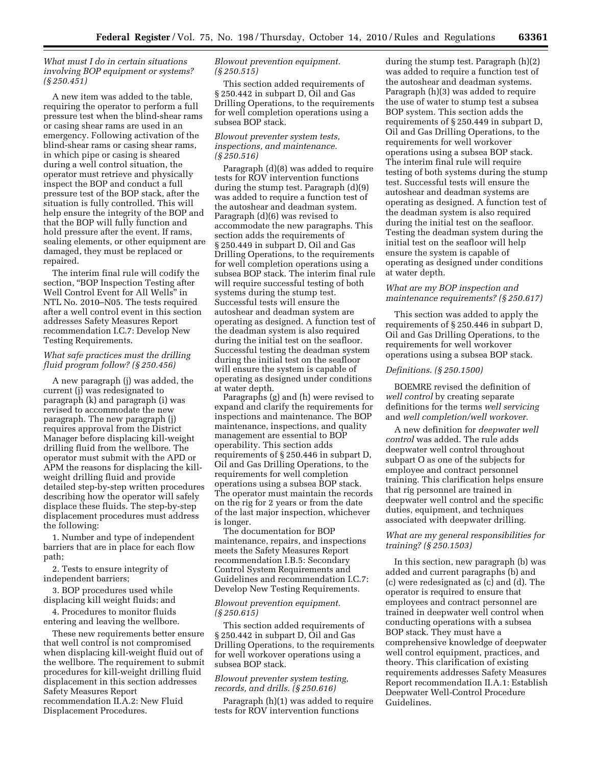#### *What must I do in certain situations involving BOP equipment or systems? (§ 250.451)*

A new item was added to the table, requiring the operator to perform a full pressure test when the blind-shear rams or casing shear rams are used in an emergency. Following activation of the blind-shear rams or casing shear rams, in which pipe or casing is sheared during a well control situation, the operator must retrieve and physically inspect the BOP and conduct a full pressure test of the BOP stack, after the situation is fully controlled. This will help ensure the integrity of the BOP and that the BOP will fully function and hold pressure after the event. If rams, sealing elements, or other equipment are damaged, they must be replaced or repaired.

The interim final rule will codify the section, ''BOP Inspection Testing after Well Control Event for All Wells'' in NTL No. 2010–N05. The tests required after a well control event in this section addresses Safety Measures Report recommendation I.C.7: Develop New Testing Requirements.

#### *What safe practices must the drilling fluid program follow? (§ 250.456)*

A new paragraph (j) was added, the current (j) was redesignated to paragraph (k) and paragraph (i) was revised to accommodate the new paragraph. The new paragraph (j) requires approval from the District Manager before displacing kill-weight drilling fluid from the wellbore. The operator must submit with the APD or APM the reasons for displacing the killweight drilling fluid and provide detailed step-by-step written procedures describing how the operator will safely displace these fluids. The step-by-step displacement procedures must address the following:

1. Number and type of independent barriers that are in place for each flow path;

2. Tests to ensure integrity of independent barriers;

3. BOP procedures used while displacing kill weight fluids; and

4. Procedures to monitor fluids entering and leaving the wellbore.

These new requirements better ensure that well control is not compromised when displacing kill-weight fluid out of the wellbore. The requirement to submit procedures for kill-weight drilling fluid displacement in this section addresses Safety Measures Report recommendation II.A.2: New Fluid Displacement Procedures.

#### *Blowout prevention equipment. (§ 250.515)*

This section added requirements of § 250.442 in subpart D, Oil and Gas Drilling Operations, to the requirements for well completion operations using a subsea BOP stack.

#### *Blowout preventer system tests, inspections, and maintenance. (§ 250.516)*

Paragraph (d)(8) was added to require tests for ROV intervention functions during the stump test. Paragraph (d)(9) was added to require a function test of the autoshear and deadman system. Paragraph (d)(6) was revised to accommodate the new paragraphs. This section adds the requirements of § 250.449 in subpart D, Oil and Gas Drilling Operations, to the requirements for well completion operations using a subsea BOP stack. The interim final rule will require successful testing of both systems during the stump test. Successful tests will ensure the autoshear and deadman system are operating as designed. A function test of the deadman system is also required during the initial test on the seafloor. Successful testing the deadman system during the initial test on the seafloor will ensure the system is capable of operating as designed under conditions at water depth.

Paragraphs (g) and (h) were revised to expand and clarify the requirements for inspections and maintenance. The BOP maintenance, inspections, and quality management are essential to BOP operability. This section adds requirements of § 250.446 in subpart D, Oil and Gas Drilling Operations, to the requirements for well completion operations using a subsea BOP stack. The operator must maintain the records on the rig for 2 years or from the date of the last major inspection, whichever is longer.

The documentation for BOP maintenance, repairs, and inspections meets the Safety Measures Report recommendation I.B.5: Secondary Control System Requirements and Guidelines and recommendation I.C.7: Develop New Testing Requirements.

#### *Blowout prevention equipment. (§ 250.615)*

This section added requirements of § 250.442 in subpart D, Oil and Gas Drilling Operations, to the requirements for well workover operations using a subsea BOP stack.

#### *Blowout preventer system testing, records, and drills. (§ 250.616)*

Paragraph (h)(1) was added to require tests for ROV intervention functions

during the stump test. Paragraph (h)(2) was added to require a function test of the autoshear and deadman systems. Paragraph (h)(3) was added to require the use of water to stump test a subsea BOP system. This section adds the requirements of § 250.449 in subpart D, Oil and Gas Drilling Operations, to the requirements for well workover operations using a subsea BOP stack. The interim final rule will require testing of both systems during the stump test. Successful tests will ensure the autoshear and deadman systems are operating as designed. A function test of the deadman system is also required during the initial test on the seafloor. Testing the deadman system during the initial test on the seafloor will help ensure the system is capable of operating as designed under conditions at water depth.

#### *What are my BOP inspection and maintenance requirements? (§ 250.617)*

This section was added to apply the requirements of § 250.446 in subpart D, Oil and Gas Drilling Operations, to the requirements for well workover operations using a subsea BOP stack.

#### *Definitions. (§ 250.1500)*

BOEMRE revised the definition of *well control* by creating separate definitions for the terms *well servicing*  and *well completion/well workover.* 

A new definition for *deepwater well control* was added. The rule adds deepwater well control throughout subpart O as one of the subjects for employee and contract personnel training. This clarification helps ensure that rig personnel are trained in deepwater well control and the specific duties, equipment, and techniques associated with deepwater drilling.

#### *What are my general responsibilities for training? (§ 250.1503)*

In this section, new paragraph (b) was added and current paragraphs (b) and (c) were redesignated as (c) and (d). The operator is required to ensure that employees and contract personnel are trained in deepwater well control when conducting operations with a subsea BOP stack. They must have a comprehensive knowledge of deepwater well control equipment, practices, and theory. This clarification of existing requirements addresses Safety Measures Report recommendation II.A.1: Establish Deepwater Well-Control Procedure Guidelines.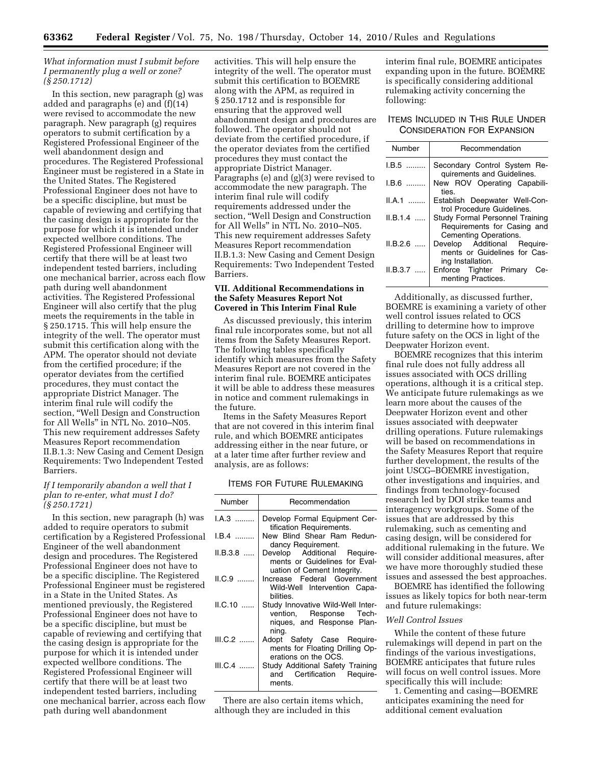#### *What information must I submit before I permanently plug a well or zone? (§ 250.1712)*

In this section, new paragraph (g) was added and paragraphs (e) and (f)(14) were revised to accommodate the new paragraph. New paragraph (g) requires operators to submit certification by a Registered Professional Engineer of the well abandonment design and procedures. The Registered Professional Engineer must be registered in a State in the United States. The Registered Professional Engineer does not have to be a specific discipline, but must be capable of reviewing and certifying that the casing design is appropriate for the purpose for which it is intended under expected wellbore conditions. The Registered Professional Engineer will certify that there will be at least two independent tested barriers, including one mechanical barrier, across each flow path during well abandonment activities. The Registered Professional Engineer will also certify that the plug meets the requirements in the table in § 250.1715. This will help ensure the integrity of the well. The operator must submit this certification along with the APM. The operator should not deviate from the certified procedure; if the operator deviates from the certified procedures, they must contact the appropriate District Manager. The interim final rule will codify the section, ''Well Design and Construction for All Wells'' in NTL No. 2010–N05. This new requirement addresses Safety Measures Report recommendation II.B.1.3: New Casing and Cement Design Requirements: Two Independent Tested Barriers.

#### *If I temporarily abandon a well that I plan to re-enter, what must I do? (§ 250.1721)*

In this section, new paragraph (h) was added to require operators to submit certification by a Registered Professional Engineer of the well abandonment design and procedures. The Registered Professional Engineer does not have to be a specific discipline. The Registered Professional Engineer must be registered in a State in the United States. As mentioned previously, the Registered Professional Engineer does not have to be a specific discipline, but must be capable of reviewing and certifying that the casing design is appropriate for the purpose for which it is intended under expected wellbore conditions. The Registered Professional Engineer will certify that there will be at least two independent tested barriers, including one mechanical barrier, across each flow path during well abandonment

activities. This will help ensure the integrity of the well. The operator must submit this certification to BOEMRE along with the APM, as required in § 250.1712 and is responsible for ensuring that the approved well abandonment design and procedures are followed. The operator should not deviate from the certified procedure, if the operator deviates from the certified procedures they must contact the appropriate District Manager. Paragraphs (e) and (g)(3) were revised to accommodate the new paragraph. The interim final rule will codify requirements addressed under the section, ''Well Design and Construction for All Wells'' in NTL No. 2010–N05. This new requirement addresses Safety Measures Report recommendation II.B.1.3: New Casing and Cement Design Requirements: Two Independent Tested Barriers.

#### **VII. Additional Recommendations in the Safety Measures Report Not Covered in This Interim Final Rule**

As discussed previously, this interim final rule incorporates some, but not all items from the Safety Measures Report. The following tables specifically identify which measures from the Safety Measures Report are not covered in the interim final rule. BOEMRE anticipates it will be able to address these measures in notice and comment rulemakings in the future.

Items in the Safety Measures Report that are not covered in this interim final rule, and which BOEMRE anticipates addressing either in the near future, or at a later time after further review and analysis, are as follows:

# ITEMS FOR FUTURE RULEMAKING

| Number         | Recommendation                                                                                      |
|----------------|-----------------------------------------------------------------------------------------------------|
| $\mathsf{LA3}$ | Develop Formal Equipment Cer-<br>tification Requirements.                                           |
| I.B.4          | New Blind Shear Ram Redun-<br>dancy Requirement.                                                    |
| $ILB.3.8$      | Develop Additional Require-<br>ments or Guidelines for Eval-<br>uation of Cement Integrity.         |
| $ILC.9$        | Increase Federal Government<br>Wild-Well Intervention Capa-<br>bilities.                            |
| $ILC.10$       | Study Innovative Wild-Well Inter-<br>vention, Response Tech-<br>niques, and Response Plan-<br>ning. |
| III.C.2        | Adopt Safety Case Require-<br>ments for Floating Drilling Op-<br>erations on the OCS.               |
| $III.C.4$      | Study Additional Safety Training<br>and Certification Require-<br>ments.                            |

There are also certain items which, although they are included in this

interim final rule, BOEMRE anticipates expanding upon in the future. BOEMRE is specifically considering additional rulemaking activity concerning the following:

#### ITEMS INCLUDED IN THIS RULE UNDER CONSIDERATION FOR EXPANSION

| Number    | Recommendation                                                                          |
|-----------|-----------------------------------------------------------------------------------------|
| I.B.5     | Secondary Control System Re-<br>quirements and Guidelines.                              |
| $1.B.6$   | New ROV Operating Capabili-<br>ties.                                                    |
| $II.A.1$  | Establish Deepwater Well-Con-<br>trol Procedure Guidelines.                             |
| $ILB.1.4$ | Study Formal Personnel Training<br>Requirements for Casing and<br>Cementing Operations. |
| $ILB.2.6$ | Develop Additional Require-<br>ments or Guidelines for Cas-<br>ing Installation.        |
| $ILB.3.7$ | Enforce Tighter Primary Ce-<br>menting Practices.                                       |

Additionally, as discussed further, BOEMRE is examining a variety of other well control issues related to OCS drilling to determine how to improve future safety on the OCS in light of the Deepwater Horizon event.

BOEMRE recognizes that this interim final rule does not fully address all issues associated with OCS drilling operations, although it is a critical step. We anticipate future rulemakings as we learn more about the causes of the Deepwater Horizon event and other issues associated with deepwater drilling operations. Future rulemakings will be based on recommendations in the Safety Measures Report that require further development, the results of the joint USCG–BOEMRE investigation, other investigations and inquiries, and findings from technology-focused research led by DOI strike teams and interagency workgroups. Some of the issues that are addressed by this rulemaking, such as cementing and casing design, will be considered for additional rulemaking in the future. We will consider additional measures, after we have more thoroughly studied these issues and assessed the best approaches.

BOEMRE has identified the following issues as likely topics for both near-term and future rulemakings:

#### *Well Control Issues*

While the content of these future rulemakings will depend in part on the findings of the various investigations, BOEMRE anticipates that future rules will focus on well control issues. More specifically this will include:

1. Cementing and casing—BOEMRE anticipates examining the need for additional cement evaluation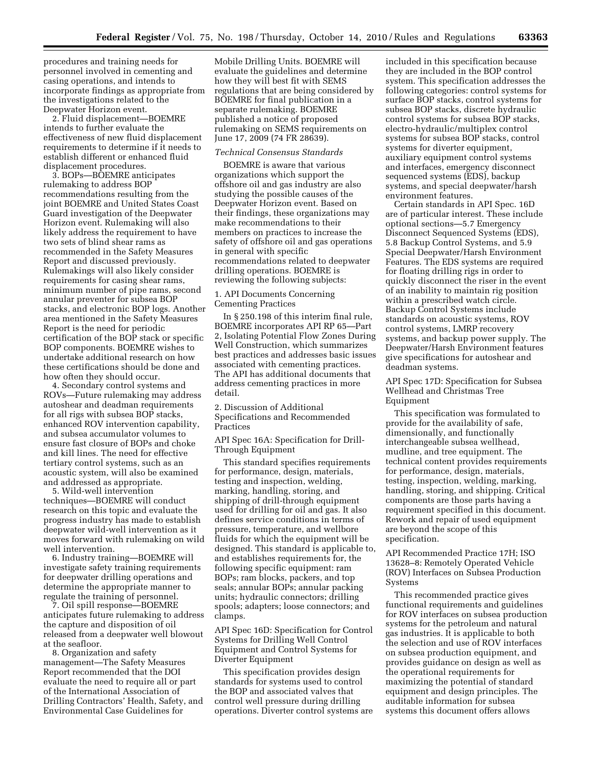procedures and training needs for personnel involved in cementing and casing operations, and intends to incorporate findings as appropriate from the investigations related to the Deepwater Horizon event.

2. Fluid displacement—BOEMRE intends to further evaluate the effectiveness of new fluid displacement requirements to determine if it needs to establish different or enhanced fluid displacement procedures.

3. BOPs—BOEMRE anticipates rulemaking to address BOP recommendations resulting from the joint BOEMRE and United States Coast Guard investigation of the Deepwater Horizon event. Rulemaking will also likely address the requirement to have two sets of blind shear rams as recommended in the Safety Measures Report and discussed previously. Rulemakings will also likely consider requirements for casing shear rams, minimum number of pipe rams, second annular preventer for subsea BOP stacks, and electronic BOP logs. Another area mentioned in the Safety Measures Report is the need for periodic certification of the BOP stack or specific BOP components. BOEMRE wishes to undertake additional research on how these certifications should be done and how often they should occur.

4. Secondary control systems and ROVs—Future rulemaking may address autoshear and deadman requirements for all rigs with subsea BOP stacks, enhanced ROV intervention capability, and subsea accumulator volumes to ensure fast closure of BOPs and choke and kill lines. The need for effective tertiary control systems, such as an acoustic system, will also be examined and addressed as appropriate.

5. Wild-well intervention techniques—BOEMRE will conduct research on this topic and evaluate the progress industry has made to establish deepwater wild-well intervention as it moves forward with rulemaking on wild well intervention.

6. Industry training—BOEMRE will investigate safety training requirements for deepwater drilling operations and determine the appropriate manner to regulate the training of personnel.

7. Oil spill response—BOEMRE anticipates future rulemaking to address the capture and disposition of oil released from a deepwater well blowout at the seafloor.

8. Organization and safety management—The Safety Measures Report recommended that the DOI evaluate the need to require all or part of the International Association of Drilling Contractors' Health, Safety, and Environmental Case Guidelines for

Mobile Drilling Units. BOEMRE will evaluate the guidelines and determine how they will best fit with SEMS regulations that are being considered by BOEMRE for final publication in a separate rulemaking. BOEMRE published a notice of proposed rulemaking on SEMS requirements on June 17, 2009 (74 FR 28639).

#### *Technical Consensus Standards*

BOEMRE is aware that various organizations which support the offshore oil and gas industry are also studying the possible causes of the Deepwater Horizon event. Based on their findings, these organizations may make recommendations to their members on practices to increase the safety of offshore oil and gas operations in general with specific recommendations related to deepwater drilling operations. BOEMRE is reviewing the following subjects:

1. API Documents Concerning Cementing Practices

In § 250.198 of this interim final rule, BOEMRE incorporates API RP 65—Part 2, Isolating Potential Flow Zones During Well Construction, which summarizes best practices and addresses basic issues associated with cementing practices. The API has additional documents that address cementing practices in more detail.

2. Discussion of Additional Specifications and Recommended Practices

API Spec 16A: Specification for Drill-Through Equipment

This standard specifies requirements for performance, design, materials, testing and inspection, welding, marking, handling, storing, and shipping of drill-through equipment used for drilling for oil and gas. It also defines service conditions in terms of pressure, temperature, and wellbore fluids for which the equipment will be designed. This standard is applicable to, and establishes requirements for, the following specific equipment: ram BOPs; ram blocks, packers, and top seals; annular BOPs; annular packing units; hydraulic connectors; drilling spools; adapters; loose connectors; and clamps.

API Spec 16D: Specification for Control Systems for Drilling Well Control Equipment and Control Systems for Diverter Equipment

This specification provides design standards for systems used to control the BOP and associated valves that control well pressure during drilling operations. Diverter control systems are included in this specification because they are included in the BOP control system. This specification addresses the following categories: control systems for surface BOP stacks, control systems for subsea BOP stacks, discrete hydraulic control systems for subsea BOP stacks, electro-hydraulic/multiplex control systems for subsea BOP stacks, control systems for diverter equipment, auxiliary equipment control systems and interfaces, emergency disconnect sequenced systems (EDS), backup systems, and special deepwater/harsh environment features.

Certain standards in API Spec. 16D are of particular interest. These include optional sections—5.7 Emergency Disconnect Sequenced Systems (EDS), 5.8 Backup Control Systems, and 5.9 Special Deepwater/Harsh Environment Features. The EDS systems are required for floating drilling rigs in order to quickly disconnect the riser in the event of an inability to maintain rig position within a prescribed watch circle. Backup Control Systems include standards on acoustic systems, ROV control systems, LMRP recovery systems, and backup power supply. The Deepwater/Harsh Environment features give specifications for autoshear and deadman systems.

API Spec 17D: Specification for Subsea Wellhead and Christmas Tree Equipment

This specification was formulated to provide for the availability of safe, dimensionally, and functionally interchangeable subsea wellhead, mudline, and tree equipment. The technical content provides requirements for performance, design, materials, testing, inspection, welding, marking, handling, storing, and shipping. Critical components are those parts having a requirement specified in this document. Rework and repair of used equipment are beyond the scope of this specification.

API Recommended Practice 17H; ISO 13628–8: Remotely Operated Vehicle (ROV) Interfaces on Subsea Production Systems

This recommended practice gives functional requirements and guidelines for ROV interfaces on subsea production systems for the petroleum and natural gas industries. It is applicable to both the selection and use of ROV interfaces on subsea production equipment, and provides guidance on design as well as the operational requirements for maximizing the potential of standard equipment and design principles. The auditable information for subsea systems this document offers allows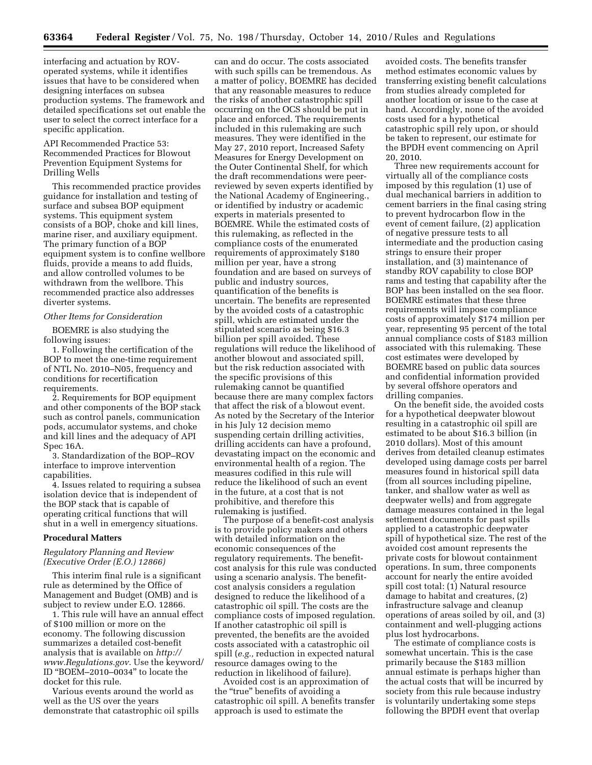interfacing and actuation by ROVoperated systems, while it identifies issues that have to be considered when designing interfaces on subsea production systems. The framework and detailed specifications set out enable the user to select the correct interface for a specific application.

API Recommended Practice 53: Recommended Practices for Blowout Prevention Equipment Systems for Drilling Wells

This recommended practice provides guidance for installation and testing of surface and subsea BOP equipment systems. This equipment system consists of a BOP, choke and kill lines, marine riser, and auxiliary equipment. The primary function of a BOP equipment system is to confine wellbore fluids, provide a means to add fluids, and allow controlled volumes to be withdrawn from the wellbore. This recommended practice also addresses diverter systems.

#### *Other Items for Consideration*

BOEMRE is also studying the following issues:

1. Following the certification of the BOP to meet the one-time requirement of NTL No. 2010–N05, frequency and conditions for recertification requirements.

2. Requirements for BOP equipment and other components of the BOP stack such as control panels, communication pods, accumulator systems, and choke and kill lines and the adequacy of API Spec 16A.

3. Standardization of the BOP–ROV interface to improve intervention capabilities.

4. Issues related to requiring a subsea isolation device that is independent of the BOP stack that is capable of operating critical functions that will shut in a well in emergency situations.

#### **Procedural Matters**

#### *Regulatory Planning and Review (Executive Order (E.O.) 12866)*

This interim final rule is a significant rule as determined by the Office of Management and Budget (OMB) and is subject to review under E.O. 12866.

1. This rule will have an annual effect of \$100 million or more on the economy. The following discussion summarizes a detailed cost-benefit analysis that is available on *[http://](http://www.Regulations.gov)  [www.Regulations.gov](http://www.Regulations.gov)*. Use the keyword/ ID ''BOEM–2010–0034'' to locate the docket for this rule.

Various events around the world as well as the US over the years demonstrate that catastrophic oil spills

can and do occur. The costs associated with such spills can be tremendous. As a matter of policy, BOEMRE has decided that any reasonable measures to reduce the risks of another catastrophic spill occurring on the OCS should be put in place and enforced. The requirements included in this rulemaking are such measures. They were identified in the May 27, 2010 report, Increased Safety Measures for Energy Development on the Outer Continental Shelf, for which the draft recommendations were peerreviewed by seven experts identified by the National Academy of Engineering., or identified by industry or academic experts in materials presented to BOEMRE. While the estimated costs of this rulemaking, as reflected in the compliance costs of the enumerated requirements of approximately \$180 million per year, have a strong foundation and are based on surveys of public and industry sources, quantification of the benefits is uncertain. The benefits are represented by the avoided costs of a catastrophic spill, which are estimated under the stipulated scenario as being \$16.3 billion per spill avoided. These regulations will reduce the likelihood of another blowout and associated spill, but the risk reduction associated with the specific provisions of this rulemaking cannot be quantified because there are many complex factors that affect the risk of a blowout event. As noted by the Secretary of the Interior in his July 12 decision memo suspending certain drilling activities, drilling accidents can have a profound, devastating impact on the economic and environmental health of a region. The measures codified in this rule will reduce the likelihood of such an event in the future, at a cost that is not prohibitive, and therefore this rulemaking is justified.

The purpose of a benefit-cost analysis is to provide policy makers and others with detailed information on the economic consequences of the regulatory requirements. The benefitcost analysis for this rule was conducted using a scenario analysis. The benefitcost analysis considers a regulation designed to reduce the likelihood of a catastrophic oil spill. The costs are the compliance costs of imposed regulation. If another catastrophic oil spill is prevented, the benefits are the avoided costs associated with a catastrophic oil spill (*e.g.,* reduction in expected natural resource damages owing to the reduction in likelihood of failure).

Avoided cost is an approximation of the "true" benefits of avoiding a catastrophic oil spill. A benefits transfer approach is used to estimate the

avoided costs. The benefits transfer method estimates economic values by transferring existing benefit calculations from studies already completed for another location or issue to the case at hand. Accordingly, none of the avoided costs used for a hypothetical catastrophic spill rely upon, or should be taken to represent, our estimate for the BPDH event commencing on April 20, 2010.

Three new requirements account for virtually all of the compliance costs imposed by this regulation (1) use of dual mechanical barriers in addition to cement barriers in the final casing string to prevent hydrocarbon flow in the event of cement failure, (2) application of negative pressure tests to all intermediate and the production casing strings to ensure their proper installation, and (3) maintenance of standby ROV capability to close BOP rams and testing that capability after the BOP has been installed on the sea floor. BOEMRE estimates that these three requirements will impose compliance costs of approximately \$174 million per year, representing 95 percent of the total annual compliance costs of \$183 million associated with this rulemaking. These cost estimates were developed by BOEMRE based on public data sources and confidential information provided by several offshore operators and drilling companies.

On the benefit side, the avoided costs for a hypothetical deepwater blowout resulting in a catastrophic oil spill are estimated to be about \$16.3 billion (in 2010 dollars). Most of this amount derives from detailed cleanup estimates developed using damage costs per barrel measures found in historical spill data (from all sources including pipeline, tanker, and shallow water as well as deepwater wells) and from aggregate damage measures contained in the legal settlement documents for past spills applied to a catastrophic deepwater spill of hypothetical size. The rest of the avoided cost amount represents the private costs for blowout containment operations. In sum, three components account for nearly the entire avoided spill cost total: (1) Natural resource damage to habitat and creatures, (2) infrastructure salvage and cleanup operations of areas soiled by oil, and (3) containment and well-plugging actions plus lost hydrocarbons.

The estimate of compliance costs is somewhat uncertain. This is the case primarily because the \$183 million annual estimate is perhaps higher than the actual costs that will be incurred by society from this rule because industry is voluntarily undertaking some steps following the BPDH event that overlap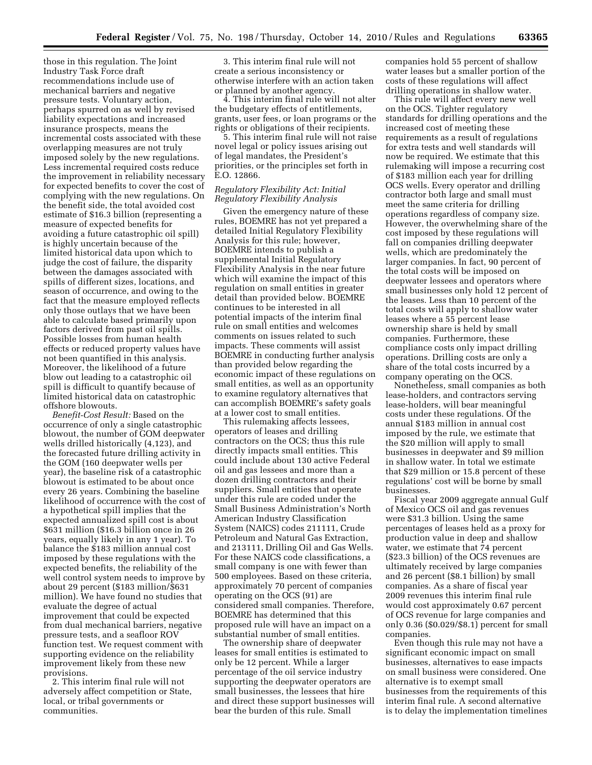those in this regulation. The Joint Industry Task Force draft recommendations include use of mechanical barriers and negative pressure tests. Voluntary action, perhaps spurred on as well by revised liability expectations and increased insurance prospects, means the incremental costs associated with these overlapping measures are not truly imposed solely by the new regulations. Less incremental required costs reduce the improvement in reliability necessary for expected benefits to cover the cost of complying with the new regulations. On the benefit side, the total avoided cost estimate of \$16.3 billion (representing a measure of expected benefits for avoiding a future catastrophic oil spill) is highly uncertain because of the limited historical data upon which to judge the cost of failure, the disparity between the damages associated with spills of different sizes, locations, and season of occurrence, and owing to the fact that the measure employed reflects only those outlays that we have been able to calculate based primarily upon factors derived from past oil spills. Possible losses from human health effects or reduced property values have not been quantified in this analysis. Moreover, the likelihood of a future blow out leading to a catastrophic oil spill is difficult to quantify because of limited historical data on catastrophic offshore blowouts.

*Benefit-Cost Result:* Based on the occurrence of only a single catastrophic blowout, the number of GOM deepwater wells drilled historically (4,123), and the forecasted future drilling activity in the GOM (160 deepwater wells per year), the baseline risk of a catastrophic blowout is estimated to be about once every 26 years. Combining the baseline likelihood of occurrence with the cost of a hypothetical spill implies that the expected annualized spill cost is about \$631 million (\$16.3 billion once in 26 years, equally likely in any 1 year). To balance the \$183 million annual cost imposed by these regulations with the expected benefits, the reliability of the well control system needs to improve by about 29 percent (\$183 million/\$631 million). We have found no studies that evaluate the degree of actual improvement that could be expected from dual mechanical barriers, negative pressure tests, and a seafloor ROV function test. We request comment with supporting evidence on the reliability improvement likely from these new provisions.

2. This interim final rule will not adversely affect competition or State, local, or tribal governments or communities.

3. This interim final rule will not create a serious inconsistency or otherwise interfere with an action taken or planned by another agency.

4. This interim final rule will not alter the budgetary effects of entitlements, grants, user fees, or loan programs or the rights or obligations of their recipients.

5. This interim final rule will not raise novel legal or policy issues arising out of legal mandates, the President's priorities, or the principles set forth in E.O. 12866.

#### *Regulatory Flexibility Act: Initial Regulatory Flexibility Analysis*

Given the emergency nature of these rules, BOEMRE has not yet prepared a detailed Initial Regulatory Flexibility Analysis for this rule; however, BOEMRE intends to publish a supplemental Initial Regulatory Flexibility Analysis in the near future which will examine the impact of this regulation on small entities in greater detail than provided below. BOEMRE continues to be interested in all potential impacts of the interim final rule on small entities and welcomes comments on issues related to such impacts. These comments will assist BOEMRE in conducting further analysis than provided below regarding the economic impact of these regulations on small entities, as well as an opportunity to examine regulatory alternatives that can accomplish BOEMRE's safety goals at a lower cost to small entities.

This rulemaking affects lessees, operators of leases and drilling contractors on the OCS; thus this rule directly impacts small entities. This could include about 130 active Federal oil and gas lessees and more than a dozen drilling contractors and their suppliers. Small entities that operate under this rule are coded under the Small Business Administration's North American Industry Classification System (NAICS) codes 211111, Crude Petroleum and Natural Gas Extraction, and 213111, Drilling Oil and Gas Wells. For these NAICS code classifications, a small company is one with fewer than 500 employees. Based on these criteria, approximately 70 percent of companies operating on the OCS (91) are considered small companies. Therefore, BOEMRE has determined that this proposed rule will have an impact on a substantial number of small entities.

The ownership share of deepwater leases for small entities is estimated to only be 12 percent. While a larger percentage of the oil service industry supporting the deepwater operators are small businesses, the lessees that hire and direct these support businesses will bear the burden of this rule. Small

companies hold 55 percent of shallow water leases but a smaller portion of the costs of these regulations will affect drilling operations in shallow water.

This rule will affect every new well on the OCS. Tighter regulatory standards for drilling operations and the increased cost of meeting these requirements as a result of regulations for extra tests and well standards will now be required. We estimate that this rulemaking will impose a recurring cost of \$183 million each year for drilling OCS wells. Every operator and drilling contractor both large and small must meet the same criteria for drilling operations regardless of company size. However, the overwhelming share of the cost imposed by these regulations will fall on companies drilling deepwater wells, which are predominately the larger companies. In fact, 90 percent of the total costs will be imposed on deepwater lessees and operators where small businesses only hold 12 percent of the leases. Less than 10 percent of the total costs will apply to shallow water leases where a 55 percent lease ownership share is held by small companies. Furthermore, these compliance costs only impact drilling operations. Drilling costs are only a share of the total costs incurred by a company operating on the OCS.

Nonetheless, small companies as both lease-holders, and contractors serving lease-holders, will bear meaningful costs under these regulations. Of the annual \$183 million in annual cost imposed by the rule, we estimate that the \$20 million will apply to small businesses in deepwater and \$9 million in shallow water. In total we estimate that \$29 million or 15.8 percent of these regulations' cost will be borne by small businesses.

Fiscal year 2009 aggregate annual Gulf of Mexico OCS oil and gas revenues were \$31.3 billion. Using the same percentages of leases held as a proxy for production value in deep and shallow water, we estimate that 74 percent (\$23.3 billion) of the OCS revenues are ultimately received by large companies and 26 percent (\$8.1 billion) by small companies. As a share of fiscal year 2009 revenues this interim final rule would cost approximately 0.67 percent of OCS revenue for large companies and only 0.36 (\$0.029/\$8.1) percent for small companies.

Even though this rule may not have a significant economic impact on small businesses, alternatives to ease impacts on small business were considered. One alternative is to exempt small businesses from the requirements of this interim final rule. A second alternative is to delay the implementation timelines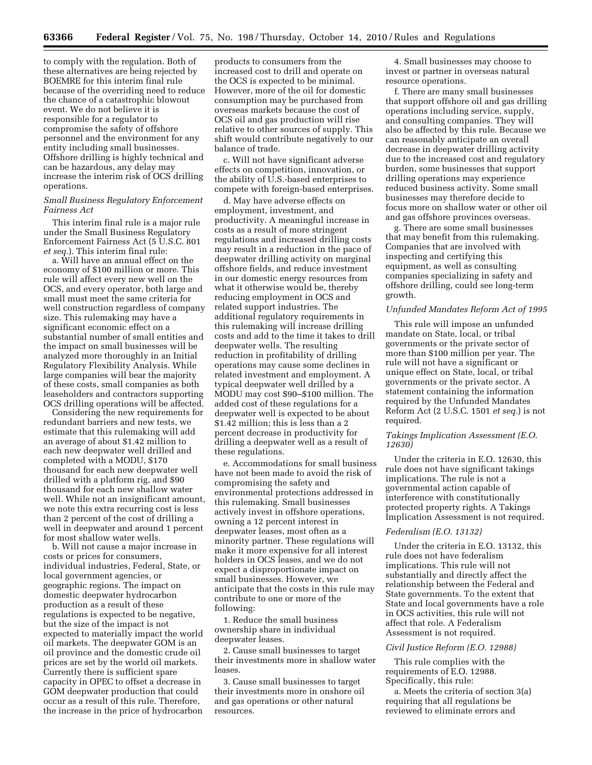to comply with the regulation. Both of these alternatives are being rejected by BOEMRE for this interim final rule because of the overriding need to reduce the chance of a catastrophic blowout event. We do not believe it is responsible for a regulator to compromise the safety of offshore personnel and the environment for any entity including small businesses. Offshore drilling is highly technical and can be hazardous, any delay may increase the interim risk of OCS drilling operations.

#### *Small Business Regulatory Enforcement Fairness Act*

This interim final rule is a major rule under the Small Business Regulatory Enforcement Fairness Act (5 U.S.C. 801 *et seq.*). This interim final rule:

a. Will have an annual effect on the economy of \$100 million or more. This rule will affect every new well on the OCS, and every operator, both large and small must meet the same criteria for well construction regardless of company size. This rulemaking may have a significant economic effect on a substantial number of small entities and the impact on small businesses will be analyzed more thoroughly in an Initial Regulatory Flexibility Analysis. While large companies will bear the majority of these costs, small companies as both leaseholders and contractors supporting OCS drilling operations will be affected.

Considering the new requirements for redundant barriers and new tests, we estimate that this rulemaking will add an average of about \$1.42 million to each new deepwater well drilled and completed with a MODU, \$170 thousand for each new deepwater well drilled with a platform rig, and \$90 thousand for each new shallow water well. While not an insignificant amount, we note this extra recurring cost is less than 2 percent of the cost of drilling a well in deepwater and around 1 percent for most shallow water wells.

b. Will not cause a major increase in costs or prices for consumers, individual industries, Federal, State, or local government agencies, or geographic regions. The impact on domestic deepwater hydrocarbon production as a result of these regulations is expected to be negative, but the size of the impact is not expected to materially impact the world oil markets. The deepwater GOM is an oil province and the domestic crude oil prices are set by the world oil markets. Currently there is sufficient spare capacity in OPEC to offset a decrease in GOM deepwater production that could occur as a result of this rule. Therefore, the increase in the price of hydrocarbon

products to consumers from the increased cost to drill and operate on the OCS is expected to be minimal. However, more of the oil for domestic consumption may be purchased from overseas markets because the cost of OCS oil and gas production will rise relative to other sources of supply. This shift would contribute negatively to our balance of trade.

c. Will not have significant adverse effects on competition, innovation, or the ability of U.S.-based enterprises to compete with foreign-based enterprises.

d. May have adverse effects on employment, investment, and productivity. A meaningful increase in costs as a result of more stringent regulations and increased drilling costs may result in a reduction in the pace of deepwater drilling activity on marginal offshore fields, and reduce investment in our domestic energy resources from what it otherwise would be, thereby reducing employment in OCS and related support industries. The additional regulatory requirements in this rulemaking will increase drilling costs and add to the time it takes to drill deepwater wells. The resulting reduction in profitability of drilling operations may cause some declines in related investment and employment. A typical deepwater well drilled by a MODU may cost \$90–\$100 million. The added cost of these regulations for a deepwater well is expected to be about \$1.42 million; this is less than a 2 percent decrease in productivity for drilling a deepwater well as a result of these regulations.

e. Accommodations for small business have not been made to avoid the risk of compromising the safety and environmental protections addressed in this rulemaking. Small businesses actively invest in offshore operations, owning a 12 percent interest in deepwater leases, most often as a minority partner. These regulations will make it more expensive for all interest holders in OCS leases, and we do not expect a disproportionate impact on small businesses. However, we anticipate that the costs in this rule may contribute to one or more of the following:

1. Reduce the small business ownership share in individual deepwater leases.

2. Cause small businesses to target their investments more in shallow water leases.

3. Cause small businesses to target their investments more in onshore oil and gas operations or other natural resources.

4. Small businesses may choose to invest or partner in overseas natural resource operations.

f. There are many small businesses that support offshore oil and gas drilling operations including service, supply, and consulting companies. They will also be affected by this rule. Because we can reasonably anticipate an overall decrease in deepwater drilling activity due to the increased cost and regulatory burden, some businesses that support drilling operations may experience reduced business activity. Some small businesses may therefore decide to focus more on shallow water or other oil and gas offshore provinces overseas.

g. There are some small businesses that may benefit from this rulemaking. Companies that are involved with inspecting and certifying this equipment, as well as consulting companies specializing in safety and offshore drilling, could see long-term growth.

#### *Unfunded Mandates Reform Act of 1995*

This rule will impose an unfunded mandate on State, local, or tribal governments or the private sector of more than \$100 million per year. The rule will not have a significant or unique effect on State, local, or tribal governments or the private sector. A statement containing the information required by the Unfunded Mandates Reform Act (2 U.S.C. 1501 *et seq.*) is not required.

#### *Takings Implication Assessment (E.O. 12630)*

Under the criteria in E.O. 12630, this rule does not have significant takings implications. The rule is not a governmental action capable of interference with constitutionally protected property rights. A Takings Implication Assessment is not required.

#### *Federalism (E.O. 13132)*

Under the criteria in E.O. 13132, this rule does not have federalism implications. This rule will not substantially and directly affect the relationship between the Federal and State governments. To the extent that State and local governments have a role in OCS activities, this rule will not affect that role. A Federalism Assessment is not required.

#### *Civil Justice Reform (E.O. 12988)*

This rule complies with the requirements of E.O. 12988. Specifically, this rule:

a. Meets the criteria of section 3(a) requiring that all regulations be reviewed to eliminate errors and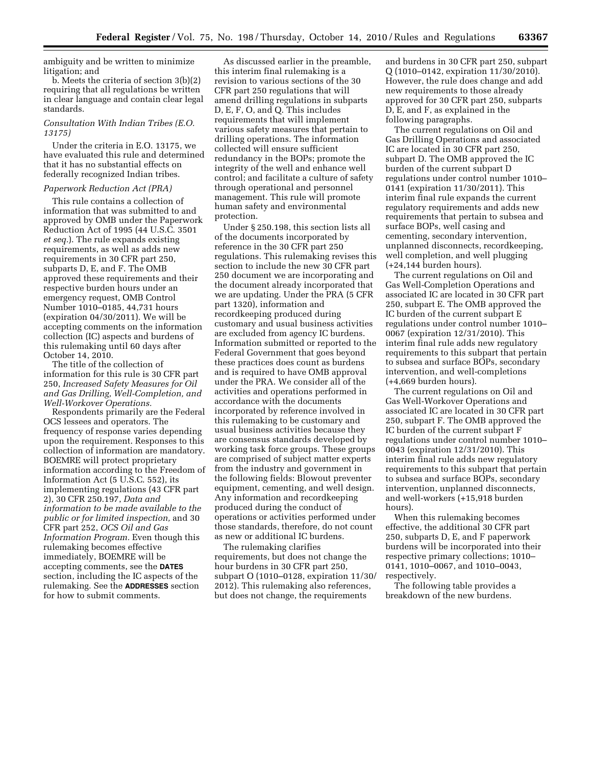ambiguity and be written to minimize litigation; and

b. Meets the criteria of section 3(b)(2) requiring that all regulations be written in clear language and contain clear legal standards.

#### *Consultation With Indian Tribes (E.O. 13175)*

Under the criteria in E.O. 13175, we have evaluated this rule and determined that it has no substantial effects on federally recognized Indian tribes.

#### *Paperwork Reduction Act (PRA)*

This rule contains a collection of information that was submitted to and approved by OMB under the Paperwork Reduction Act of 1995 (44 U.S.C. 3501 *et seq.*). The rule expands existing requirements, as well as adds new requirements in 30 CFR part 250, subparts D, E, and F. The OMB approved these requirements and their respective burden hours under an emergency request, OMB Control Number 1010–0185, 44,731 hours (expiration 04/30/2011). We will be accepting comments on the information collection (IC) aspects and burdens of this rulemaking until 60 days after October 14, 2010.

The title of the collection of information for this rule is 30 CFR part 250, *Increased Safety Measures for Oil and Gas Drilling, Well-Completion, and Well-Workover Operations.* 

Respondents primarily are the Federal OCS lessees and operators. The frequency of response varies depending upon the requirement. Responses to this collection of information are mandatory. BOEMRE will protect proprietary information according to the Freedom of Information Act (5 U.S.C. 552), its implementing regulations (43 CFR part 2), 30 CFR 250.197, *Data and information to be made available to the public or for limited inspection,* and 30 CFR part 252, *OCS Oil and Gas Information Program.* Even though this rulemaking becomes effective immediately, BOEMRE will be accepting comments, see the **DATES**  section, including the IC aspects of the rulemaking. See the **ADDRESSES** section for how to submit comments.

As discussed earlier in the preamble, this interim final rulemaking is a revision to various sections of the 30 CFR part 250 regulations that will amend drilling regulations in subparts D, E, F, O, and Q. This includes requirements that will implement various safety measures that pertain to drilling operations. The information collected will ensure sufficient redundancy in the BOPs; promote the integrity of the well and enhance well control; and facilitate a culture of safety through operational and personnel management. This rule will promote human safety and environmental protection.

Under § 250.198, this section lists all of the documents incorporated by reference in the 30 CFR part 250 regulations. This rulemaking revises this section to include the new 30 CFR part 250 document we are incorporating and the document already incorporated that we are updating. Under the PRA (5 CFR part 1320), information and recordkeeping produced during customary and usual business activities are excluded from agency IC burdens. Information submitted or reported to the Federal Government that goes beyond these practices does count as burdens and is required to have OMB approval under the PRA. We consider all of the activities and operations performed in accordance with the documents incorporated by reference involved in this rulemaking to be customary and usual business activities because they are consensus standards developed by working task force groups. These groups are comprised of subject matter experts from the industry and government in the following fields: Blowout preventer equipment, cementing, and well design. Any information and recordkeeping produced during the conduct of operations or activities performed under those standards, therefore, do not count as new or additional IC burdens.

The rulemaking clarifies requirements, but does not change the hour burdens in 30 CFR part 250, subpart O (1010–0128, expiration 11/30/ 2012). This rulemaking also references, but does not change, the requirements

and burdens in 30 CFR part 250, subpart Q (1010–0142, expiration 11/30/2010). However, the rule does change and add new requirements to those already approved for 30 CFR part 250, subparts D, E, and F, as explained in the following paragraphs.

The current regulations on Oil and Gas Drilling Operations and associated IC are located in 30 CFR part 250, subpart D. The OMB approved the IC burden of the current subpart D regulations under control number 1010– 0141 (expiration 11/30/2011). This interim final rule expands the current regulatory requirements and adds new requirements that pertain to subsea and surface BOPs, well casing and cementing, secondary intervention, unplanned disconnects, recordkeeping, well completion, and well plugging (+24,144 burden hours).

The current regulations on Oil and Gas Well-Completion Operations and associated IC are located in 30 CFR part 250, subpart E. The OMB approved the IC burden of the current subpart E regulations under control number 1010– 0067 (expiration 12/31/2010). This interim final rule adds new regulatory requirements to this subpart that pertain to subsea and surface BOPs, secondary intervention, and well-completions (+4,669 burden hours).

The current regulations on Oil and Gas Well-Workover Operations and associated IC are located in 30 CFR part 250, subpart F. The OMB approved the IC burden of the current subpart F regulations under control number 1010– 0043 (expiration 12/31/2010). This interim final rule adds new regulatory requirements to this subpart that pertain to subsea and surface BOPs, secondary intervention, unplanned disconnects, and well-workers (+15,918 burden hours).

When this rulemaking becomes effective, the additional 30 CFR part 250, subparts D, E, and F paperwork burdens will be incorporated into their respective primary collections; 1010– 0141, 1010–0067, and 1010–0043, respectively.

The following table provides a breakdown of the new burdens.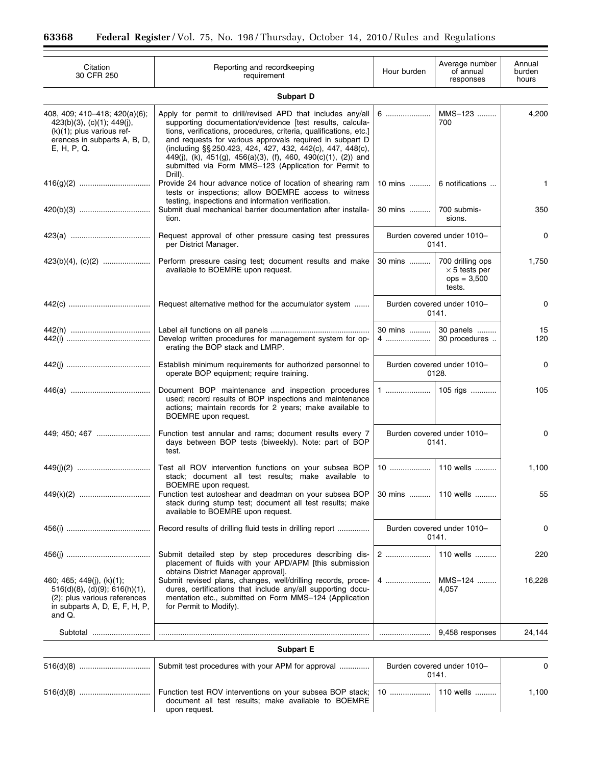| Citation<br>30 CFR 250                                                                                                                        | Reporting and recordkeeping<br>requirement                                                                                                                                                                                                                                                                                                                                                                                                                   | Hour burden                         | Average number<br>of annual<br>responses                            | Annual<br>burden<br>hours |  |  |  |
|-----------------------------------------------------------------------------------------------------------------------------------------------|--------------------------------------------------------------------------------------------------------------------------------------------------------------------------------------------------------------------------------------------------------------------------------------------------------------------------------------------------------------------------------------------------------------------------------------------------------------|-------------------------------------|---------------------------------------------------------------------|---------------------------|--|--|--|
| Subpart D                                                                                                                                     |                                                                                                                                                                                                                                                                                                                                                                                                                                                              |                                     |                                                                     |                           |  |  |  |
| 408, 409; 410-418; 420(a)(6);<br>$423(b)(3)$ , (c)(1); 449(j),<br>$(k)(1)$ ; plus various ref-<br>erences in subparts A, B, D,<br>E, H, P, Q. | Apply for permit to drill/revised APD that includes any/all<br>supporting documentation/evidence [test results, calcula-<br>tions, verifications, procedures, criteria, qualifications, etc.]<br>and requests for various approvals required in subpart D<br>(including §§ 250.423, 424, 427, 432, 442(c), 447, 448(c),<br>449(j), (k), 451(g), 456(a)(3), (f), 460, 490(c)(1), (2)) and<br>submitted via Form MMS-123 (Application for Permit to<br>Drill). | 6                                   | MMS-123<br>700                                                      | 4,200                     |  |  |  |
|                                                                                                                                               | Provide 24 hour advance notice of location of shearing ram<br>tests or inspections; allow BOEMRE access to witness<br>testing, inspections and information verification.                                                                                                                                                                                                                                                                                     | 10 mins                             | 6 notifications                                                     | 1                         |  |  |  |
|                                                                                                                                               | Submit dual mechanical barrier documentation after installa-<br>tion.                                                                                                                                                                                                                                                                                                                                                                                        | 30 mins                             | 700 submis-<br>sions.                                               | 350                       |  |  |  |
|                                                                                                                                               | Request approval of other pressure casing test pressures<br>per District Manager.                                                                                                                                                                                                                                                                                                                                                                            |                                     | Burden covered under 1010-<br>0141.                                 | 0                         |  |  |  |
| $423(b)(4), (c)(2)$                                                                                                                           | Perform pressure casing test; document results and make<br>available to BOEMRE upon request.                                                                                                                                                                                                                                                                                                                                                                 | 30 mins                             | 700 drilling ops<br>$\times$ 5 tests per<br>$ops = 3,500$<br>tests. | 1,750                     |  |  |  |
|                                                                                                                                               | Request alternative method for the accumulator system                                                                                                                                                                                                                                                                                                                                                                                                        |                                     | Burden covered under 1010-<br>0141.                                 | 0                         |  |  |  |
|                                                                                                                                               | Develop written procedures for management system for op-<br>erating the BOP stack and LMRP.                                                                                                                                                                                                                                                                                                                                                                  | 30 mins<br>4                        | 30 panels<br>30 procedures                                          | 15<br>120                 |  |  |  |
|                                                                                                                                               | Establish minimum requirements for authorized personnel to<br>operate BOP equipment; require training.                                                                                                                                                                                                                                                                                                                                                       | Burden covered under 1010-<br>0128. |                                                                     | 0                         |  |  |  |
|                                                                                                                                               | Document BOP maintenance and inspection procedures<br>used; record results of BOP inspections and maintenance<br>actions; maintain records for 2 years; make available to<br>BOEMRE upon request.                                                                                                                                                                                                                                                            |                                     |                                                                     | 105                       |  |  |  |
|                                                                                                                                               | Function test annular and rams; document results every 7<br>days between BOP tests (biweekly). Note: part of BOP<br>test.                                                                                                                                                                                                                                                                                                                                    | Burden covered under 1010-<br>0141. |                                                                     | 0                         |  |  |  |
| 449(k)(2)                                                                                                                                     | Test all ROV intervention functions on your subsea BOP<br>stack; document all test results; make available to<br>BOEMRE upon request.<br>Function test autoshear and deadman on your subsea BOP                                                                                                                                                                                                                                                              | 30 mins                             | 110 wells                                                           | 1,100<br>55               |  |  |  |
|                                                                                                                                               | stack during stump test; document all test results; make<br>available to BOEMRE upon request.                                                                                                                                                                                                                                                                                                                                                                |                                     |                                                                     |                           |  |  |  |
|                                                                                                                                               | Record results of drilling fluid tests in drilling report                                                                                                                                                                                                                                                                                                                                                                                                    | Burden covered under 1010-<br>0141. |                                                                     | 0                         |  |  |  |
|                                                                                                                                               | Submit detailed step by step procedures describing dis-<br>placement of fluids with your APD/APM [this submission<br>obtains District Manager approval].                                                                                                                                                                                                                                                                                                     |                                     | 110 wells                                                           | 220                       |  |  |  |
| 460; 465; 449(j), (k)(1);<br>$516(d)(8)$ , (d)(9); 616(h)(1),<br>(2); plus various references<br>in subparts A, D, E, F, H, P,<br>and Q.      | Submit revised plans, changes, well/drilling records, proce-<br>dures, certifications that include any/all supporting docu-<br>mentation etc., submitted on Form MMS-124 (Application<br>for Permit to Modify).                                                                                                                                                                                                                                              | 4                                   | MMS-124<br>4.057                                                    | 16,228                    |  |  |  |
| Subtotal                                                                                                                                      |                                                                                                                                                                                                                                                                                                                                                                                                                                                              |                                     | 9,458 responses                                                     | 24,144                    |  |  |  |
| Subpart E                                                                                                                                     |                                                                                                                                                                                                                                                                                                                                                                                                                                                              |                                     |                                                                     |                           |  |  |  |
|                                                                                                                                               | Submit test procedures with your APM for approval                                                                                                                                                                                                                                                                                                                                                                                                            | Burden covered under 1010-<br>0141. | 0                                                                   |                           |  |  |  |
|                                                                                                                                               | Function test ROV interventions on your subsea BOP stack;<br>document all test results; make available to BOEMRE<br>upon request.                                                                                                                                                                                                                                                                                                                            | 10                                  | 110 wells                                                           | 1,100                     |  |  |  |

upon request.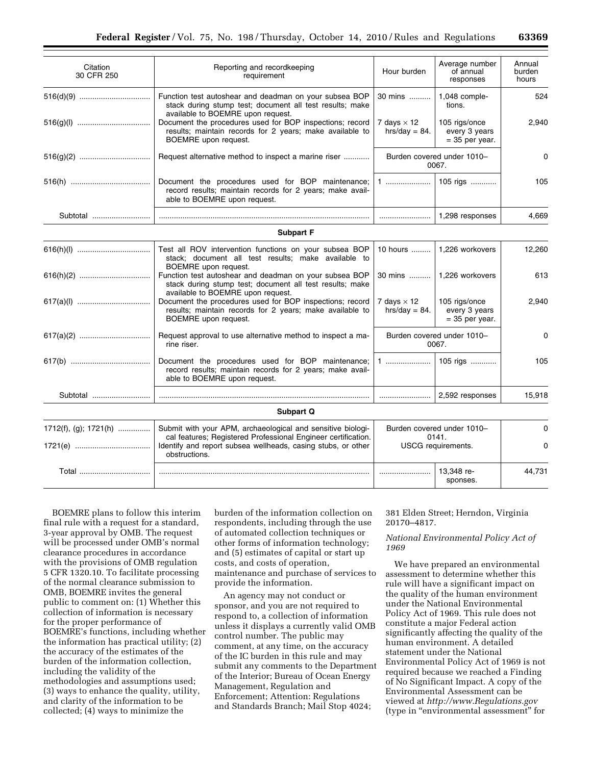| Citation<br>30 CFR 250 | Reporting and recordkeeping<br>requirement                                                                                                              | Hour burden                                               | Average number<br>of annual<br>responses           | Annual<br>burden<br>hours |
|------------------------|---------------------------------------------------------------------------------------------------------------------------------------------------------|-----------------------------------------------------------|----------------------------------------------------|---------------------------|
|                        | Function test autoshear and deadman on your subsea BOP<br>stack during stump test; document all test results; make<br>available to BOEMRE upon request. | 1,048 comple-<br>tions.                                   | 524                                                |                           |
|                        | Document the procedures used for BOP inspections; record<br>results; maintain records for 2 years; make available to<br>BOEMRE upon request.            | 7 days $\times$ 12<br>$hrs/day = 84.$                     | 105 rigs/once<br>every 3 years<br>$=$ 35 per year. | 2,940                     |
|                        | Request alternative method to inspect a marine riser                                                                                                    |                                                           | Burden covered under 1010-<br>0067.                |                           |
|                        | Document the procedures used for BOP maintenance;<br>record results; maintain records for 2 years; make avail-<br>able to BOEMRE upon request.          |                                                           | 105 rigs                                           | 105                       |
| Subtotal               |                                                                                                                                                         |                                                           | 1,298 responses                                    | 4.669                     |
|                        | <b>Subpart F</b>                                                                                                                                        |                                                           |                                                    |                           |
|                        | Test all ROV intervention functions on your subsea BOP<br>stack; document all test results; make available to<br>BOEMRE upon request.                   | 1,226 workovers                                           | 12,260                                             |                           |
|                        | Function test autoshear and deadman on your subsea BOP<br>stack during stump test; document all test results; make<br>available to BOEMRE upon request. |                                                           | 30 mins    1,226 workovers                         | 613                       |
|                        | Document the procedures used for BOP inspections; record<br>results; maintain records for 2 years; make available to<br>BOEMRE upon request.            | 7 days $\times$ 12<br>$hrs/day = 84.$                     | 105 rigs/once<br>every 3 years<br>$=$ 35 per year. | 2.940                     |
|                        | Request approval to use alternative method to inspect a ma-<br>rine riser.                                                                              | Burden covered under 1010-<br>0067.                       |                                                    | 0                         |
|                        | Document the procedures used for BOP maintenance;<br>record results; maintain records for 2 years; make avail-<br>able to BOEMRE upon request.          |                                                           | 105 rigs                                           | 105                       |
| Subtotal               |                                                                                                                                                         |                                                           | 2,592 responses                                    | 15,918                    |
|                        | Subpart Q                                                                                                                                               |                                                           |                                                    |                           |
| 1712(f), (g); 1721(h)  | Submit with your APM, archaeological and sensitive biologi-                                                                                             | Burden covered under 1010-<br>0141.<br>USCG requirements. |                                                    | 0                         |
|                        | cal features; Registered Professional Engineer certification.<br>Identify and report subsea wellheads, casing stubs, or other<br>obstructions.          |                                                           |                                                    | 0                         |
| Total                  |                                                                                                                                                         |                                                           | 13,348 re-<br>sponses.                             | 44,731                    |

BOEMRE plans to follow this interim final rule with a request for a standard, 3-year approval by OMB. The request will be processed under OMB's normal clearance procedures in accordance with the provisions of OMB regulation 5 CFR 1320.10. To facilitate processing of the normal clearance submission to OMB, BOEMRE invites the general public to comment on: (1) Whether this collection of information is necessary for the proper performance of BOEMRE's functions, including whether the information has practical utility; (2) the accuracy of the estimates of the burden of the information collection, including the validity of the methodologies and assumptions used; (3) ways to enhance the quality, utility, and clarity of the information to be collected; (4) ways to minimize the

burden of the information collection on respondents, including through the use of automated collection techniques or other forms of information technology; and (5) estimates of capital or start up costs, and costs of operation, maintenance and purchase of services to provide the information.

An agency may not conduct or sponsor, and you are not required to respond to, a collection of information unless it displays a currently valid OMB control number. The public may comment, at any time, on the accuracy of the IC burden in this rule and may submit any comments to the Department of the Interior; Bureau of Ocean Energy Management, Regulation and Enforcement; Attention: Regulations and Standards Branch; Mail Stop 4024;

#### 381 Elden Street; Herndon, Virginia 20170–4817.

#### *National Environmental Policy Act of 1969*

We have prepared an environmental assessment to determine whether this rule will have a significant impact on the quality of the human environment under the National Environmental Policy Act of 1969. This rule does not constitute a major Federal action significantly affecting the quality of the human environment. A detailed statement under the National Environmental Policy Act of 1969 is not required because we reached a Finding of No Significant Impact. A copy of the Environmental Assessment can be viewed at *<http://www.Regulations.gov>*  (type in "environmental assessment" for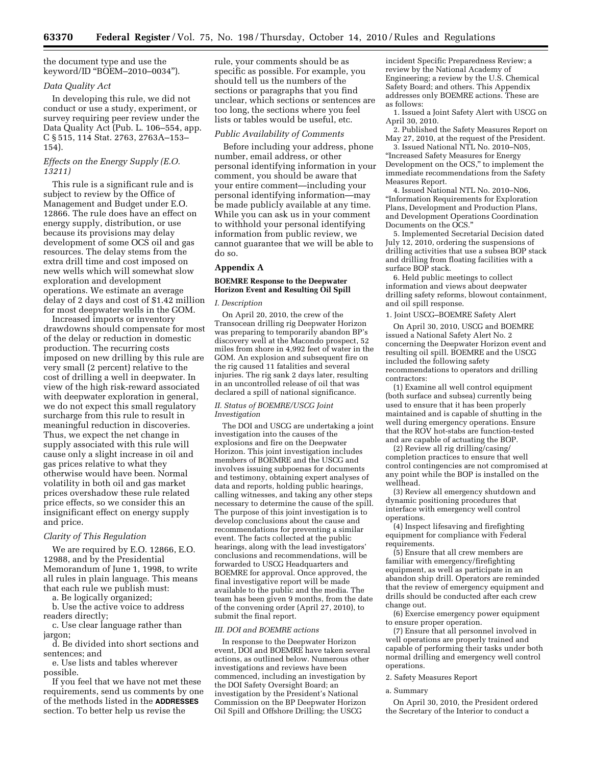the document type and use the keyword/ID ''BOEM–2010–0034'').

#### *Data Quality Act*

In developing this rule, we did not conduct or use a study, experiment, or survey requiring peer review under the Data Quality Act (Pub. L. 106–554, app. C § 515, 114 Stat. 2763, 2763A–153– 154).

#### *Effects on the Energy Supply (E.O. 13211)*

This rule is a significant rule and is subject to review by the Office of Management and Budget under E.O. 12866. The rule does have an effect on energy supply, distribution, or use because its provisions may delay development of some OCS oil and gas resources. The delay stems from the extra drill time and cost imposed on new wells which will somewhat slow exploration and development operations. We estimate an average delay of 2 days and cost of \$1.42 million for most deepwater wells in the GOM.

Increased imports or inventory drawdowns should compensate for most of the delay or reduction in domestic production. The recurring costs imposed on new drilling by this rule are very small (2 percent) relative to the cost of drilling a well in deepwater. In view of the high risk-reward associated with deepwater exploration in general, we do not expect this small regulatory surcharge from this rule to result in meaningful reduction in discoveries. Thus, we expect the net change in supply associated with this rule will cause only a slight increase in oil and gas prices relative to what they otherwise would have been. Normal volatility in both oil and gas market prices overshadow these rule related price effects, so we consider this an insignificant effect on energy supply and price.

#### *Clarity of This Regulation*

We are required by E.O. 12866, E.O. 12988, and by the Presidential Memorandum of June 1, 1998, to write all rules in plain language. This means that each rule we publish must:

a. Be logically organized;

b. Use the active voice to address readers directly;

c. Use clear language rather than jargon;

d. Be divided into short sections and sentences; and

e. Use lists and tables wherever possible.

If you feel that we have not met these requirements, send us comments by one of the methods listed in the **ADDRESSES**  section. To better help us revise the

rule, your comments should be as specific as possible. For example, you should tell us the numbers of the sections or paragraphs that you find unclear, which sections or sentences are too long, the sections where you feel lists or tables would be useful, etc.

#### *Public Availability of Comments*

Before including your address, phone number, email address, or other personal identifying information in your comment, you should be aware that your entire comment—including your personal identifying information—may be made publicly available at any time. While you can ask us in your comment to withhold your personal identifying information from public review, we cannot guarantee that we will be able to do so.

#### **Appendix A**

#### **BOEMRE Response to the Deepwater Horizon Event and Resulting Oil Spill**

#### *I. Description*

On April 20, 2010, the crew of the Transocean drilling rig Deepwater Horizon was preparing to temporarily abandon BP's discovery well at the Macondo prospect, 52 miles from shore in 4,992 feet of water in the GOM. An explosion and subsequent fire on the rig caused 11 fatalities and several injuries. The rig sank 2 days later, resulting in an uncontrolled release of oil that was declared a spill of national significance.

#### *II. Status of BOEMRE/USCG Joint Investigation*

The DOI and USCG are undertaking a joint investigation into the causes of the explosions and fire on the Deepwater Horizon. This joint investigation includes members of BOEMRE and the USCG and involves issuing subpoenas for documents and testimony, obtaining expert analyses of data and reports, holding public hearings, calling witnesses, and taking any other steps necessary to determine the cause of the spill. The purpose of this joint investigation is to develop conclusions about the cause and recommendations for preventing a similar event. The facts collected at the public hearings, along with the lead investigators' conclusions and recommendations, will be forwarded to USCG Headquarters and BOEMRE for approval. Once approved, the final investigative report will be made available to the public and the media. The team has been given 9 months, from the date of the convening order (April 27, 2010), to submit the final report.

#### *III. DOI and BOEMRE actions*

In response to the Deepwater Horizon event, DOI and BOEMRE have taken several actions, as outlined below. Numerous other investigations and reviews have been commenced, including an investigation by the DOI Safety Oversight Board; an investigation by the President's National Commission on the BP Deepwater Horizon Oil Spill and Offshore Drilling; the USCG

incident Specific Preparedness Review; a review by the National Academy of Engineering; a review by the U.S. Chemical Safety Board; and others. This Appendix addresses only BOEMRE actions. These are as follows:

1. Issued a Joint Safety Alert with USCG on April 30, 2010.

2. Published the Safety Measures Report on May 27, 2010, at the request of the President.

3. Issued National NTL No. 2010–N05, ''Increased Safety Measures for Energy Development on the OCS,'' to implement the immediate recommendations from the Safety Measures Report.

4. Issued National NTL No. 2010–N06, ''Information Requirements for Exploration Plans, Development and Production Plans, and Development Operations Coordination Documents on the OCS.''

5. Implemented Secretarial Decision dated July 12, 2010, ordering the suspensions of drilling activities that use a subsea BOP stack and drilling from floating facilities with a surface BOP stack.

6. Held public meetings to collect information and views about deepwater drilling safety reforms, blowout containment, and oil spill response.

1. Joint USCG–BOEMRE Safety Alert

On April 30, 2010, USCG and BOEMRE issued a National Safety Alert No. 2 concerning the Deepwater Horizon event and resulting oil spill. BOEMRE and the USCG included the following safety recommendations to operators and drilling contractors:

(1) Examine all well control equipment (both surface and subsea) currently being used to ensure that it has been properly maintained and is capable of shutting in the well during emergency operations. Ensure that the ROV hot-stabs are function-tested and are capable of actuating the BOP.

(2) Review all rig drilling/casing/ completion practices to ensure that well control contingencies are not compromised at any point while the BOP is installed on the wellhead.

(3) Review all emergency shutdown and dynamic positioning procedures that interface with emergency well control operations.

(4) Inspect lifesaving and firefighting equipment for compliance with Federal requirements.

(5) Ensure that all crew members are familiar with emergency/firefighting equipment, as well as participate in an abandon ship drill. Operators are reminded that the review of emergency equipment and drills should be conducted after each crew change out.

(6) Exercise emergency power equipment to ensure proper operation.

(7) Ensure that all personnel involved in well operations are properly trained and capable of performing their tasks under both normal drilling and emergency well control operations.

#### 2. Safety Measures Report

#### a. Summary

On April 30, 2010, the President ordered the Secretary of the Interior to conduct a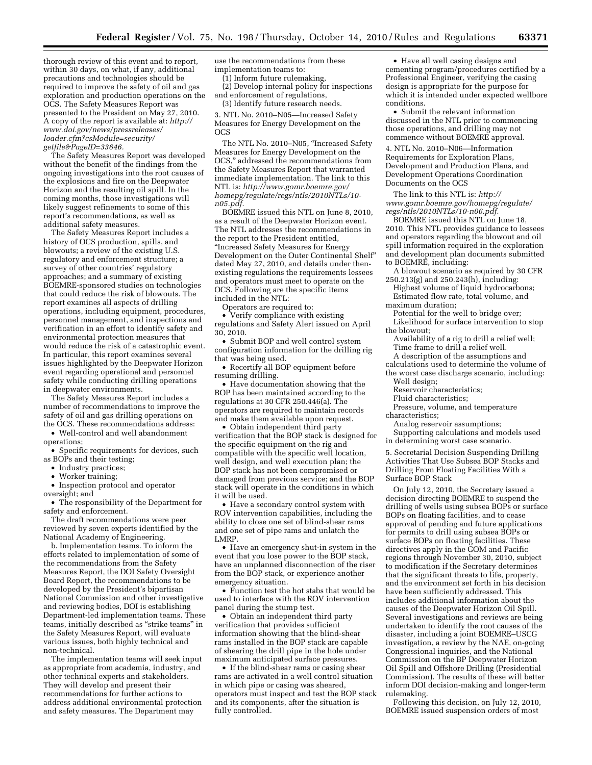thorough review of this event and to report, within 30 days, on what, if any, additional precautions and technologies should be required to improve the safety of oil and gas exploration and production operations on the OCS. The Safety Measures Report was presented to the President on May 27, 2010. A copy of the report is available at: *[http://](http://www.doi.gov/news/pressreleases/loader.cfm?csModule=security/getfile&PageID=33646) [www.doi.gov/news/pressreleases/](http://www.doi.gov/news/pressreleases/loader.cfm?csModule=security/getfile&PageID=33646) [loader.cfm?csModule=security/](http://www.doi.gov/news/pressreleases/loader.cfm?csModule=security/getfile&PageID=33646) [getfile&PageID=33646.](http://www.doi.gov/news/pressreleases/loader.cfm?csModule=security/getfile&PageID=33646)* 

The Safety Measures Report was developed without the benefit of the findings from the ongoing investigations into the root causes of the explosions and fire on the Deepwater Horizon and the resulting oil spill. In the coming months, those investigations will likely suggest refinements to some of this report's recommendations, as well as additional safety measures.

The Safety Measures Report includes a history of OCS production, spills, and blowouts; a review of the existing U.S. regulatory and enforcement structure; a survey of other countries' regulatory approaches; and a summary of existing BOEMRE-sponsored studies on technologies that could reduce the risk of blowouts. The report examines all aspects of drilling operations, including equipment, procedures, personnel management, and inspections and verification in an effort to identify safety and environmental protection measures that would reduce the risk of a catastrophic event. In particular, this report examines several issues highlighted by the Deepwater Horizon event regarding operational and personnel safety while conducting drilling operations in deepwater environments.

The Safety Measures Report includes a number of recommendations to improve the safety of oil and gas drilling operations on the OCS. These recommendations address:

• Well-control and well abandonment operations;

• Specific requirements for devices, such as BOPs and their testing;

- Industry practices;
- Worker training;

• Inspection protocol and operator

oversight; and

• The responsibility of the Department for safety and enforcement.

The draft recommendations were peer reviewed by seven experts identified by the National Academy of Engineering.

b. Implementation teams. To inform the efforts related to implementation of some of the recommendations from the Safety Measures Report, the DOI Safety Oversight Board Report, the recommendations to be developed by the President's bipartisan National Commission and other investigative and reviewing bodies, DOI is establishing Department-led implementation teams. These teams, initially described as ''strike teams'' in the Safety Measures Report, will evaluate various issues, both highly technical and non-technical.

The implementation teams will seek input as appropriate from academia, industry, and other technical experts and stakeholders. They will develop and present their recommendations for further actions to address additional environmental protection and safety measures. The Department may

use the recommendations from these implementation teams to:

(1) Inform future rulemaking,

(2) Develop internal policy for inspections and enforcement of regulations, (3) Identify future research needs.

3. NTL No. 2010–N05—Increased Safety Measures for Energy Development on the OCS

The NTL No. 2010-N05, "Increased Safety Measures for Energy Development on the OCS,'' addressed the recommendations from the Safety Measures Report that warranted immediate implementation. The link to this NTL is: *[http://www.gomr.boemre.gov/](http://www.gomr.boemre.gov/homepg/regulate/regs/ntls/2010NTLs/10-n05.pdf) [homepg/regulate/regs/ntls/2010NTLs/10](http://www.gomr.boemre.gov/homepg/regulate/regs/ntls/2010NTLs/10-n05.pdf) [n05.pdf.](http://www.gomr.boemre.gov/homepg/regulate/regs/ntls/2010NTLs/10-n05.pdf)* 

BOEMRE issued this NTL on June 8, 2010, as a result of the Deepwater Horizon event. The NTL addresses the recommendations in the report to the President entitled, ''Increased Safety Measures for Energy Development on the Outer Continental Shelf'' dated May 27, 2010, and details under thenexisting regulations the requirements lessees and operators must meet to operate on the OCS. Following are the specific items included in the NTL:

Operators are required to:

• Verify compliance with existing regulations and Safety Alert issued on April 30, 2010.

• Submit BOP and well control system

configuration information for the drilling rig that was being used. • Recertify all BOP equipment before

resuming drilling.

• Have documentation showing that the BOP has been maintained according to the regulations at 30 CFR 250.446(a). The operators are required to maintain records and make them available upon request.

• Obtain independent third party verification that the BOP stack is designed for the specific equipment on the rig and compatible with the specific well location, well design, and well execution plan; the BOP stack has not been compromised or damaged from previous service; and the BOP stack will operate in the conditions in which it will be used.

• Have a secondary control system with ROV intervention capabilities, including the ability to close one set of blind-shear rams and one set of pipe rams and unlatch the LMRP.

• Have an emergency shut-in system in the event that you lose power to the BOP stack, have an unplanned disconnection of the riser from the BOP stack, or experience another emergency situation.

• Function test the hot stabs that would be used to interface with the ROV intervention panel during the stump test.

• Obtain an independent third party verification that provides sufficient information showing that the blind-shear rams installed in the BOP stack are capable of shearing the drill pipe in the hole under maximum anticipated surface pressures.

• If the blind-shear rams or casing shear rams are activated in a well control situation in which pipe or casing was sheared, operators must inspect and test the BOP stack and its components, after the situation is fully controlled.

• Have all well casing designs and cementing program/procedures certified by a Professional Engineer, verifying the casing design is appropriate for the purpose for which it is intended under expected wellbore conditions.

• Submit the relevant information discussed in the NTL prior to commencing those operations, and drilling may not commence without BOEMRE approval.

4. NTL No. 2010–N06—Information Requirements for Exploration Plans, Development and Production Plans, and Development Operations Coordination Documents on the OCS

The link to this NTL is: *[http://](http://www.gomr.boemre.gov/homepg/regulate/regs/ntls/2010NTLs/10-n06.pdf) [www.gomr.boemre.gov/homepg/regulate/](http://www.gomr.boemre.gov/homepg/regulate/regs/ntls/2010NTLs/10-n06.pdf)  [regs/ntls/2010NTLs/10-n06.pdf.](http://www.gomr.boemre.gov/homepg/regulate/regs/ntls/2010NTLs/10-n06.pdf)* 

BOEMRE issued this NTL on June 18, 2010. This NTL provides guidance to lessees and operators regarding the blowout and oil spill information required in the exploration and development plan documents submitted to BOEMRE, including:

A blowout scenario as required by 30 CFR 250.213(g) and 250.243(h), including:

Highest volume of liquid hydrocarbons; Estimated flow rate, total volume, and maximum duration;

Potential for the well to bridge over; Likelihood for surface intervention to stop

the blowout; Availability of a rig to drill a relief well;

Time frame to drill a relief well. A description of the assumptions and

calculations used to determine the volume of the worst case discharge scenario, including: Well design;

Reservoir characteristics;

Fluid characteristics;

Pressure, volume, and temperature

characteristics;

Analog reservoir assumptions;

Supporting calculations and models used in determining worst case scenario.

5. Secretarial Decision Suspending Drilling Activities That Use Subsea BOP Stacks and Drilling From Floating Facilities With a Surface BOP Stack

On July 12, 2010, the Secretary issued a decision directing BOEMRE to suspend the drilling of wells using subsea BOPs or surface BOPs on floating facilities, and to cease approval of pending and future applications for permits to drill using subsea BOPs or surface BOPs on floating facilities. These directives apply in the GOM and Pacific regions through November 30, 2010, subject to modification if the Secretary determines that the significant threats to life, property, and the environment set forth in his decision have been sufficiently addressed. This includes additional information about the causes of the Deepwater Horizon Oil Spill. Several investigations and reviews are being undertaken to identify the root causes of the disaster, including a joint BOEMRE–USCG investigation, a review by the NAE, on-going Congressional inquiries, and the National Commission on the BP Deepwater Horizon Oil Spill and Offshore Drilling (Presidential Commission). The results of these will better inform DOI decision-making and longer-term rulemaking.

Following this decision, on July 12, 2010, BOEMRE issued suspension orders of most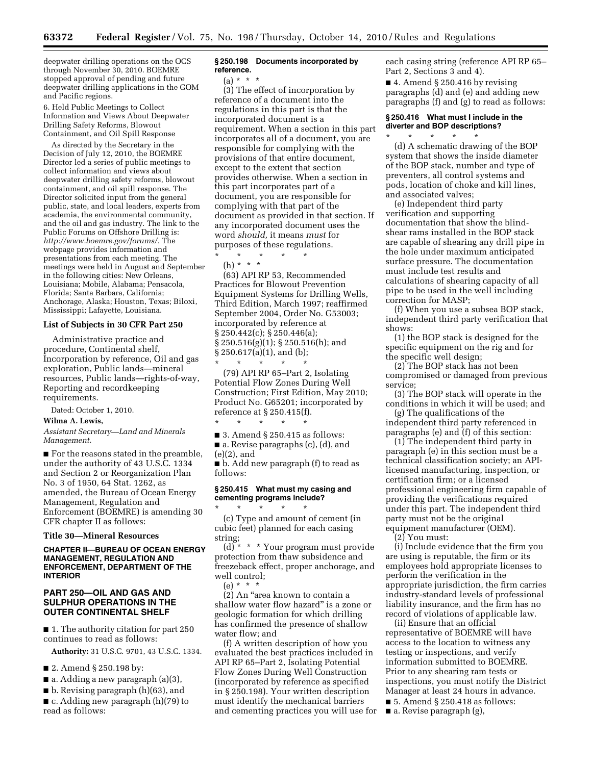deepwater drilling operations on the OCS through November 30, 2010. BOEMRE stopped approval of pending and future deepwater drilling applications in the GOM and Pacific regions.

6. Held Public Meetings to Collect Information and Views About Deepwater Drilling Safety Reforms, Blowout Containment, and Oil Spill Response

As directed by the Secretary in the Decision of July 12, 2010, the BOEMRE Director led a series of public meetings to collect information and views about deepwater drilling safety reforms, blowout containment, and oil spill response. The Director solicited input from the general public, state, and local leaders, experts from academia, the environmental community, and the oil and gas industry. The link to the Public Forums on Offshore Drilling is: *[http://www.boemre.gov/forums/.](http://www.boemre.gov/forums/)* The webpage provides information and presentations from each meeting. The meetings were held in August and September in the following cities: New Orleans, Louisiana; Mobile, Alabama; Pensacola, Florida; Santa Barbara, California; Anchorage, Alaska; Houston, Texas; Biloxi, Mississippi; Lafayette, Louisiana.

# **List of Subjects in 30 CFR Part 250**

Administrative practice and procedure, Continental shelf, Incorporation by reference, Oil and gas exploration, Public lands—mineral resources, Public lands—rights-of-way, Reporting and recordkeeping requirements.

Dated: October 1, 2010.

#### **Wilma A. Lewis,**

*Assistant Secretary—Land and Minerals Management.* 

■ For the reasons stated in the preamble, under the authority of 43 U.S.C. 1334 and Section 2 or Reorganization Plan No. 3 of 1950, 64 Stat. 1262, as amended, the Bureau of Ocean Energy Management, Regulation and Enforcement (BOEMRE) is amending 30 CFR chapter II as follows:

#### **Title 30—Mineral Resources**

#### **CHAPTER II—BUREAU OF OCEAN ENERGY MANAGEMENT, REGULATION AND ENFORCEMENT, DEPARTMENT OF THE INTERIOR**

#### **PART 250—OIL AND GAS AND SULPHUR OPERATIONS IN THE OUTER CONTINENTAL SHELF**

■ 1. The authority citation for part 250 continues to read as follows:

**Authority:** 31 U.S.C. 9701, 43 U.S.C. 1334.

- 2. Amend § 250.198 by:
- a. Adding a new paragraph (a)(3),
- b. Revising paragraph (h)(63), and

■ c. Adding new paragraph (h)(79) to read as follows:

#### **§ 250.198 Documents incorporated by reference.**

(a) \* \* \*

(3) The effect of incorporation by reference of a document into the regulations in this part is that the incorporated document is a requirement. When a section in this part incorporates all of a document, you are responsible for complying with the provisions of that entire document, except to the extent that section provides otherwise. When a section in this part incorporates part of a document, you are responsible for complying with that part of the document as provided in that section. If any incorporated document uses the word *should,* it means *must* for purposes of these regulations.

\* \* \* \* \* (h) \* \* \*

(63) API RP 53, Recommended Practices for Blowout Prevention Equipment Systems for Drilling Wells, Third Edition, March 1997; reaffirmed September 2004, Order No. G53003; incorporated by reference at § 250.442(c); § 250.446(a); § 250.516(g)(1); § 250.516(h); and § 250.617(a)(1), and (b);

\* \* \* \* \* (79) API RP 65–Part 2, Isolating Potential Flow Zones During Well Construction; First Edition, May 2010; Product No. G65201; incorporated by reference at § 250.415(f).

\* \* \* \* \*  $\blacksquare$  3. Amend § 250.415 as follows:

■ a. Revise paragraphs (c), (d), and (e)(2), and

■ b. Add new paragraph (f) to read as follows:

#### **§ 250.415 What must my casing and cementing programs include?**

\* \* \* \* \* (c) Type and amount of cement (in cubic feet) planned for each casing string;

 $(d)$ <sup>\*</sup> \* \* Your program must provide protection from thaw subsidence and freezeback effect, proper anchorage, and well control;

 $(e) * * * *$ 

(2) An ''area known to contain a shallow water flow hazard'' is a zone or geologic formation for which drilling has confirmed the presence of shallow water flow; and

(f) A written description of how you evaluated the best practices included in API RP 65–Part 2, Isolating Potential Flow Zones During Well Construction (incorporated by reference as specified in § 250.198). Your written description must identify the mechanical barriers and cementing practices you will use for each casing string (reference API RP 65– Part 2, Sections 3 and 4).

■ 4. Amend § 250.416 by revising paragraphs (d) and (e) and adding new paragraphs (f) and (g) to read as follows:

#### **§ 250.416 What must I include in the diverter and BOP descriptions?**  \* \* \* \* \*

(d) A schematic drawing of the BOP system that shows the inside diameter of the BOP stack, number and type of preventers, all control systems and pods, location of choke and kill lines, and associated valves;

(e) Independent third party verification and supporting documentation that show the blindshear rams installed in the BOP stack are capable of shearing any drill pipe in the hole under maximum anticipated surface pressure. The documentation must include test results and calculations of shearing capacity of all pipe to be used in the well including correction for MASP;

(f) When you use a subsea BOP stack, independent third party verification that shows:

(1) the BOP stack is designed for the specific equipment on the rig and for the specific well design;

(2) The BOP stack has not been compromised or damaged from previous service;

(3) The BOP stack will operate in the conditions in which it will be used; and

(g) The qualifications of the independent third party referenced in paragraphs (e) and (f) of this section:

(1) The independent third party in paragraph (e) in this section must be a technical classification society; an APIlicensed manufacturing, inspection, or certification firm; or a licensed professional engineering firm capable of providing the verifications required under this part. The independent third party must not be the original equipment manufacturer (OEM).

(2) You must:

(i) Include evidence that the firm you are using is reputable, the firm or its employees hold appropriate licenses to perform the verification in the appropriate jurisdiction, the firm carries industry-standard levels of professional liability insurance, and the firm has no record of violations of applicable law.

(ii) Ensure that an official representative of BOEMRE will have access to the location to witness any testing or inspections, and verify information submitted to BOEMRE. Prior to any shearing ram tests or inspections, you must notify the District Manager at least 24 hours in advance.

■ 5. Amend § 250.418 as follows:

■ a. Revise paragraph (g),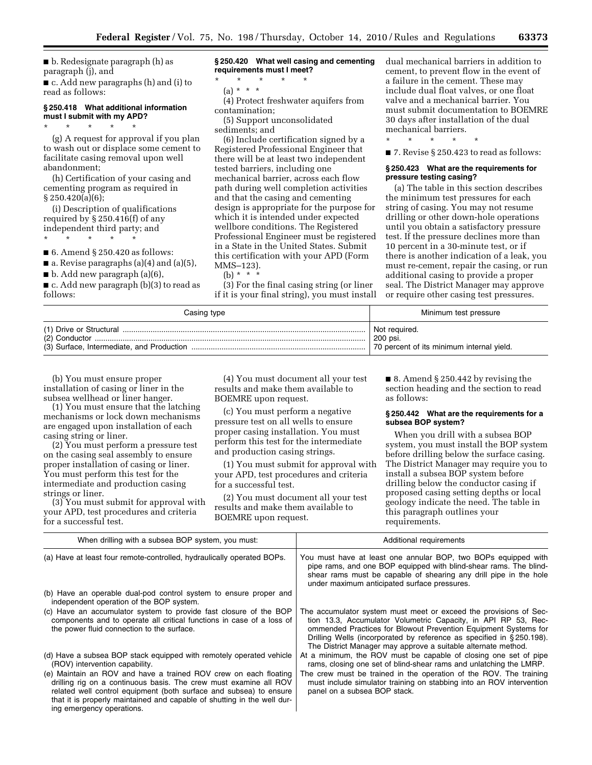■ b. Redesignate paragraph (h) as paragraph (j), and ■ c. Add new paragraphs (h) and (i) to

#### **§ 250.418 What additional information must I submit with my APD?**

\* \* \* \* \*

read as follows:

(g) A request for approval if you plan to wash out or displace some cement to facilitate casing removal upon well abandonment;

(h) Certification of your casing and cementing program as required in § 250.420(a)(6);

(i) Description of qualifications required by § 250.416(f) of any independent third party; and

\* \* \* \* \*

 $\blacksquare$  6. Amend § 250.420 as follows:

 $\blacksquare$  a. Revise paragraphs (a)(4) and (a)(5),

 $\blacksquare$  b. Add new paragraph (a)(6),

■ c. Add new paragraph (b)(3) to read as follows:

**§ 250.420 What well casing and cementing requirements must I meet?** 

\* \* \* \* \* (a) \* \* \*

(4) Protect freshwater aquifers from contamination;

(5) Support unconsolidated sediments; and

(6) Include certification signed by a Registered Professional Engineer that there will be at least two independent tested barriers, including one mechanical barrier, across each flow path during well completion activities and that the casing and cementing design is appropriate for the purpose for which it is intended under expected wellbore conditions. The Registered Professional Engineer must be registered in a State in the United States. Submit this certification with your APD (Form MMS–123).

(b) \* \* \* \*

(3) For the final casing string (or liner if it is your final string), you must install dual mechanical barriers in addition to cement, to prevent flow in the event of a failure in the cement. These may include dual float valves, or one float valve and a mechanical barrier. You must submit documentation to BOEMRE 30 days after installation of the dual mechanical barriers.

\* \* \* \* \*

■ 7. Revise § 250.423 to read as follows:

#### **§ 250.423 What are the requirements for pressure testing casing?**

(a) The table in this section describes the minimum test pressures for each string of casing. You may not resume drilling or other down-hole operations until you obtain a satisfactory pressure test. If the pressure declines more than 10 percent in a 30-minute test, or if there is another indication of a leak, you must re-cement, repair the casing, or run additional casing to provide a proper seal. The District Manager may approve or require other casing test pressures.

| Casing type | Minimum test pressure                     |  |  |
|-------------|-------------------------------------------|--|--|
|             | Not reauired.                             |  |  |
|             | 200 psi.                                  |  |  |
|             | 70 percent of its minimum internal yield. |  |  |

(b) You must ensure proper installation of casing or liner in the subsea wellhead or liner hanger.

(1) You must ensure that the latching mechanisms or lock down mechanisms are engaged upon installation of each casing string or liner.

(2) You must perform a pressure test on the casing seal assembly to ensure proper installation of casing or liner. You must perform this test for the intermediate and production casing strings or liner.

(3) You must submit for approval with your APD, test procedures and criteria for a successful test.

(4) You must document all your test results and make them available to BOEMRE upon request.

(c) You must perform a negative pressure test on all wells to ensure proper casing installation. You must perform this test for the intermediate and production casing strings.

(1) You must submit for approval with your APD, test procedures and criteria for a successful test.

(2) You must document all your test results and make them available to BOEMRE upon request.

■ 8. Amend § 250.442 by revising the section heading and the section to read as follows:

#### **§ 250.442 What are the requirements for a subsea BOP system?**

When you drill with a subsea BOP system, you must install the BOP system before drilling below the surface casing. The District Manager may require you to install a subsea BOP system before drilling below the conductor casing if proposed casing setting depths or local geology indicate the need. The table in this paragraph outlines your requirements.

| When drilling with a subsea BOP system, you must:                                                                                                                                                                                                                                                                   | Additional requirements                                                                                                                                                                                                                                                                                                                         |
|---------------------------------------------------------------------------------------------------------------------------------------------------------------------------------------------------------------------------------------------------------------------------------------------------------------------|-------------------------------------------------------------------------------------------------------------------------------------------------------------------------------------------------------------------------------------------------------------------------------------------------------------------------------------------------|
| (a) Have at least four remote-controlled, hydraulically operated BOPs.                                                                                                                                                                                                                                              | You must have at least one annular BOP, two BOPs equipped with<br>pipe rams, and one BOP equipped with blind-shear rams. The blind-<br>shear rams must be capable of shearing any drill pipe in the hole<br>under maximum anticipated surface pressures.                                                                                        |
| (b) Have an operable dual-pod control system to ensure proper and<br>independent operation of the BOP system.                                                                                                                                                                                                       |                                                                                                                                                                                                                                                                                                                                                 |
| (c) Have an accumulator system to provide fast closure of the BOP<br>components and to operate all critical functions in case of a loss of<br>the power fluid connection to the surface.                                                                                                                            | The accumulator system must meet or exceed the provisions of Sec-<br>tion 13.3, Accumulator Volumetric Capacity, in API RP 53, Rec-<br>ommended Practices for Blowout Prevention Equipment Systems for<br>Drilling Wells (incorporated by reference as specified in §250.198).<br>The District Manager may approve a suitable alternate method. |
| (d) Have a subsea BOP stack equipped with remotely operated vehicle<br>(ROV) intervention capability.                                                                                                                                                                                                               | At a minimum, the ROV must be capable of closing one set of pipe<br>rams, closing one set of blind-shear rams and unlatching the LMRP.                                                                                                                                                                                                          |
| (e) Maintain an ROV and have a trained ROV crew on each floating<br>drilling rig on a continuous basis. The crew must examine all ROV<br>related well control equipment (both surface and subsea) to ensure<br>that it is properly maintained and capable of shutting in the well dur-<br>ing emergency operations. | The crew must be trained in the operation of the ROV. The training<br>must include simulator training on stabbing into an ROV intervention<br>panel on a subsea BOP stack.                                                                                                                                                                      |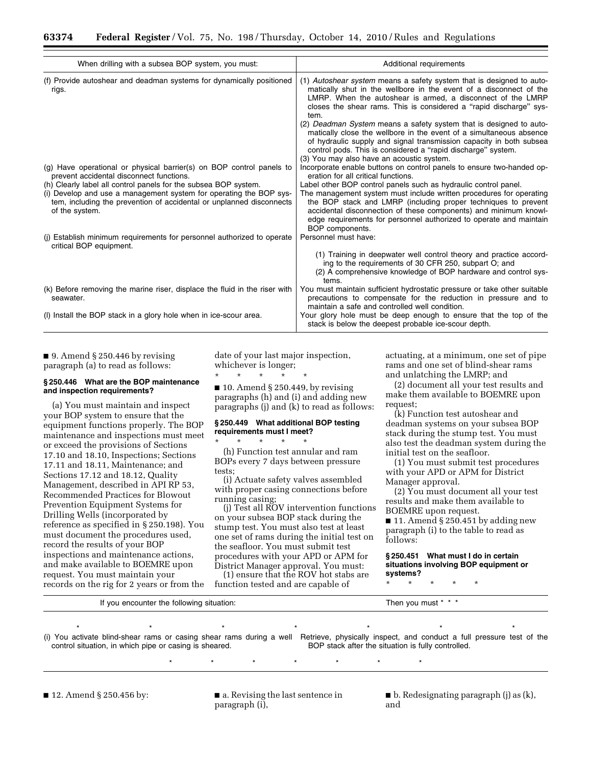| When drilling with a subsea BOP system, you must:                                                                                                                                                                               | Additional requirements                                                                                                                                                                                                                                                                                                                                               |
|---------------------------------------------------------------------------------------------------------------------------------------------------------------------------------------------------------------------------------|-----------------------------------------------------------------------------------------------------------------------------------------------------------------------------------------------------------------------------------------------------------------------------------------------------------------------------------------------------------------------|
| (f) Provide autoshear and deadman systems for dynamically positioned<br>rigs.                                                                                                                                                   | (1) Autoshear system means a safety system that is designed to auto-<br>matically shut in the wellbore in the event of a disconnect of the<br>LMRP. When the autoshear is armed, a disconnect of the LMRP<br>closes the shear rams. This is considered a "rapid discharge" sys-<br>tem.                                                                               |
|                                                                                                                                                                                                                                 | (2) Deadman System means a safety system that is designed to auto-<br>matically close the wellbore in the event of a simultaneous absence<br>of hydraulic supply and signal transmission capacity in both subsea<br>control pods. This is considered a "rapid discharge" system.<br>(3) You may also have an acoustic system.                                         |
| (g) Have operational or physical barrier(s) on BOP control panels to<br>prevent accidental disconnect functions.                                                                                                                | Incorporate enable buttons on control panels to ensure two-handed op-<br>eration for all critical functions.                                                                                                                                                                                                                                                          |
| (h) Clearly label all control panels for the subsea BOP system.<br>(i) Develop and use a management system for operating the BOP sys-<br>tem, including the prevention of accidental or unplanned disconnects<br>of the system. | Label other BOP control panels such as hydraulic control panel.<br>The management system must include written procedures for operating<br>the BOP stack and LMRP (including proper techniques to prevent<br>accidental disconnection of these components) and minimum knowl-<br>edge requirements for personnel authorized to operate and maintain<br>BOP components. |
| (i) Establish minimum requirements for personnel authorized to operate<br>critical BOP equipment.                                                                                                                               | Personnel must have:                                                                                                                                                                                                                                                                                                                                                  |
|                                                                                                                                                                                                                                 | (1) Training in deepwater well control theory and practice accord-<br>ing to the requirements of 30 CFR 250, subpart O; and<br>(2) A comprehensive knowledge of BOP hardware and control sys-<br>tems.                                                                                                                                                                |
| (k) Before removing the marine riser, displace the fluid in the riser with<br>seawater.                                                                                                                                         | You must maintain sufficient hydrostatic pressure or take other suitable<br>precautions to compensate for the reduction in pressure and to<br>maintain a safe and controlled well condition.                                                                                                                                                                          |
| (I) Install the BOP stack in a glory hole when in ice-scour area.                                                                                                                                                               | Your glory hole must be deep enough to ensure that the top of the<br>stack is below the deepest probable ice-scour depth.                                                                                                                                                                                                                                             |

■ 9. Amend § 250.446 by revising paragraph (a) to read as follows:

#### **§ 250.446 What are the BOP maintenance and inspection requirements?**

(a) You must maintain and inspect your BOP system to ensure that the equipment functions properly. The BOP maintenance and inspections must meet or exceed the provisions of Sections 17.10 and 18.10, Inspections; Sections 17.11 and 18.11, Maintenance; and Sections 17.12 and 18.12, Quality Management, described in API RP 53, Recommended Practices for Blowout Prevention Equipment Systems for Drilling Wells (incorporated by reference as specified in § 250.198). You must document the procedures used, record the results of your BOP inspections and maintenance actions, and make available to BOEMRE upon request. You must maintain your records on the rig for 2 years or from the date of your last major inspection, whichever is longer;

\* \* \* \* \*

 $\blacksquare$  10. Amend § 250.449, by revising paragraphs (h) and (i) and adding new paragraphs (j) and (k) to read as follows:

#### **§ 250.449 What additional BOP testing requirements must I meet?**

\* \* \* \* \* (h) Function test annular and ram BOPs every 7 days between pressure tests;

(i) Actuate safety valves assembled with proper casing connections before running casing;

(j) Test all ROV intervention functions on your subsea BOP stack during the stump test. You must also test at least one set of rams during the initial test on the seafloor. You must submit test procedures with your APD or APM for District Manager approval. You must:

(1) ensure that the ROV hot stabs are function tested and are capable of

actuating, at a minimum, one set of pipe rams and one set of blind-shear rams and unlatching the LMRP; and

(2) document all your test results and make them available to BOEMRE upon request;

(k) Function test autoshear and deadman systems on your subsea BOP stack during the stump test. You must also test the deadman system during the initial test on the seafloor.

(1) You must submit test procedures with your APD or APM for District Manager approval.

(2) You must document all your test results and make them available to BOEMRE upon request.

■ 11. Amend § 250.451 by adding new paragraph (i) to the table to read as follows:

**§ 250.451 What must I do in certain situations involving BOP equipment or systems?** 

\* \* \* \* \*

| encounter the .             | hen  |
|-----------------------------|------|
| ounter the following situal | must |
| situation.                  | vou  |
| VOU                         |      |
| .                           |      |
|                             |      |

\* \* \* \* \* \* \* \* \* \* \* \* \* (i) You activate blind-shear rams or casing shear rams during a well Retrieve, physically inspect, and conduct a full pressure test of the control situation, in which pipe or casing is sheared. BOP stack after the situation is fully controlled.

\* \* \* \* \* \* \*

paragraph (i), and and

■ 12. Amend § 250.456 by: ■ a. Revising the last sentence in ■ b. Redesignating paragraph (j) as (k),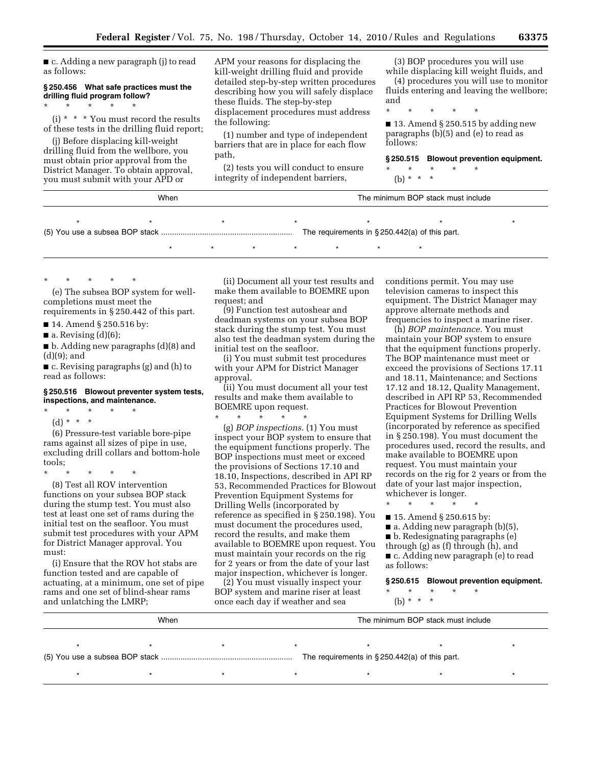■ c. Adding a new paragraph (j) to read as follows:

#### **§ 250.456 What safe practices must the drilling fluid program follow?**   $\star$   $\star$   $\star$   $\star$

(i) \* \* \* You must record the results of these tests in the drilling fluid report;

(j) Before displacing kill-weight drilling fluid from the wellbore, you must obtain prior approval from the District Manager. To obtain approval, you must submit with your APD or

APM your reasons for displacing the kill-weight drilling fluid and provide detailed step-by-step written procedures describing how you will safely displace these fluids. The step-by-step displacement procedures must address the following:

(1) number and type of independent barriers that are in place for each flow path,

(2) tests you will conduct to ensure integrity of independent barriers,

(3) BOP procedures you will use while displacing kill weight fluids, and

(4) procedures you will use to monitor fluids entering and leaving the wellbore; and

\* \* \* \* \*

■ 13. Amend § 250.515 by adding new paragraphs (b)(5) and (e) to read as follows:

**§ 250.515 Blowout prevention equipment.** 

- $\star$   $\star$   $\star$
- (b)  $* *$

| When |  |  |                                                   | The minimum BOP stack must include |  |
|------|--|--|---------------------------------------------------|------------------------------------|--|
|      |  |  |                                                   |                                    |  |
|      |  |  | The requirements in $\S 250.442(a)$ of this part. |                                    |  |

\* \* \* \* \*

(e) The subsea BOP system for wellcompletions must meet the requirements in § 250.442 of this part.

■ 14. Amend § 250.516 by:

 $\blacksquare$  a. Revising (d)(6);

■ b. Adding new paragraphs (d)(8) and (d)(9); and

■ c. Revising paragraphs (g) and (h) to read as follows:

#### **§ 250.516 Blowout preventer system tests, inspections, and maintenance.**

- \* \* \* \* \*
- (d) \* \* \*

(6) Pressure-test variable bore-pipe rams against all sizes of pipe in use, excluding drill collars and bottom-hole tools;

\* \* \* \* \* (8) Test all ROV intervention functions on your subsea BOP stack during the stump test. You must also test at least one set of rams during the initial test on the seafloor. You must submit test procedures with your APM for District Manager approval. You must:

(i) Ensure that the ROV hot stabs are function tested and are capable of actuating, at a minimum, one set of pipe rams and one set of blind-shear rams and unlatching the LMRP;

(ii) Document all your test results and make them available to BOEMRE upon request; and

\* \* \* \* \* \* \*

(9) Function test autoshear and deadman systems on your subsea BOP stack during the stump test. You must also test the deadman system during the initial test on the seafloor.

(i) You must submit test procedures with your APM for District Manager approval.

(ii) You must document all your test results and make them available to BOEMRE upon request.

\* \* \* \* \* (g) *BOP inspections.* (1) You must inspect your BOP system to ensure that the equipment functions properly. The BOP inspections must meet or exceed the provisions of Sections 17.10 and 18.10, Inspections, described in API RP 53, Recommended Practices for Blowout Prevention Equipment Systems for Drilling Wells (incorporated by reference as specified in § 250.198). You must document the procedures used, record the results, and make them available to BOEMRE upon request. You must maintain your records on the rig for 2 years or from the date of your last major inspection, whichever is longer.

(2) You must visually inspect your BOP system and marine riser at least once each day if weather and sea

conditions permit. You may use television cameras to inspect this equipment. The District Manager may approve alternate methods and frequencies to inspect a marine riser.

(h) *BOP maintenance.* You must maintain your BOP system to ensure that the equipment functions properly. The BOP maintenance must meet or exceed the provisions of Sections 17.11 and 18.11, Maintenance; and Sections 17.12 and 18.12, Quality Management, described in API RP 53, Recommended Practices for Blowout Prevention Equipment Systems for Drilling Wells (incorporated by reference as specified in § 250.198). You must document the procedures used, record the results, and make available to BOEMRE upon request. You must maintain your records on the rig for 2 years or from the date of your last major inspection, whichever is longer.

\* \* \* \* \*

■ 15. Amend § 250.615 by:

■ a. Adding new paragraph (b)(5),

■ b. Redesignating paragraphs (e)

through (g) as (f) through (h), and

■ c. Adding new paragraph (e) to read as follows:

**§ 250.615 Blowout prevention equipment.**   $\star$   $\star$   $\star$ 

(b) \* \* \*

| When                                              |  |  |  |  | The minimum BOP stack must include |  |
|---------------------------------------------------|--|--|--|--|------------------------------------|--|
|                                                   |  |  |  |  |                                    |  |
| The requirements in $\S 250.442(a)$ of this part. |  |  |  |  |                                    |  |
|                                                   |  |  |  |  |                                    |  |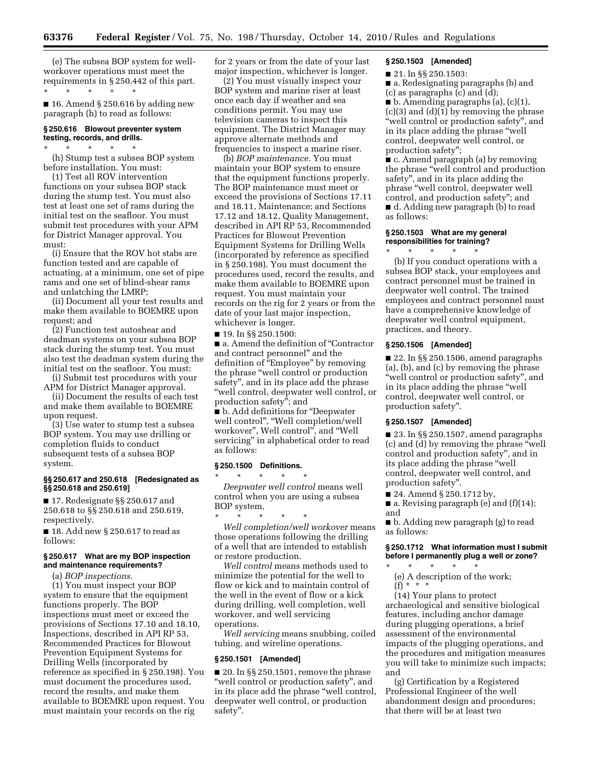(e) The subsea BOP system for wellworkover operations must meet the requirements in § 250.442 of this part. \* \* \* \* \*

■ 16. Amend § 250.616 by adding new paragraph (h) to read as follows:

#### **§ 250.616 Blowout preventer system testing, records, and drills.**

 $\star$   $\star$   $\star$ (h) Stump test a subsea BOP system before installation. You must:

(1) Test all ROV intervention functions on your subsea BOP stack during the stump test. You must also test at least one set of rams during the initial test on the seafloor. You must submit test procedures with your APM for District Manager approval. You must:

(i) Ensure that the ROV hot stabs are function tested and are capable of actuating, at a minimum, one set of pipe rams and one set of blind-shear rams and unlatching the LMRP;

(ii) Document all your test results and make them available to BOEMRE upon request; and

(2) Function test autoshear and deadman systems on your subsea BOP stack during the stump test. You must also test the deadman system during the initial test on the seafloor. You must:

(i) Submit test procedures with your APM for District Manager approval.

(ii) Document the results of each test and make them available to BOEMRE upon request.

(3) Use water to stump test a subsea BOP system. You may use drilling or completion fluids to conduct subsequent tests of a subsea BOP system.

#### **§§ 250.617 and 250.618 [Redesignated as §§ 250.618 and 250.619]**

■ 17. Redesignate §§ 250.617 and 250.618 to §§ 250.618 and 250.619, respectively.

■ 18. Add new § 250.617 to read as follows:

#### **§ 250.617 What are my BOP inspection and maintenance requirements?**

(a) *BOP inspections.* 

(1) You must inspect your BOP system to ensure that the equipment functions properly. The BOP inspections must meet or exceed the provisions of Sections 17.10 and 18.10, Inspections, described in API RP 53, Recommended Practices for Blowout Prevention Equipment Systems for Drilling Wells (incorporated by reference as specified in § 250.198). You must document the procedures used, record the results, and make them available to BOEMRE upon request. You must maintain your records on the rig

for 2 years or from the date of your last major inspection, whichever is longer.

(2) You must visually inspect your BOP system and marine riser at least once each day if weather and sea conditions permit. You may use television cameras to inspect this equipment. The District Manager may approve alternate methods and frequencies to inspect a marine riser.

(b) *BOP maintenance.* You must maintain your BOP system to ensure that the equipment functions properly. The BOP maintenance must meet or exceed the provisions of Sections 17.11 and 18.11, Maintenance; and Sections 17.12 and 18.12, Quality Management, described in API RP 53, Recommended Practices for Blowout Prevention Equipment Systems for Drilling Wells (incorporated by reference as specified in § 250.198). You must document the procedures used, record the results, and make them available to BOEMRE upon request. You must maintain your records on the rig for 2 years or from the date of your last major inspection, whichever is longer.

■ 19. In §§ 250.1500:

■ a. Amend the definition of "Contractor and contract personnel'' and the definition of ''Employee'' by removing the phrase ''well control or production safety'', and in its place add the phrase "well control, deepwater well control, or production safety''; and

■ b. Add definitions for "Deepwater well control'', ''Well completion/well workover'', Well control'', and ''Well servicing'' in alphabetical order to read as follows:

# **§ 250.1500 Definitions.**

\* \* \* \* \* *Deepwater well control* means well control when you are using a subsea BOP system.

\* \* \* \* \* *Well completion/well workover* means those operations following the drilling of a well that are intended to establish or restore production.

*Well control* means methods used to minimize the potential for the well to flow or kick and to maintain control of the well in the event of flow or a kick during drilling, well completion, well workover, and well servicing operations.

*Well servicing* means snubbing, coiled tubing, and wireline operations.

#### **§ 250.1501 [Amended]**

■ 20. In §§ 250.1501, remove the phrase "well control or production safety", and in its place add the phrase ''well control, deepwater well control, or production safety''.

#### **§ 250.1503 [Amended]**

■ 21. In §§ 250.1503:

■ a. Redesignating paragraphs (b) and (c) as paragraphs (c) and (d); ■ b. Amending paragraphs (a), (c)(1), (c)(3) and (d)(1) by removing the phrase "well control or production safety", and in its place adding the phrase ''well control, deepwater well control, or production safety'';

■ c. Amend paragraph (a) by removing the phrase ''well control and production safety'', and in its place adding the phrase ''well control, deepwater well control, and production safety''; and ■ d. Adding new paragraph (b) to read as follows:

#### **§ 250.1503 What are my general responsibilities for training?**

 $\star$   $\star$   $\star$ 

(b) If you conduct operations with a subsea BOP stack, your employees and contract personnel must be trained in deepwater well control. The trained employees and contract personnel must have a comprehensive knowledge of deepwater well control equipment, practices, and theory.

#### **§ 250.1506 [Amended]**

■ 22. In §§ 250.1506, amend paragraphs (a), (b), and (c) by removing the phrase ''well control or production safety'', and in its place adding the phrase ''well control, deepwater well control, or production safety''.

#### **§ 250.1507 [Amended]**

■ 23. In §§ 250.1507, amend paragraphs (c) and (d) by removing the phrase ''well control and production safety'', and in its place adding the phrase ''well control, deepwater well control, and production safety''.

■ 24. Amend § 250.1712 by,

■ a. Revising paragraph (e) and (f)(14); and

■ b. Adding new paragraph (g) to read as follows:

#### **§ 250.1712 What information must I submit before I permanently plug a well or zone?**

\* \* \* \* \* (e) A description of the work; (f) \* \* \*

(14) Your plans to protect archaeological and sensitive biological features, including anchor damage during plugging operations, a brief assessment of the environmental impacts of the plugging operations, and the procedures and mitigation measures you will take to minimize such impacts; and

(g) Certification by a Registered Professional Engineer of the well abandonment design and procedures; that there will be at least two